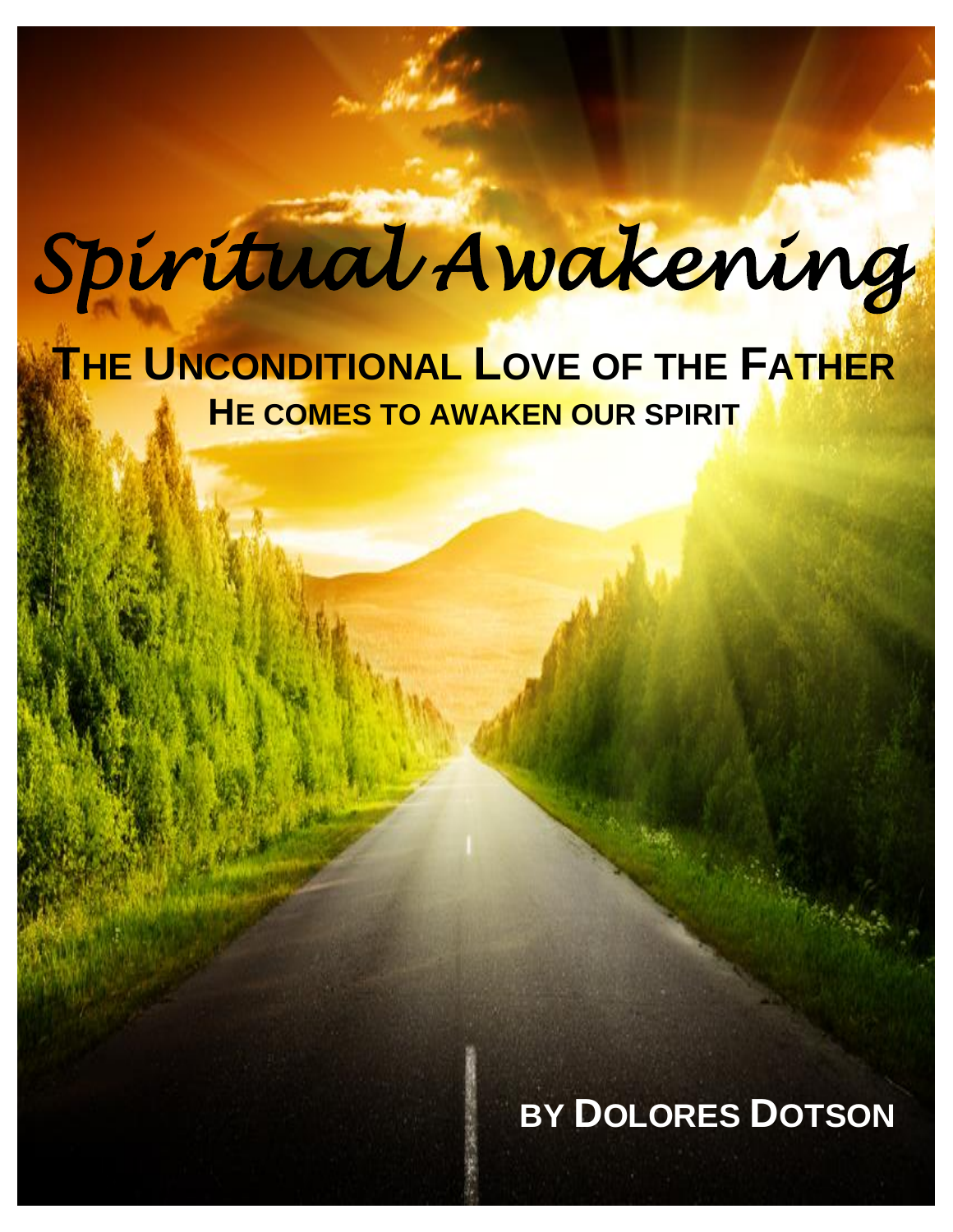# *Spiritual Awakening*

# **THE UNCONDITIONAL LOVE OF THE FATHER HE COMES TO AWAKEN OUR SPIRIT**

1

# **BY DOLORES DOTSON**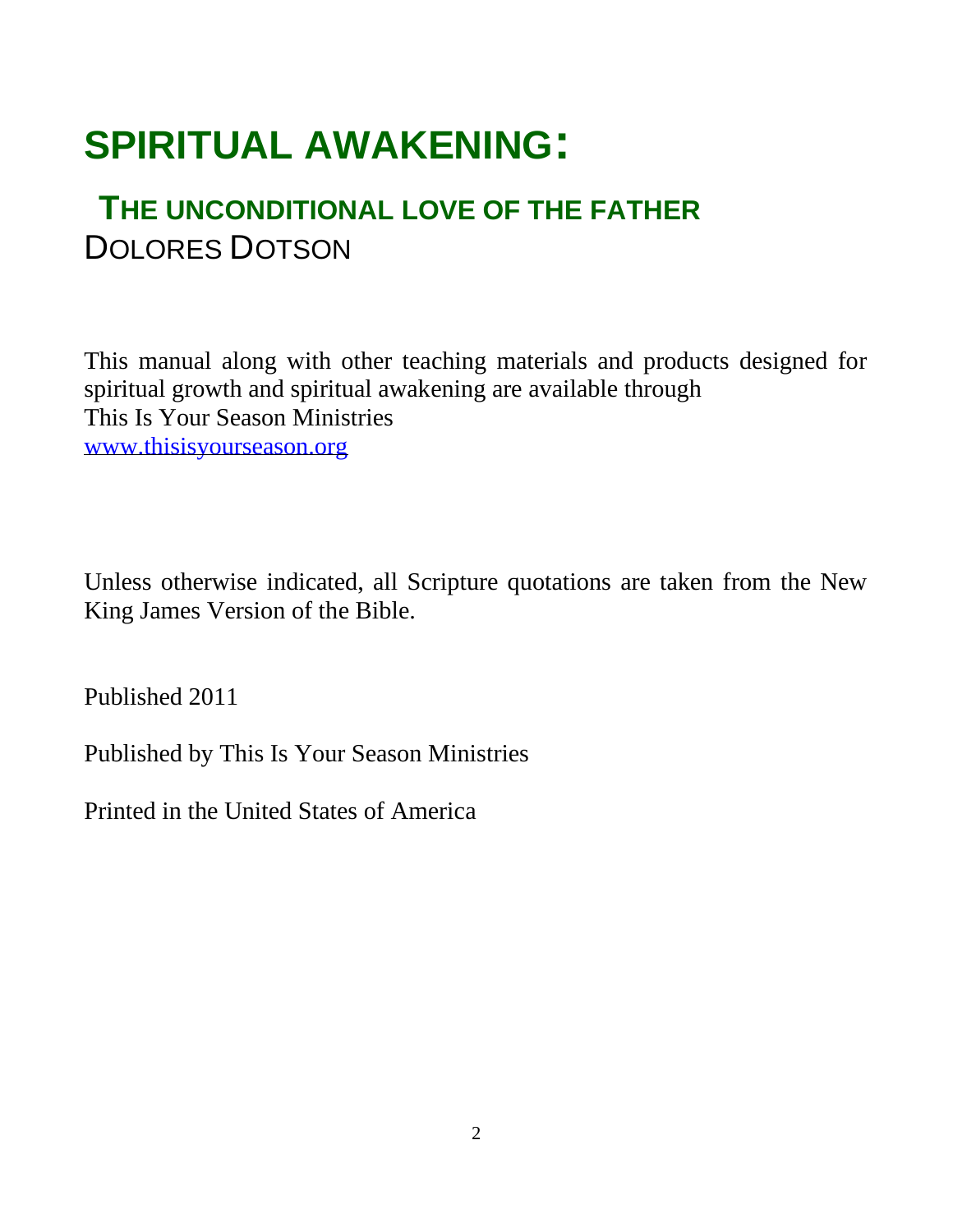# **SPIRITUAL AWAKENING:**

# **THE UNCONDITIONAL LOVE OF THE FATHER** DOLORES DOTSON

This manual along with other teaching materials and products designed for spiritual growth and spiritual awakening are available through This Is Your Season Ministries [www.thisisyourseason.org](http://www.thisisyourseason.org/)

Unless otherwise indicated, all Scripture quotations are taken from the New King James Version of the Bible.

Published 2011

Published by This Is Your Season Ministries

Printed in the United States of America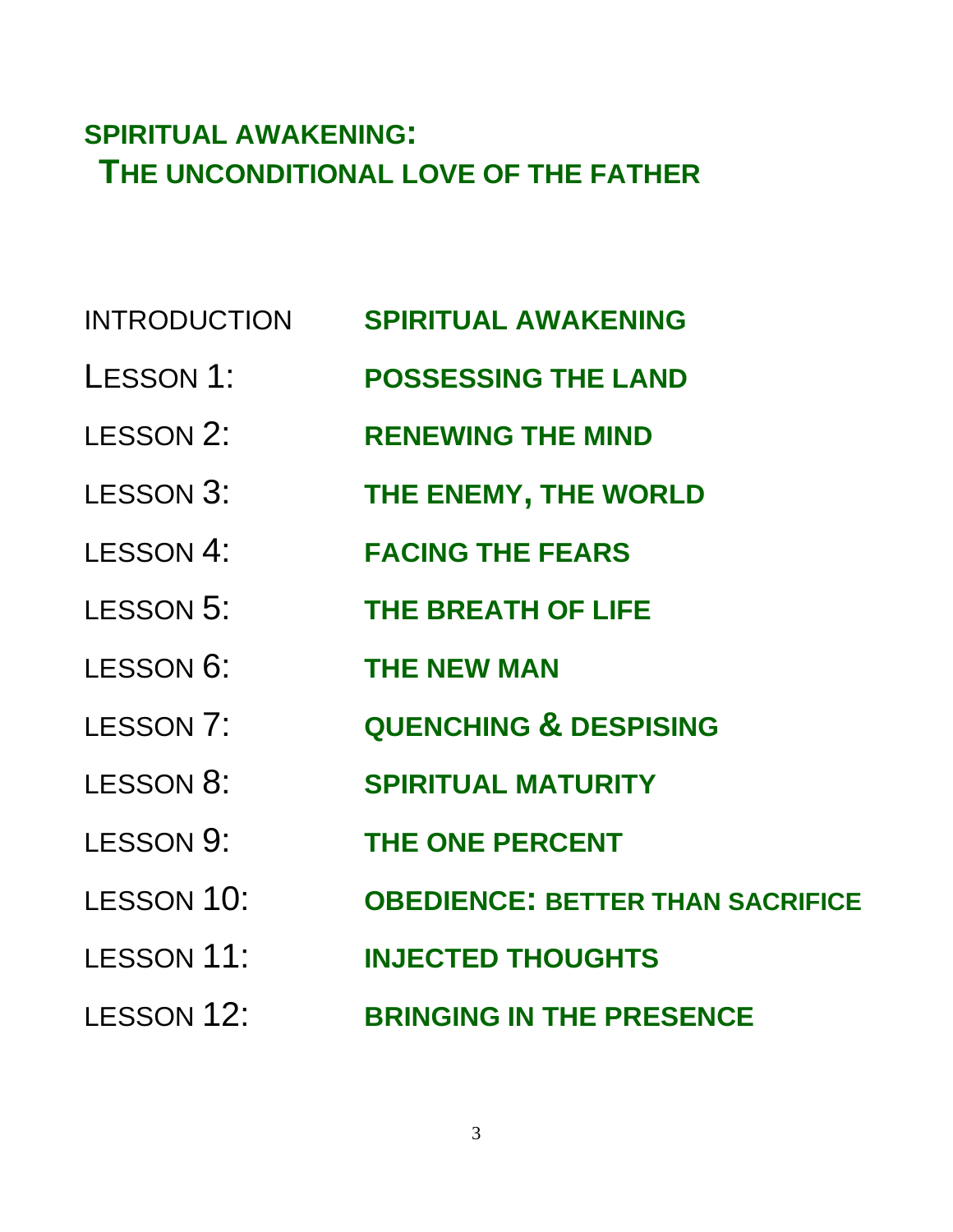# **SPIRITUAL AWAKENING: THE UNCONDITIONAL LOVE OF THE FATHER**

# INTRODUCTION **SPIRITUAL AWAKENING**

- LESSON 1: **POSSESSING THE LAND**
- LESSON 2: **RENEWING THE MIND**
- LESSON 3: **THE ENEMY, THE WORLD**
- LESSON 4: **FACING THE FEARS**
- LESSON 5: **THE BREATH OF LIFE**
- LESSON 6: **THE NEW MAN**
- LESSON 7: **QUENCHING & DESPISING**
- LESSON 8: **SPIRITUAL MATURITY**
- LESSON 9: **THE ONE PERCENT**
- LESSON 10: **OBEDIENCE: BETTER THAN SACRIFICE**
- LESSON 11: **INJECTED THOUGHTS**
- LESSON 12: **BRINGING IN THE PRESENCE**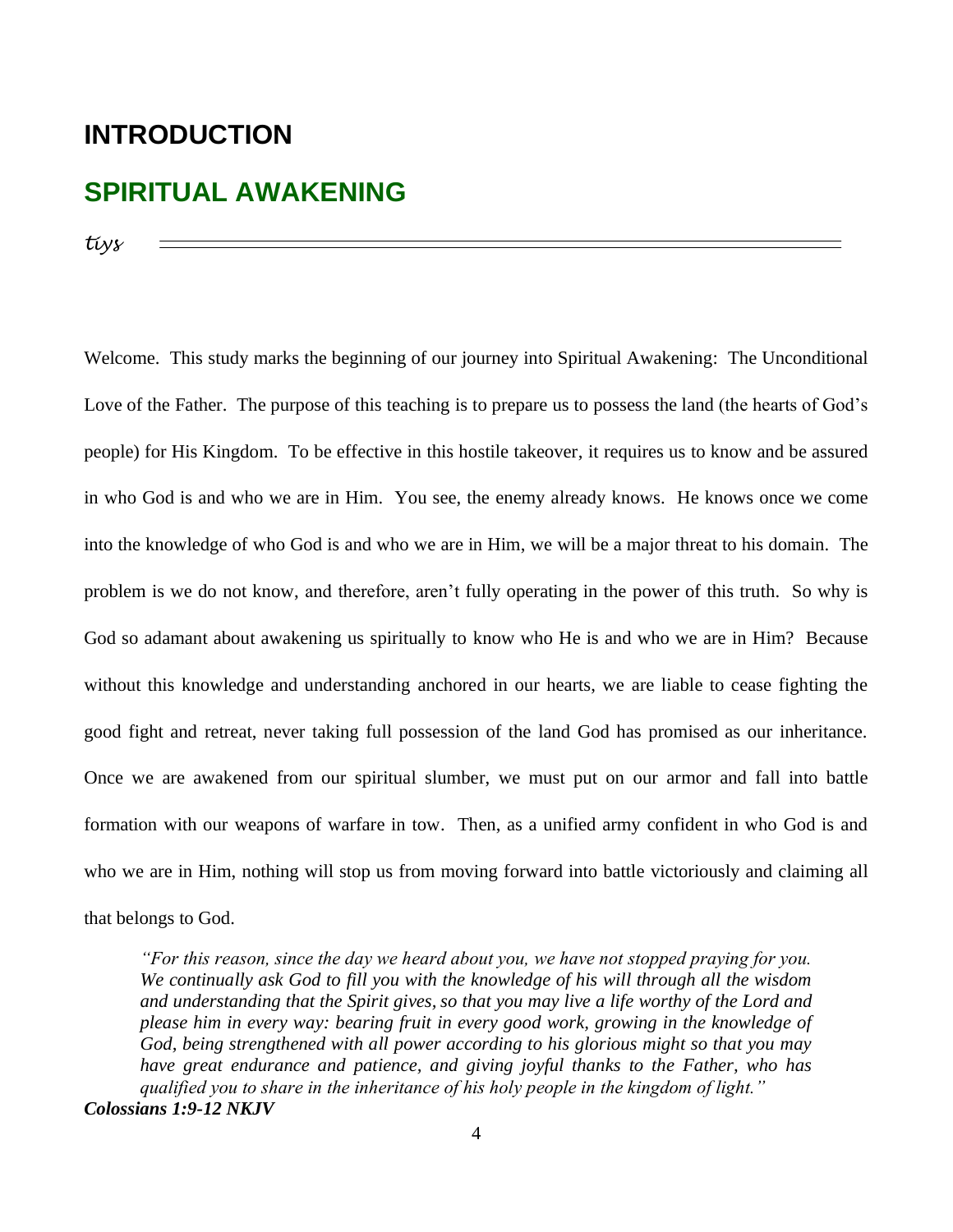## **INTRODUCTION**

#### **SPIRITUAL AWAKENING**

*tiys*

Welcome. This study marks the beginning of our journey into Spiritual Awakening: The Unconditional Love of the Father. The purpose of this teaching is to prepare us to possess the land (the hearts of God's people) for His Kingdom. To be effective in this hostile takeover, it requires us to know and be assured in who God is and who we are in Him. You see, the enemy already knows. He knows once we come into the knowledge of who God is and who we are in Him, we will be a major threat to his domain. The problem is we do not know, and therefore, aren't fully operating in the power of this truth. So why is God so adamant about awakening us spiritually to know who He is and who we are in Him? Because without this knowledge and understanding anchored in our hearts, we are liable to cease fighting the good fight and retreat, never taking full possession of the land God has promised as our inheritance. Once we are awakened from our spiritual slumber, we must put on our armor and fall into battle formation with our weapons of warfare in tow. Then, as a unified army confident in who God is and who we are in Him, nothing will stop us from moving forward into battle victoriously and claiming all that belongs to God.

*"For this reason, since the day we heard about you, we have not stopped praying for you. We continually ask God to fill you with the knowledge of his will through all the wisdom and understanding that the Spirit gives, so that you may live a life worthy of the Lord and please him in every way: bearing fruit in every good work, growing in the knowledge of God, being strengthened with all power according to his glorious might so that you may have great endurance and patience, and giving joyful thanks to the Father, who has qualified you to share in the inheritance of his holy people in the kingdom of light." Colossians 1:9-12 NKJV*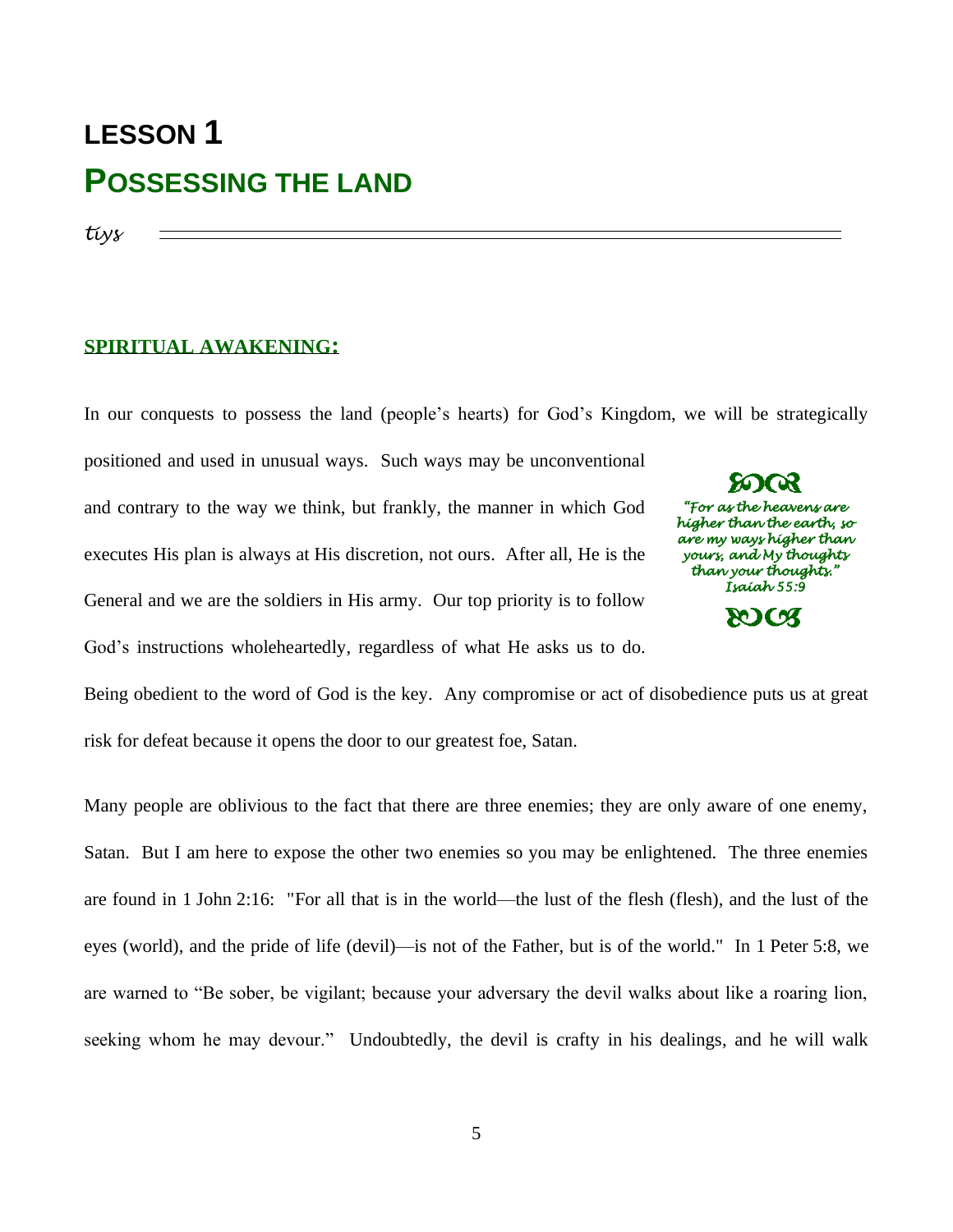# **LESSON 1 POSSESSING THE LAND**

*tiys*

#### **SPIRITUAL AWAKENING:**

In our conquests to possess the land (people's hearts) for God's Kingdom, we will be strategically

positioned and used in unusual ways. Such ways may be unconventional and contrary to the way we think, but frankly, the manner in which God executes His plan is always at His discretion, not ours. After all, He is the General and we are the soldiers in His army. Our top priority is to follow God's instructions wholeheartedly, regardless of what He asks us to do.



Being obedient to the word of God is the key. Any compromise or act of disobedience puts us at great risk for defeat because it opens the door to our greatest foe, Satan.

Many people are oblivious to the fact that there are three enemies; they are only aware of one enemy, Satan. But I am here to expose the other two enemies so you may be enlightened. The three enemies are found in 1 John 2:16: "For all that is in the world—the lust of the flesh (flesh), and the lust of the eyes (world), and the pride of life (devil)—is not of the Father, but is of the world." In 1 Peter 5:8, we are warned to "Be sober, be vigilant; because your adversary the devil walks about like a roaring lion, seeking whom he may devour." Undoubtedly, the devil is crafty in his dealings, and he will walk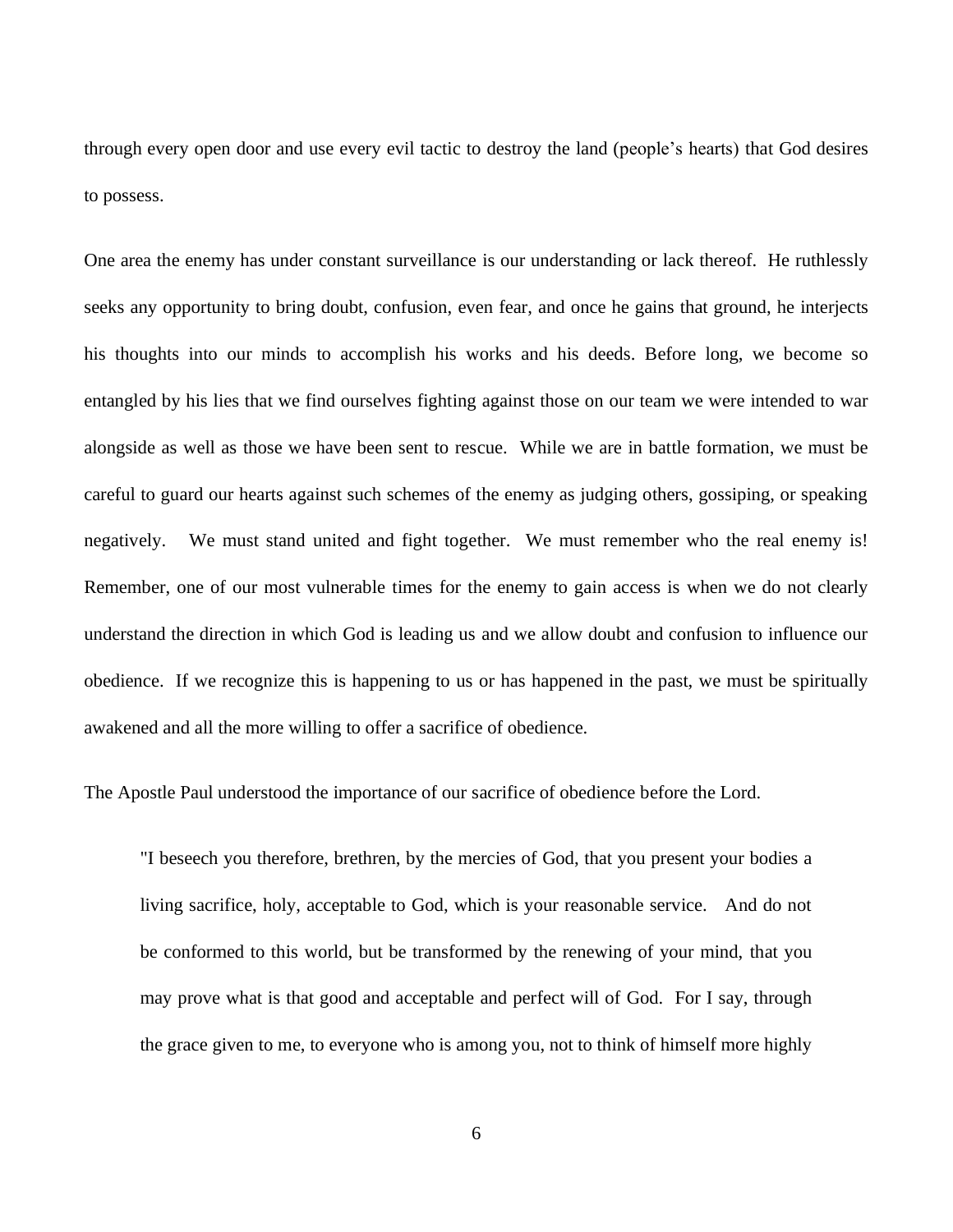through every open door and use every evil tactic to destroy the land (people's hearts) that God desires to possess.

One area the enemy has under constant surveillance is our understanding or lack thereof. He ruthlessly seeks any opportunity to bring doubt, confusion, even fear, and once he gains that ground, he interjects his thoughts into our minds to accomplish his works and his deeds. Before long, we become so entangled by his lies that we find ourselves fighting against those on our team we were intended to war alongside as well as those we have been sent to rescue. While we are in battle formation, we must be careful to guard our hearts against such schemes of the enemy as judging others, gossiping, or speaking negatively. We must stand united and fight together. We must remember who the real enemy is! Remember, one of our most vulnerable times for the enemy to gain access is when we do not clearly understand the direction in which God is leading us and we allow doubt and confusion to influence our obedience. If we recognize this is happening to us or has happened in the past, we must be spiritually awakened and all the more willing to offer a sacrifice of obedience.

The Apostle Paul understood the importance of our sacrifice of obedience before the Lord.

"I beseech you therefore, brethren, by the mercies of God, that you present your bodies a living sacrifice, holy, acceptable to God, which is your reasonable service. And do not be conformed to this world, but be transformed by the renewing of your mind, that you may prove what is that good and acceptable and perfect will of God. For I say, through the grace given to me, to everyone who is among you, not to think of himself more highly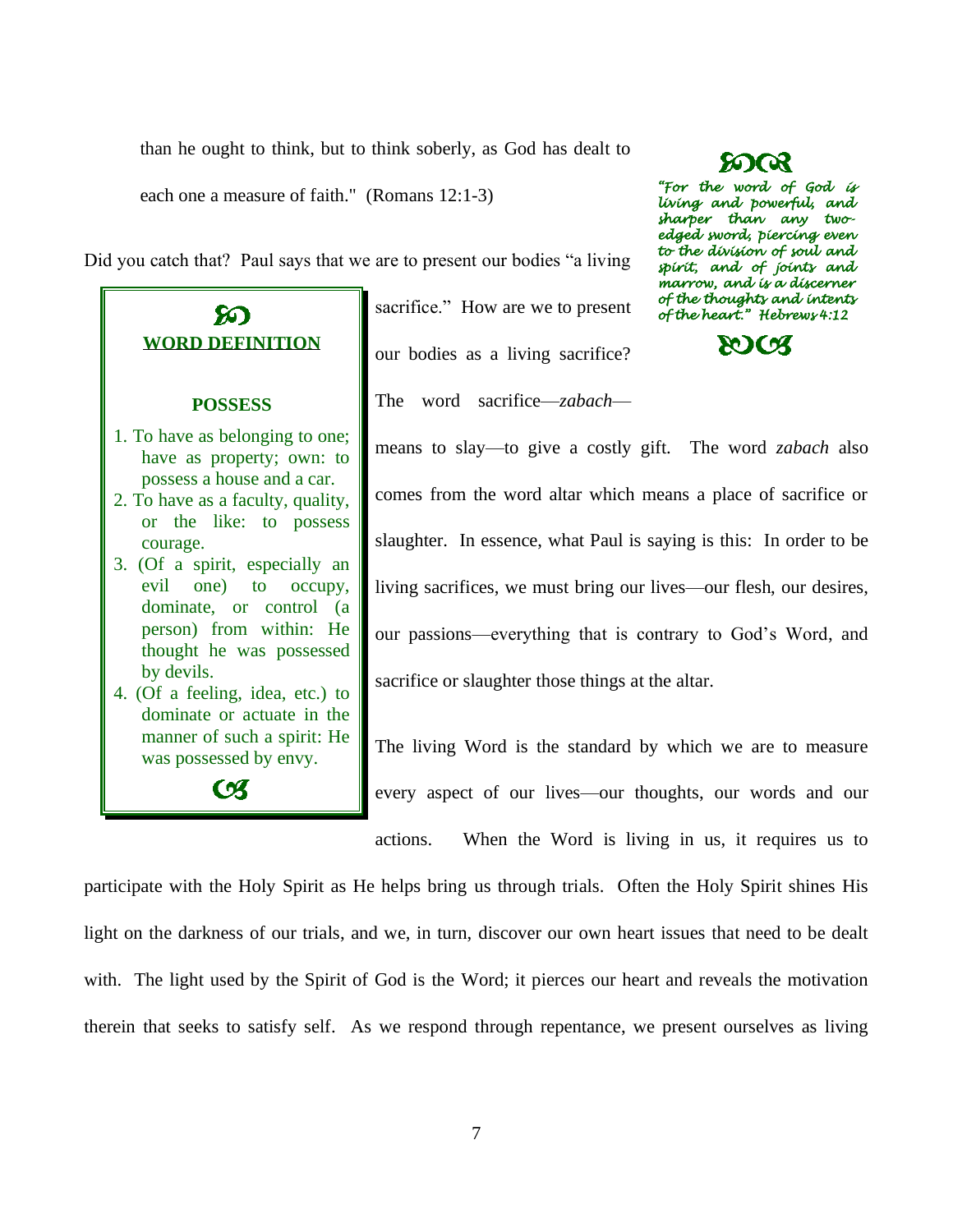than he ought to think, but to think soberly, as God has dealt to

each one a measure of faith." (Romans 12:1-3)

Did you catch that? Paul says that we are to present our bodies "a living



dominate or actuate in the manner of such a spirit: He was possessed by envy.

 $CZ$ 

sacrifice." How are we to present our bodies as a living sacrifice? The word sacrifice—*zabach*—

**SOCK** *"For the word of God is living and powerful, and sharper than any twoedged sword, piercing even to the division of soul and spirit, and of joints and marrow, and is a discerner of the thoughts and intents of the heart." Hebrews 4:12*



means to slay—to give a costly gift. The word *zabach* also comes from the word altar which means a place of sacrifice or slaughter. In essence, what Paul is saying is this: In order to be living sacrifices, we must bring our lives—our flesh, our desires, our passions—everything that is contrary to God's Word, and sacrifice or slaughter those things at the altar.

The living Word is the standard by which we are to measure every aspect of our lives—our thoughts, our words and our actions. When the Word is living in us, it requires us to

participate with the Holy Spirit as He helps bring us through trials. Often the Holy Spirit shines His light on the darkness of our trials, and we, in turn, discover our own heart issues that need to be dealt with. The light used by the Spirit of God is the Word; it pierces our heart and reveals the motivation therein that seeks to satisfy self. As we respond through repentance, we present ourselves as living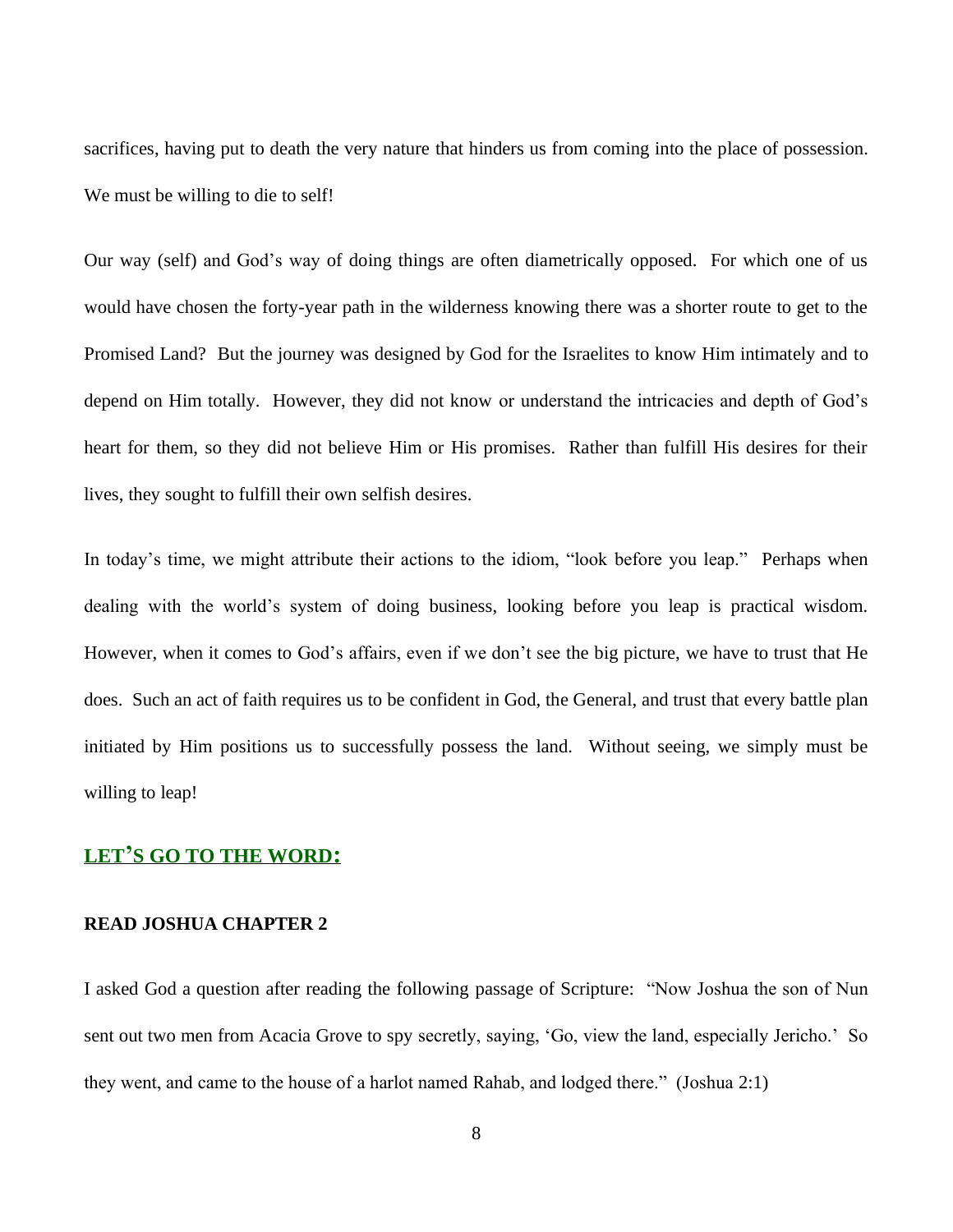sacrifices, having put to death the very nature that hinders us from coming into the place of possession. We must be willing to die to self!

Our way (self) and God's way of doing things are often diametrically opposed. For which one of us would have chosen the forty-year path in the wilderness knowing there was a shorter route to get to the Promised Land? But the journey was designed by God for the Israelites to know Him intimately and to depend on Him totally. However, they did not know or understand the intricacies and depth of God's heart for them, so they did not believe Him or His promises. Rather than fulfill His desires for their lives, they sought to fulfill their own selfish desires.

In today's time, we might attribute their actions to the idiom, "look before you leap." Perhaps when dealing with the world's system of doing business, looking before you leap is practical wisdom. However, when it comes to God's affairs, even if we don't see the big picture, we have to trust that He does. Such an act of faith requires us to be confident in God, the General, and trust that every battle plan initiated by Him positions us to successfully possess the land. Without seeing, we simply must be willing to leap!

#### **LET'S GO TO THE WORD:**

#### **READ JOSHUA CHAPTER 2**

I asked God a question after reading the following passage of Scripture: "Now Joshua the son of Nun sent out two men from Acacia Grove to spy secretly, saying, 'Go, view the land, especially Jericho.' So they went, and came to the house of a harlot named Rahab, and lodged there." (Joshua 2:1)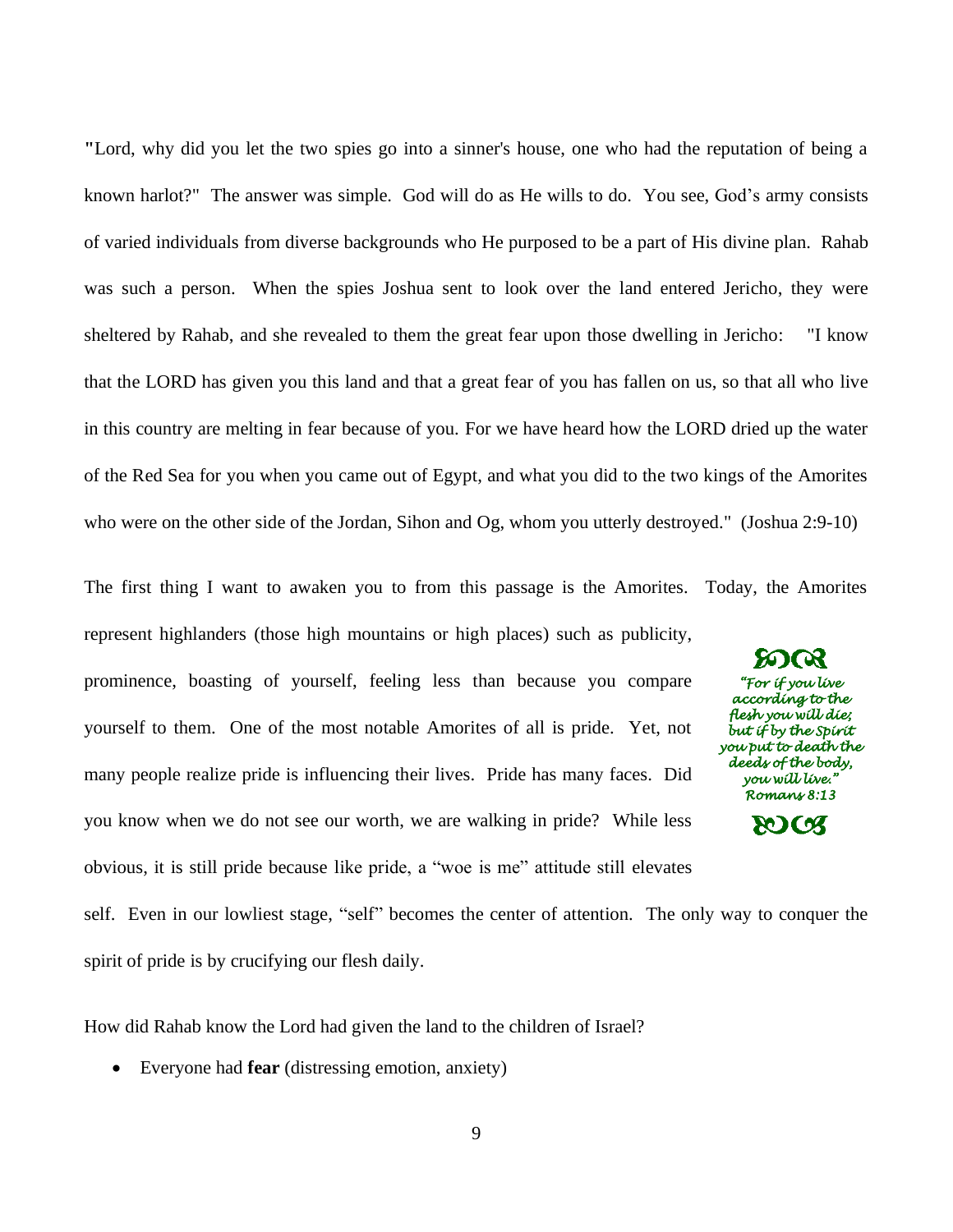**"**Lord, why did you let the two spies go into a sinner's house, one who had the reputation of being a known harlot?" The answer was simple. God will do as He wills to do. You see, God's army consists of varied individuals from diverse backgrounds who He purposed to be a part of His divine plan. Rahab was such a person. When the spies Joshua sent to look over the land entered Jericho, they were sheltered by Rahab, and she revealed to them the great fear upon those dwelling in Jericho: "I know that the LORD has given you this land and that a great fear of you has fallen on us, so that all who live in this country are melting in fear because of you. For we have heard how the LORD dried up the water of the Red Sea for you when you came out of Egypt, and what you did to the two kings of the Amorites who were on the other side of the Jordan, Sihon and Og, whom you utterly destroyed." (Joshua 2:9-10)

The first thing I want to awaken you to from this passage is the Amorites. Today, the Amorites represent highlanders (those high mountains or high places) such as publicity,

prominence, boasting of yourself, feeling less than because you compare yourself to them. One of the most notable Amorites of all is pride. Yet, not many people realize pride is influencing their lives. Pride has many faces. Did you know when we do not see our worth, we are walking in pride? While less obvious, it is still pride because like pride, a "woe is me" attitude still elevates

**ZOICK** 

*"For if you live according to the flesh you will die; but if by the Spirit you put to death the deeds of the body, you will live." Romans 8:13* 

self. Even in our lowliest stage, "self" becomes the center of attention. The only way to conquer the spirit of pride is by crucifying our flesh daily.

How did Rahab know the Lord had given the land to the children of Israel?

• Everyone had **fear** (distressing emotion, anxiety)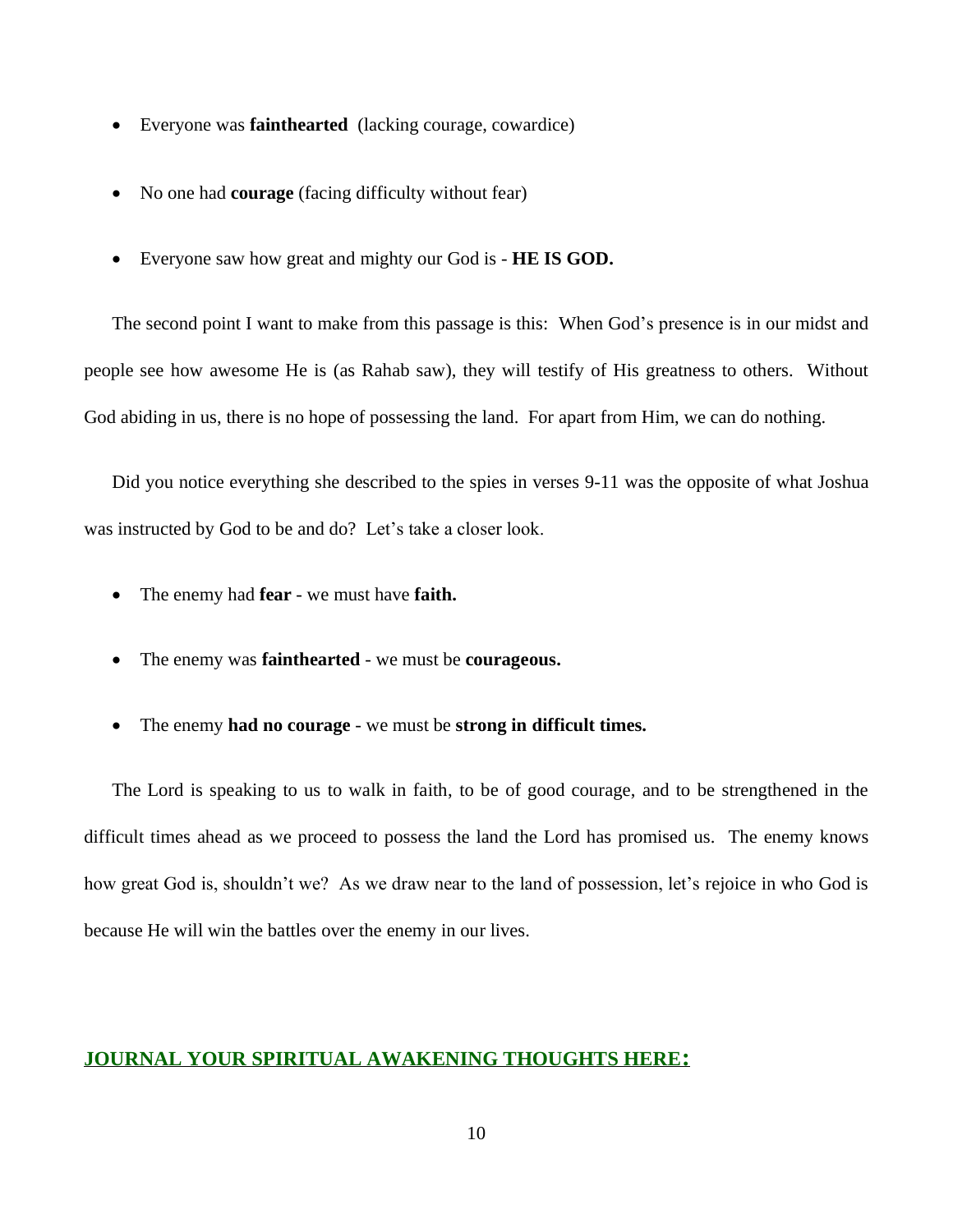- Everyone was **fainthearted** (lacking courage, cowardice)
- No one had **courage** (facing difficulty without fear)
- Everyone saw how great and mighty our God is **HE IS GOD.**

The second point I want to make from this passage is this: When God's presence is in our midst and people see how awesome He is (as Rahab saw), they will testify of His greatness to others. Without God abiding in us, there is no hope of possessing the land. For apart from Him, we can do nothing.

Did you notice everything she described to the spies in verses 9-11 was the opposite of what Joshua was instructed by God to be and do? Let's take a closer look.

- The enemy had **fear** we must have **faith.**
- The enemy was **fainthearted** we must be **courageous.**
- The enemy **had no courage** we must be **strong in difficult times.**

The Lord is speaking to us to walk in faith, to be of good courage, and to be strengthened in the difficult times ahead as we proceed to possess the land the Lord has promised us. The enemy knows how great God is, shouldn't we? As we draw near to the land of possession, let's rejoice in who God is because He will win the battles over the enemy in our lives.

#### **JOURNAL YOUR SPIRITUAL AWAKENING THOUGHTS HERE:**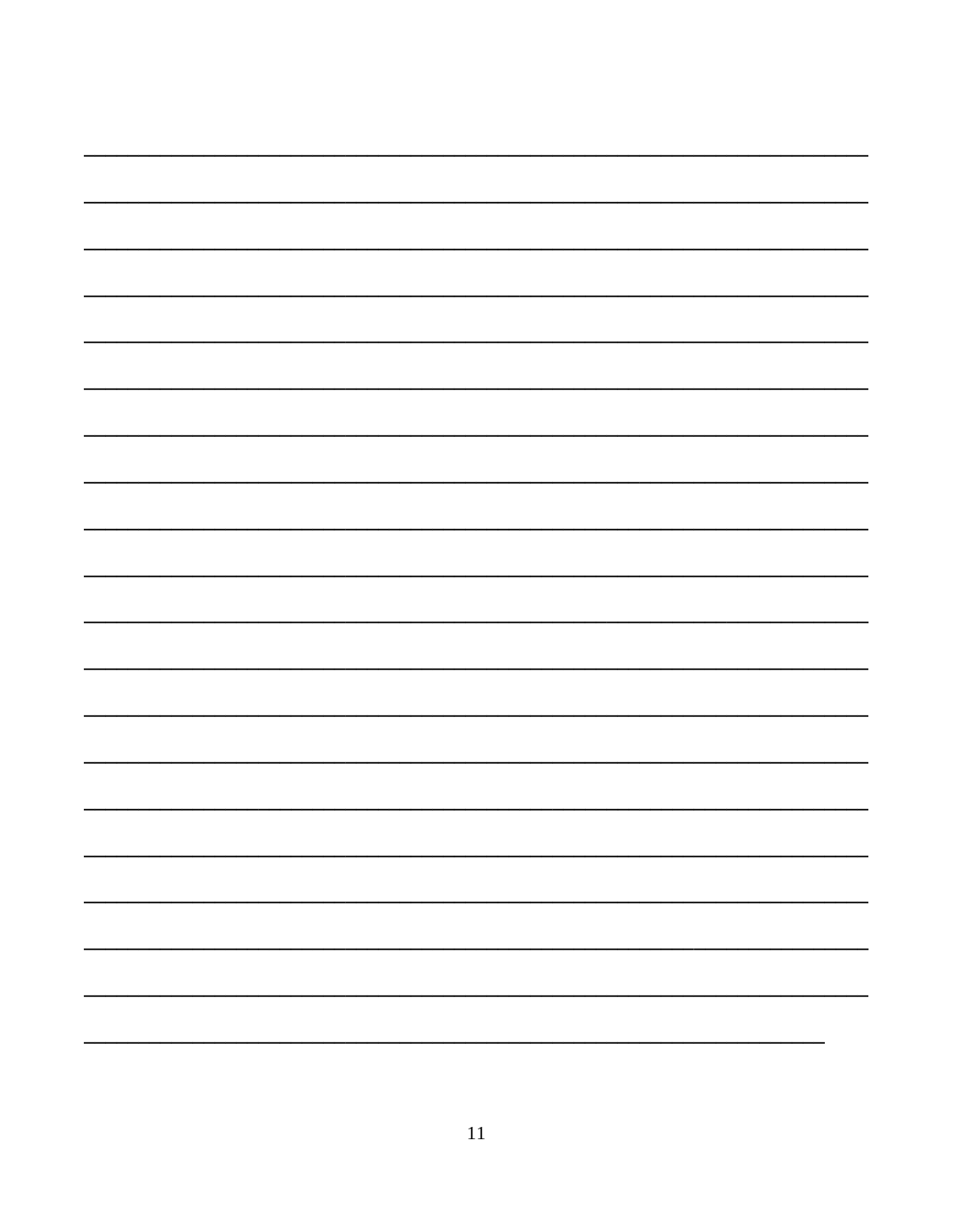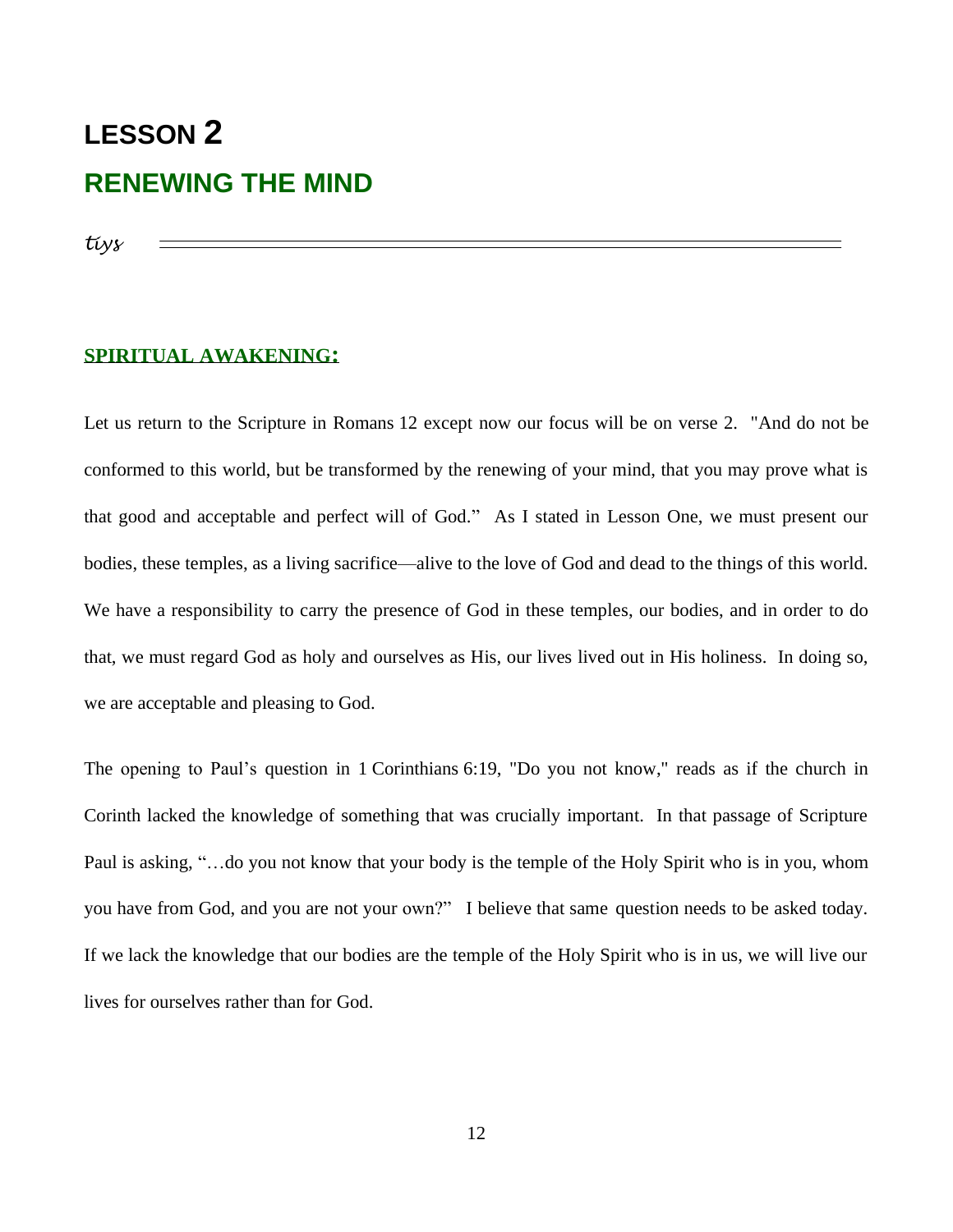# **LESSON 2 RENEWING THE MIND**

*tiys*

#### **SPIRITUAL AWAKENING:**

Let us return to the Scripture in Romans 12 except now our focus will be on verse 2. "And do not be conformed to this world, but be transformed by the renewing of your mind, that you may prove what is that good and acceptable and perfect will of God." As I stated in Lesson One, we must present our bodies, these temples, as a living sacrifice—alive to the love of God and dead to the things of this world. We have a responsibility to carry the presence of God in these temples, our bodies, and in order to do that, we must regard God as holy and ourselves as His, our lives lived out in His holiness. In doing so, we are acceptable and pleasing to God.

The opening to Paul's question in 1 Corinthians 6:19, "Do you not know," reads as if the church in Corinth lacked the knowledge of something that was crucially important. In that passage of Scripture Paul is asking, "…do you not know that your body is the temple of the Holy Spirit who is in you, whom you have from God, and you are not your own?" I believe that same question needs to be asked today. If we lack the knowledge that our bodies are the temple of the Holy Spirit who is in us, we will live our lives for ourselves rather than for God.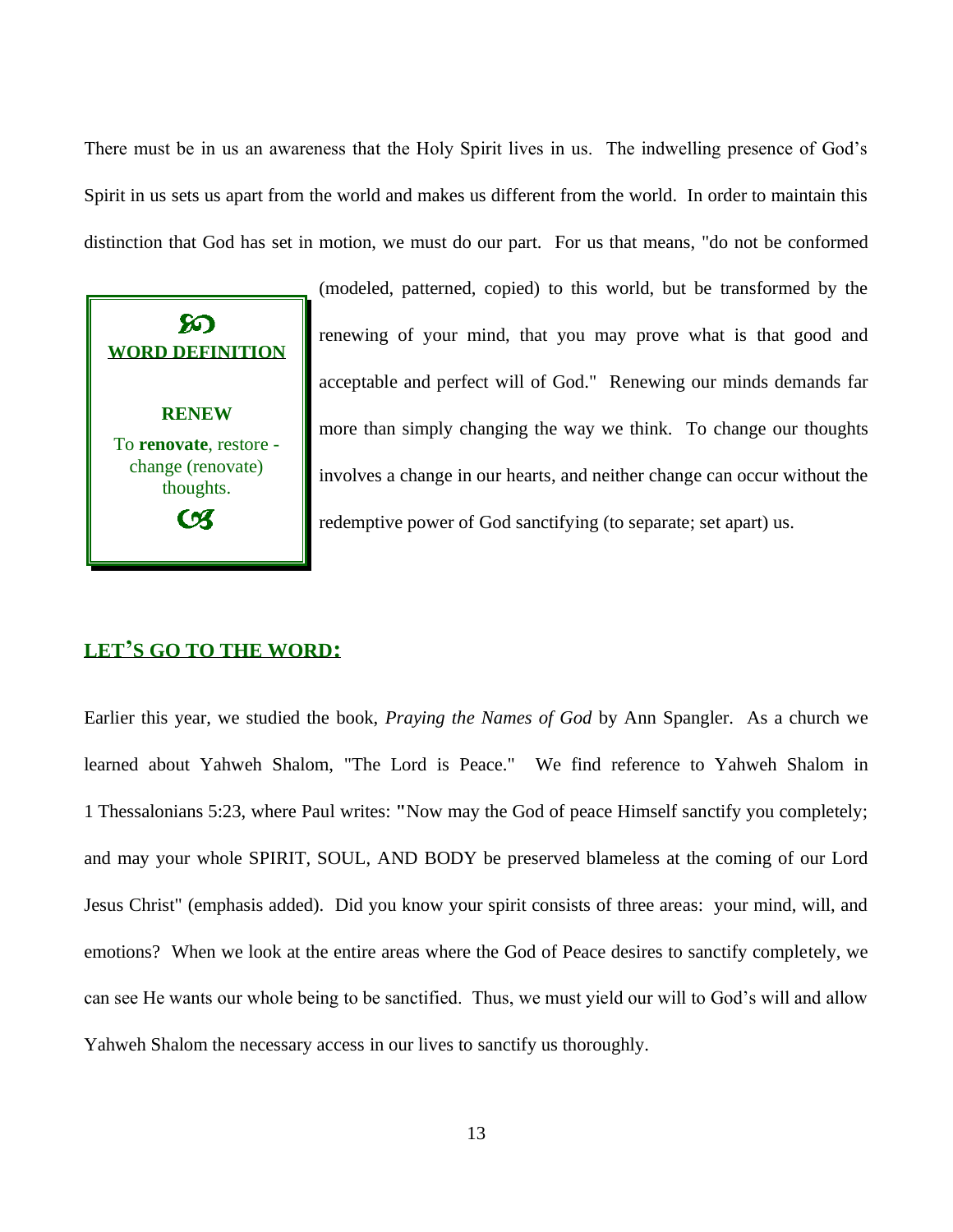There must be in us an awareness that the Holy Spirit lives in us. The indwelling presence of God's Spirit in us sets us apart from the world and makes us different from the world. In order to maintain this distinction that God has set in motion, we must do our part. For us that means, "do not be conformed



(modeled, patterned, copied) to this world, but be transformed by the renewing of your mind, that you may prove what is that good and acceptable and perfect will of God." Renewing our minds demands far more than simply changing the way we think. To change our thoughts involves a change in our hearts, and neither change can occur without the redemptive power of God sanctifying (to separate; set apart) us.

#### **LET'S GO TO THE WORD:**

Earlier this year, we studied the book, *Praying the Names of God* by Ann Spangler. As a church we learned about Yahweh Shalom, "The Lord is Peace." We find reference to Yahweh Shalom in 1 Thessalonians 5:23, where Paul writes: **"**Now may the God of peace Himself sanctify you completely; and may your whole SPIRIT, SOUL, AND BODY be preserved blameless at the coming of our Lord Jesus Christ" (emphasis added). Did you know your spirit consists of three areas: your mind, will, and emotions? When we look at the entire areas where the God of Peace desires to sanctify completely, we can see He wants our whole being to be sanctified. Thus, we must yield our will to God's will and allow Yahweh Shalom the necessary access in our lives to sanctify us thoroughly.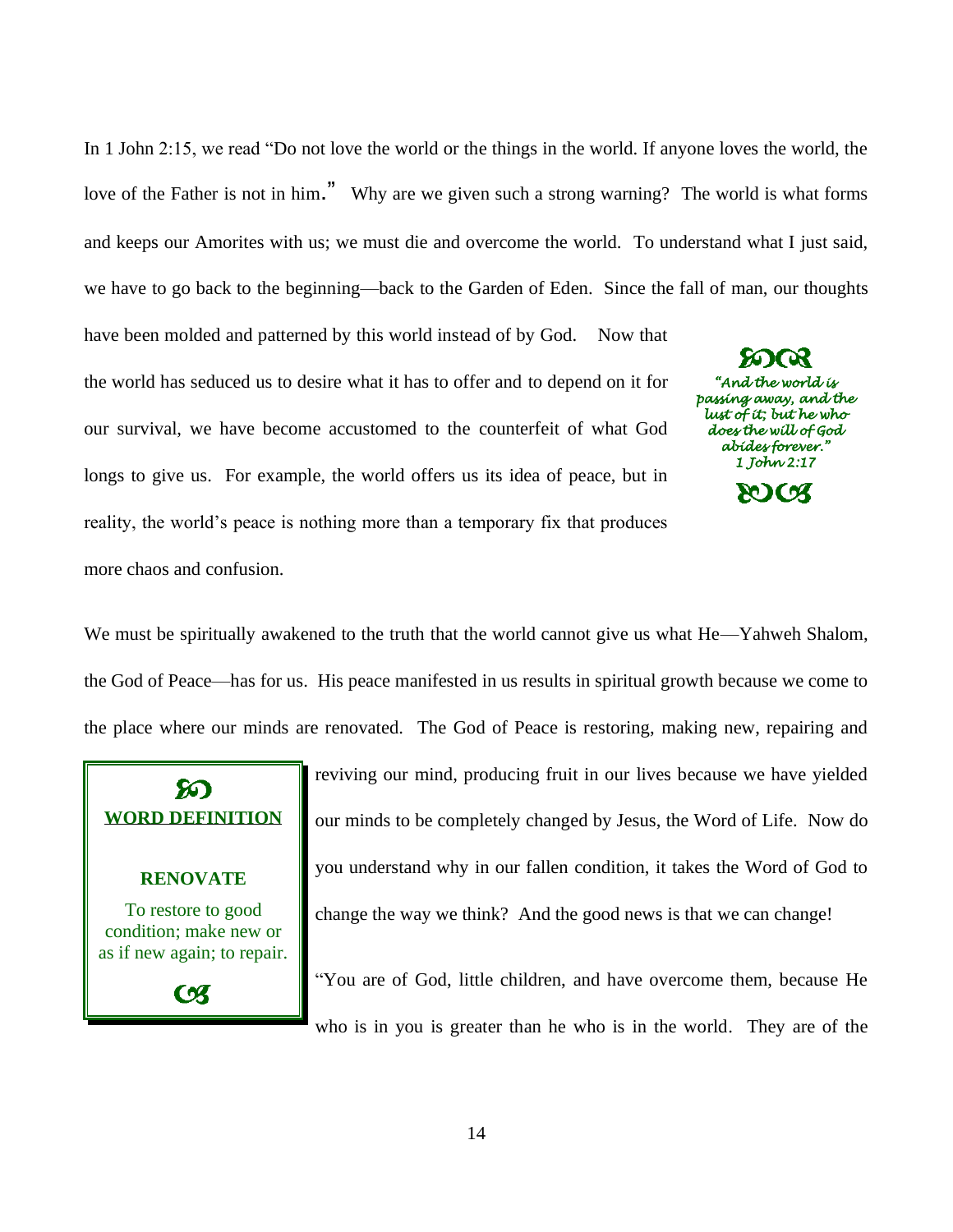In 1 John 2:15, we read "Do not love the world or the things in the world. If anyone loves the world, the love of the Father is not in him." Why are we given such a strong warning? The world is what forms and keeps our Amorites with us; we must die and overcome the world. To understand what I just said, we have to go back to the beginning—back to the Garden of Eden. Since the fall of man, our thoughts have been molded and patterned by this world instead of by God. Now that the world has seduced us to desire what it has to offer and to depend on it for our survival, we have become accustomed to the counterfeit of what God longs to give us. For example, the world offers us its idea of peace, but in *"And the world is passing away, and the lust of it; but he who does the will of God abides forever." 1 John 2:17* 

reality, the world's peace is nothing more than a temporary fix that produces more chaos and confusion.

We must be spiritually awakened to the truth that the world cannot give us what He—Yahweh Shalom, the God of Peace—has for us. His peace manifested in us results in spiritual growth because we come to the place where our minds are renovated. The God of Peace is restoring, making new, repairing and



as if new again; to repair.

 $CZ$ 

reviving our mind, producing fruit in our lives because we have yielded our minds to be completely changed by Jesus, the Word of Life. Now do you understand why in our fallen condition, it takes the Word of God to change the way we think? And the good news is that we can change!

"You are of God, little children, and have overcome them, because He who is in you is greater than he who is in the world. They are of the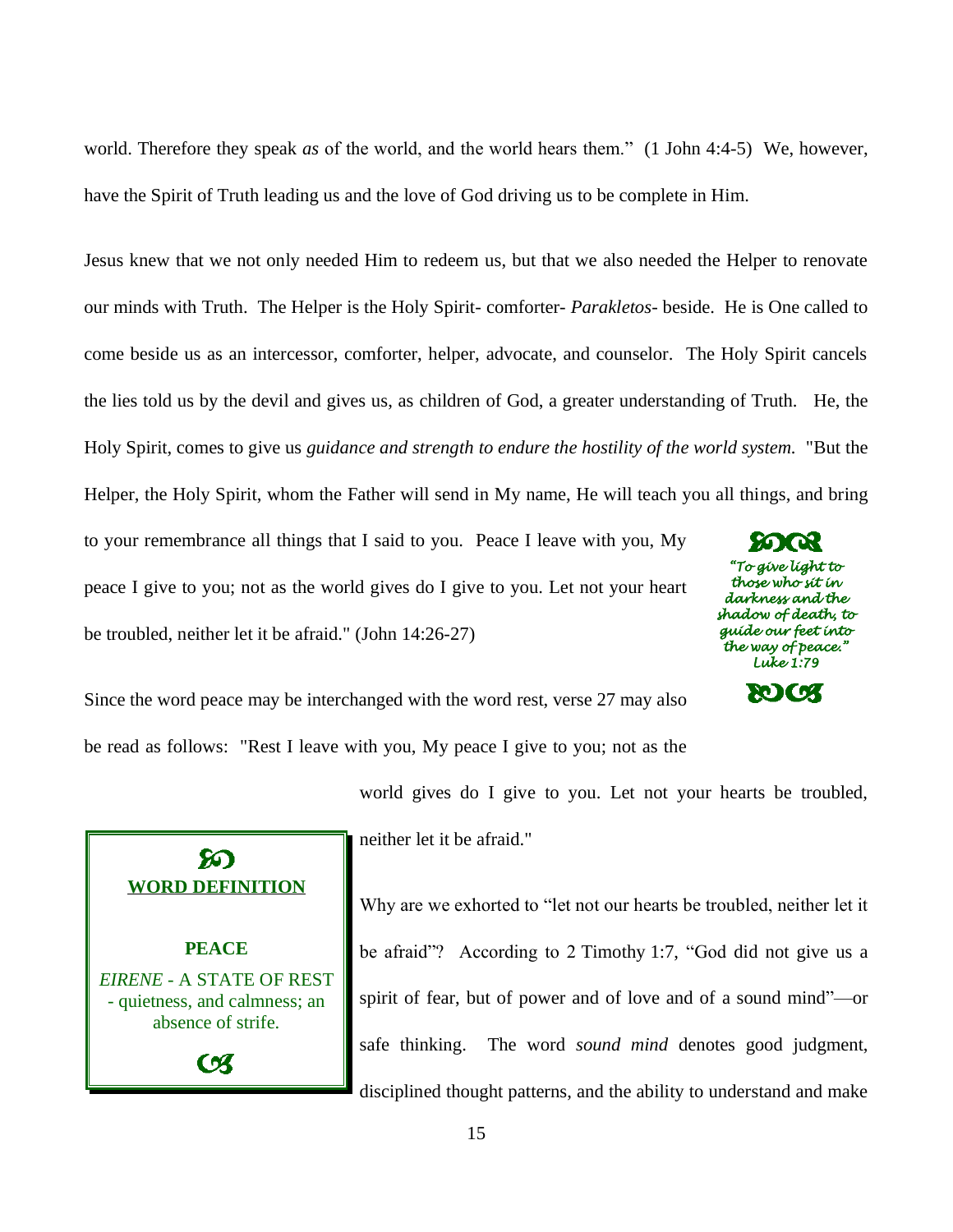world. Therefore they speak *as* of the world, and the world hears them." (1 John 4:4-5) We, however, have the Spirit of Truth leading us and the love of God driving us to be complete in Him.

Jesus knew that we not only needed Him to redeem us, but that we also needed the Helper to renovate our minds with Truth. The Helper is the Holy Spirit- comforter- *Parakletos*- beside. He is One called to come beside us as an intercessor, comforter, helper, advocate, and counselor. The Holy Spirit cancels the lies told us by the devil and gives us, as children of God, a greater understanding of Truth. He, the Holy Spirit, comes to give us *guidance and strength to endure the hostility of the world system.* "But the

Helper, the Holy Spirit, whom the Father will send in My name, He will teach you all things, and bring

to your remembrance all things that I said to you. Peace I leave with you, My peace I give to you; not as the world gives do I give to you. Let not your heart be troubled, neither let it be afraid." (John 14:26-27)



Since the word peace may be interchanged with the word rest, verse 27 may also be read as follows: "Rest I leave with you, My peace I give to you; not as the

world gives do I give to you. Let not your hearts be troubled,

neither let it be afraid."

Why are we exhorted to "let not our hearts be troubled, neither let it be afraid"? According to 2 Timothy 1:7, "God did not give us a spirit of fear, but of power and of love and of a sound mind"—or safe thinking. The word *sound mind* denotes good judgment, disciplined thought patterns, and the ability to understand and make

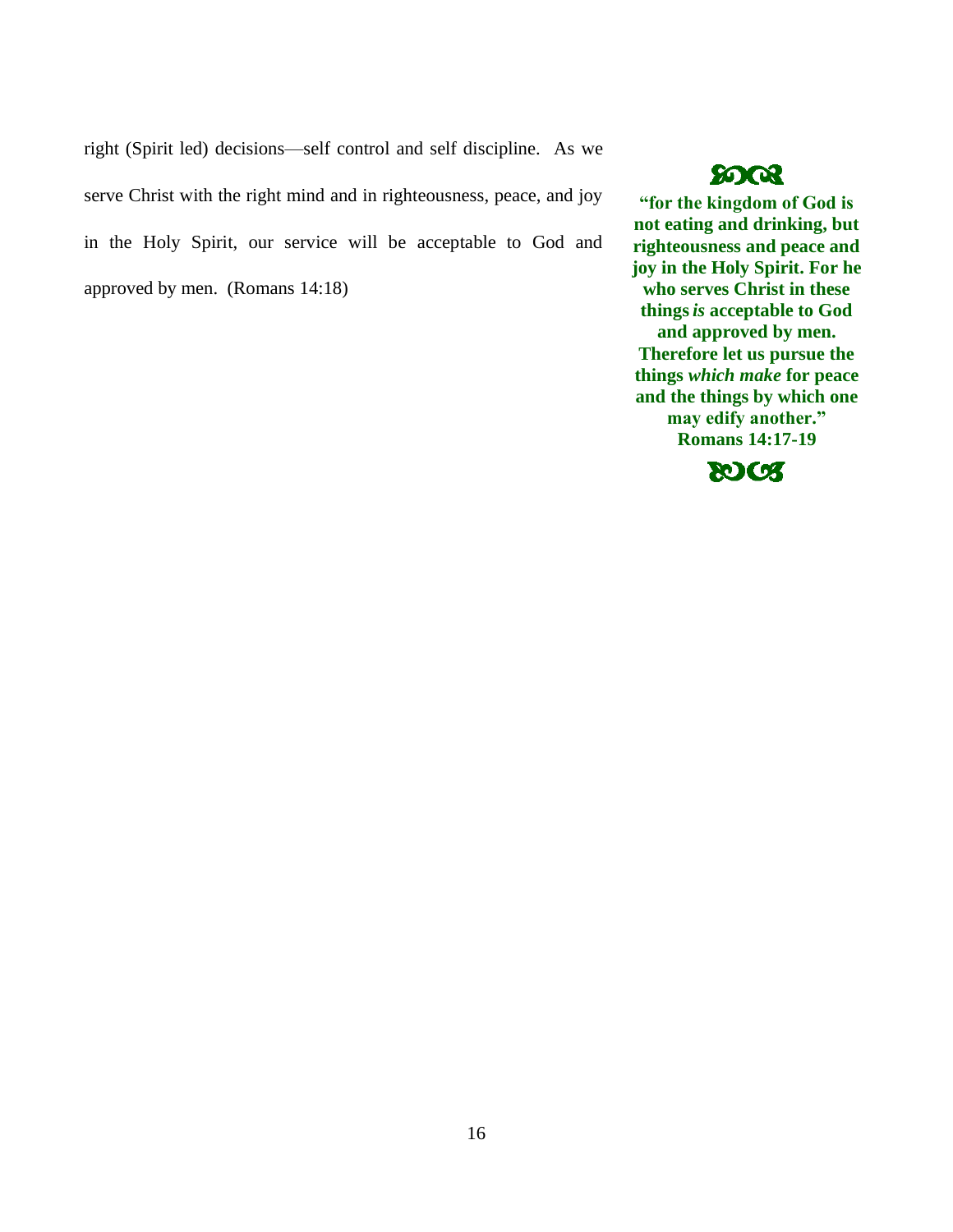right (Spirit led) decisions—self control and self discipline. As we serve Christ with the right mind and in righteousness, peace, and joy in the Holy Spirit, our service will be acceptable to God and approved by men. (Romans 14:18)

#### **8003**

**"for the kingdom of God is not eating and drinking, but righteousness and peace and joy in the Holy Spirit. For he who serves Christ in these things***is* **acceptable to God and approved by men. Therefore let us pursue the things** *which make* **for peace and the things by which one may edify another." Romans 14:17-19**

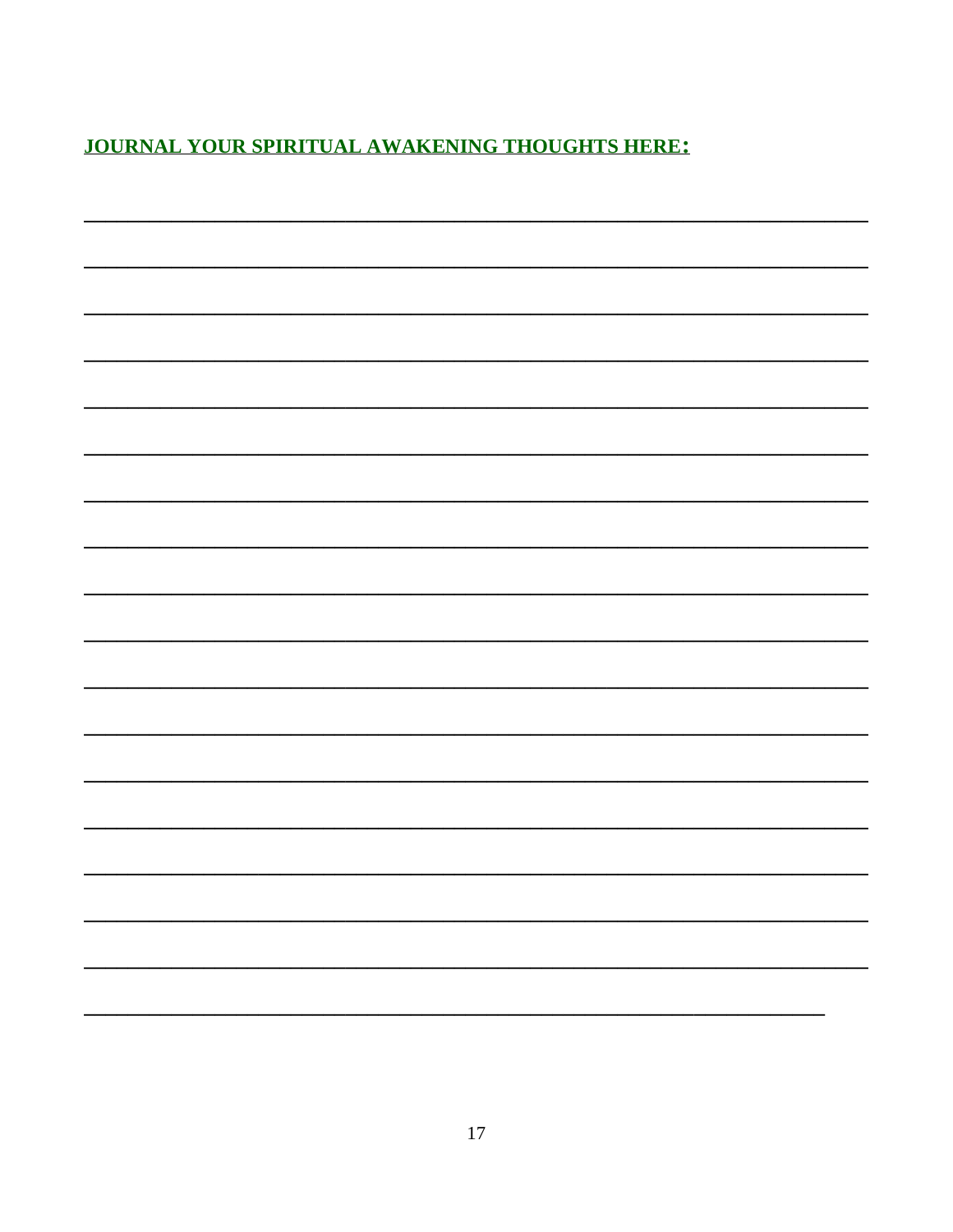#### **JOURNAL YOUR SPIRITUAL AWAKENING THOUGHTS HERE:**

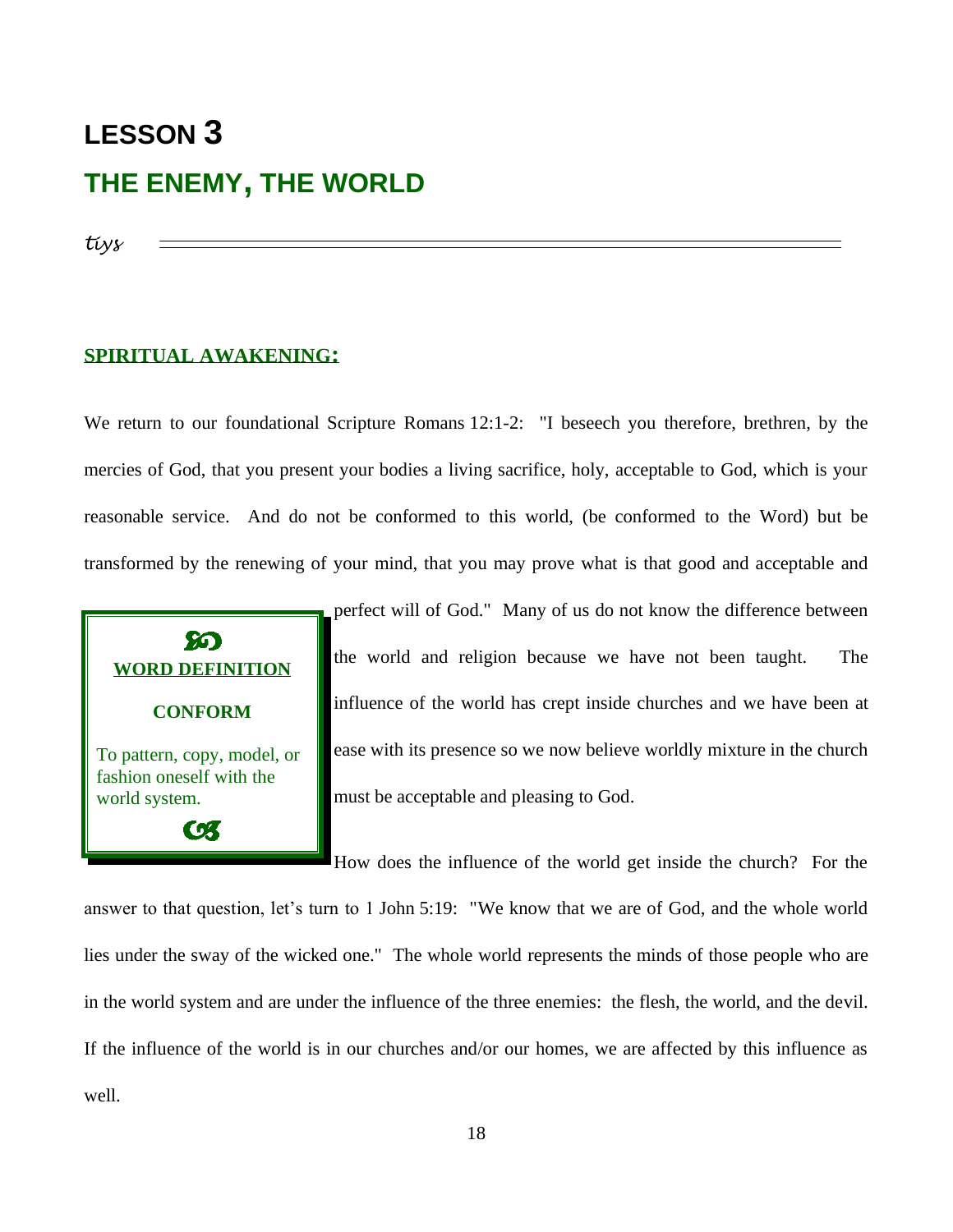# **LESSON 3 THE ENEMY, THE WORLD**

*tiys*

#### **SPIRITUAL AWAKENING:**

We return to our foundational Scripture Romans 12:1-2: "I beseech you therefore, brethren, by the mercies of God, that you present your bodies a living sacrifice, holy, acceptable to God, which is your reasonable service. And do not be conformed to this world, (be conformed to the Word) but be transformed by the renewing of your mind, that you may prove what is that good and acceptable and



perfect will of God."Many of us do not know the difference between the world and religion because we have not been taught. The influence of the world has crept inside churches and we have been at ease with its presence so we now believe worldly mixture in the church must be acceptable and pleasing to God.

How does the influence of the world get inside the church? For the

answer to that question, let's turn to 1 John 5:19: "We know that we are of God, and the whole world lies under the sway of the wicked one." The whole world represents the minds of those people who are in the world system and are under the influence of the three enemies: the flesh, the world, and the devil. If the influence of the world is in our churches and/or our homes, we are affected by this influence as well.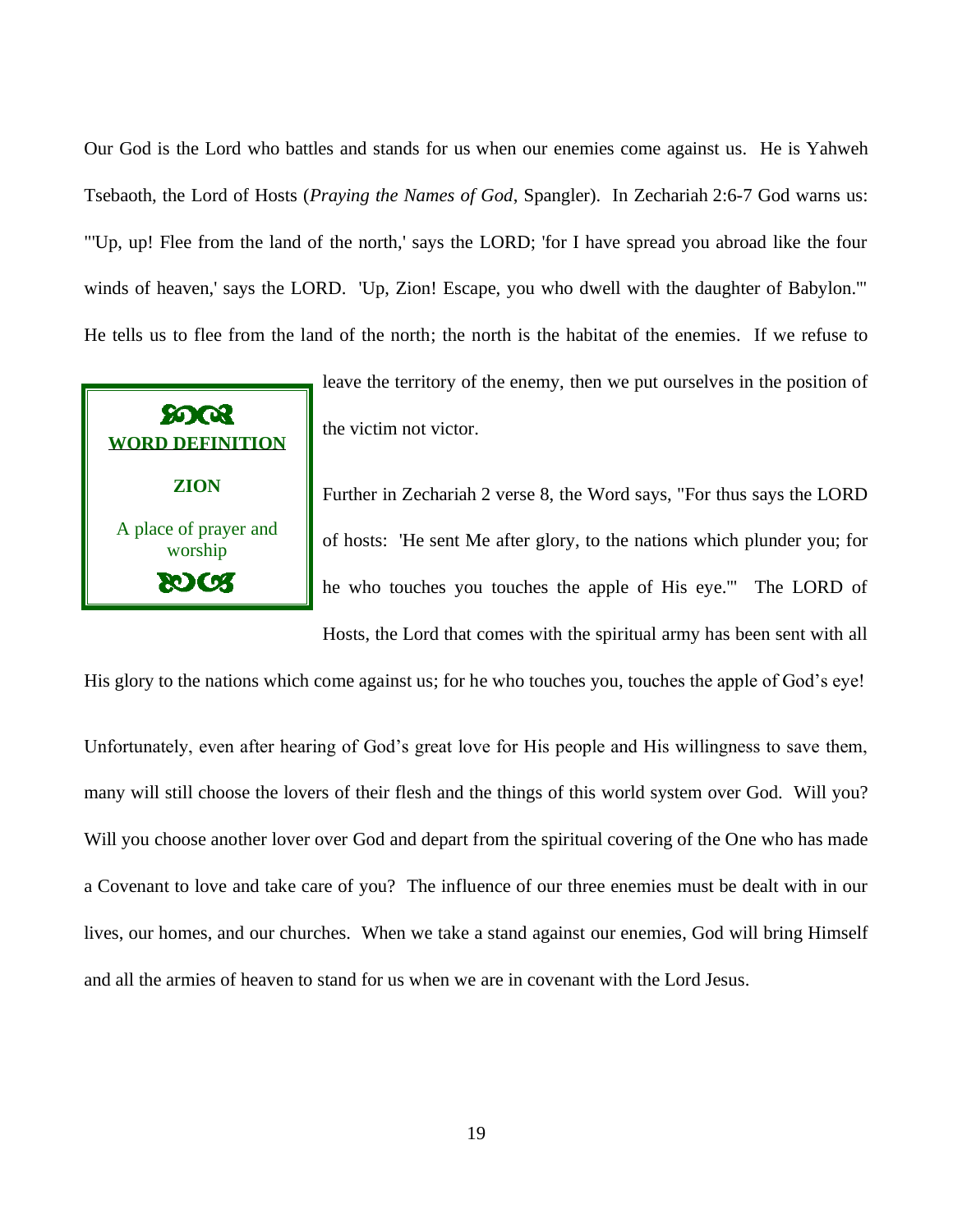Our God is the Lord who battles and stands for us when our enemies come against us. He is Yahweh Tsebaoth, the Lord of Hosts (*Praying the Names of God*, Spangler). In Zechariah 2:6-7 God warns us: "'Up, up! Flee from the land of the north,' says the LORD; 'for I have spread you abroad like the four winds of heaven,' says the LORD. 'Up, Zion! Escape, you who dwell with the daughter of Babylon.'" He tells us to flee from the land of the north; the north is the habitat of the enemies. If we refuse to



leave the territory of the enemy, then we put ourselves in the position of the victim not victor.

Further in Zechariah 2 verse 8, the Word says, "For thus says the LORD of hosts: 'He sent Me after glory, to the nations which plunder you; for he who touches you touches the apple of His eye.'" The LORD of Hosts, the Lord that comes with the spiritual army has been sent with all

His glory to the nations which come against us; for he who touches you, touches the apple of God's eye!

Unfortunately, even after hearing of God's great love for His people and His willingness to save them, many will still choose the lovers of their flesh and the things of this world system over God. Will you? Will you choose another lover over God and depart from the spiritual covering of the One who has made a Covenant to love and take care of you? The influence of our three enemies must be dealt with in our lives, our homes, and our churches. When we take a stand against our enemies, God will bring Himself and all the armies of heaven to stand for us when we are in covenant with the Lord Jesus.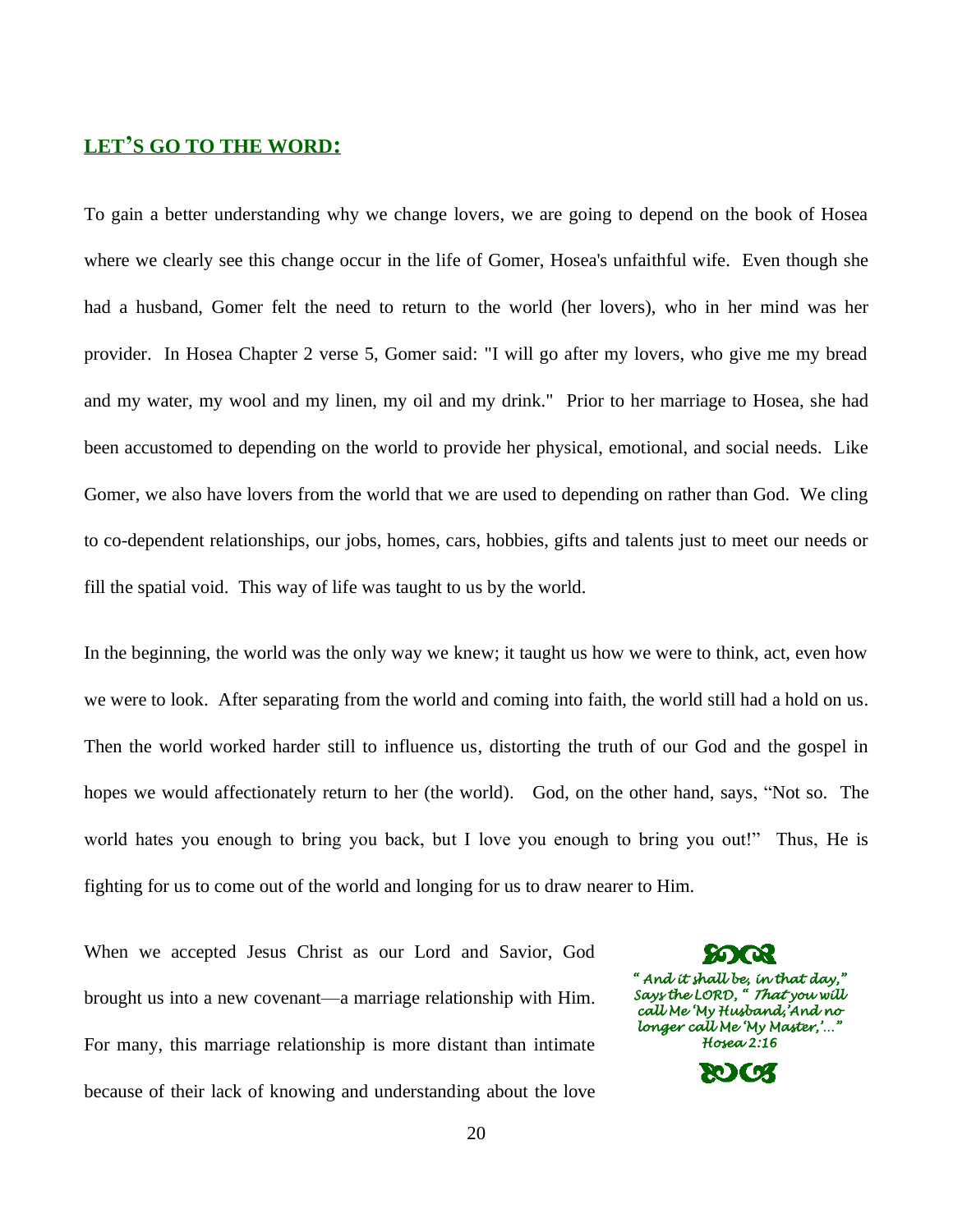#### **LET'S GO TO THE WORD:**

To gain a better understanding why we change lovers, we are going to depend on the book of Hosea where we clearly see this change occur in the life of Gomer, Hosea's unfaithful wife. Even though she had a husband, Gomer felt the need to return to the world (her lovers), who in her mind was her provider. In Hosea Chapter 2 verse 5, Gomer said: "I will go after my lovers, who give me my bread and my water, my wool and my linen, my oil and my drink." Prior to her marriage to Hosea, she had been accustomed to depending on the world to provide her physical, emotional, and social needs. Like Gomer, we also have lovers from the world that we are used to depending on rather than God. We cling to co-dependent relationships, our jobs, homes, cars, hobbies, gifts and talents just to meet our needs or fill the spatial void. This way of life was taught to us by the world.

In the beginning, the world was the only way we knew; it taught us how we were to think, act, even how we were to look. After separating from the world and coming into faith, the world still had a hold on us. Then the world worked harder still to influence us, distorting the truth of our God and the gospel in hopes we would affectionately return to her (the world). God, on the other hand, says, "Not so. The world hates you enough to bring you back, but I love you enough to bring you out!" Thus, He is fighting for us to come out of the world and longing for us to draw nearer to Him.

When we accepted Jesus Christ as our Lord and Savior, God brought us into a new covenant—a marriage relationship with Him. For many, this marriage relationship is more distant than intimate because of their lack of knowing and understanding about the love

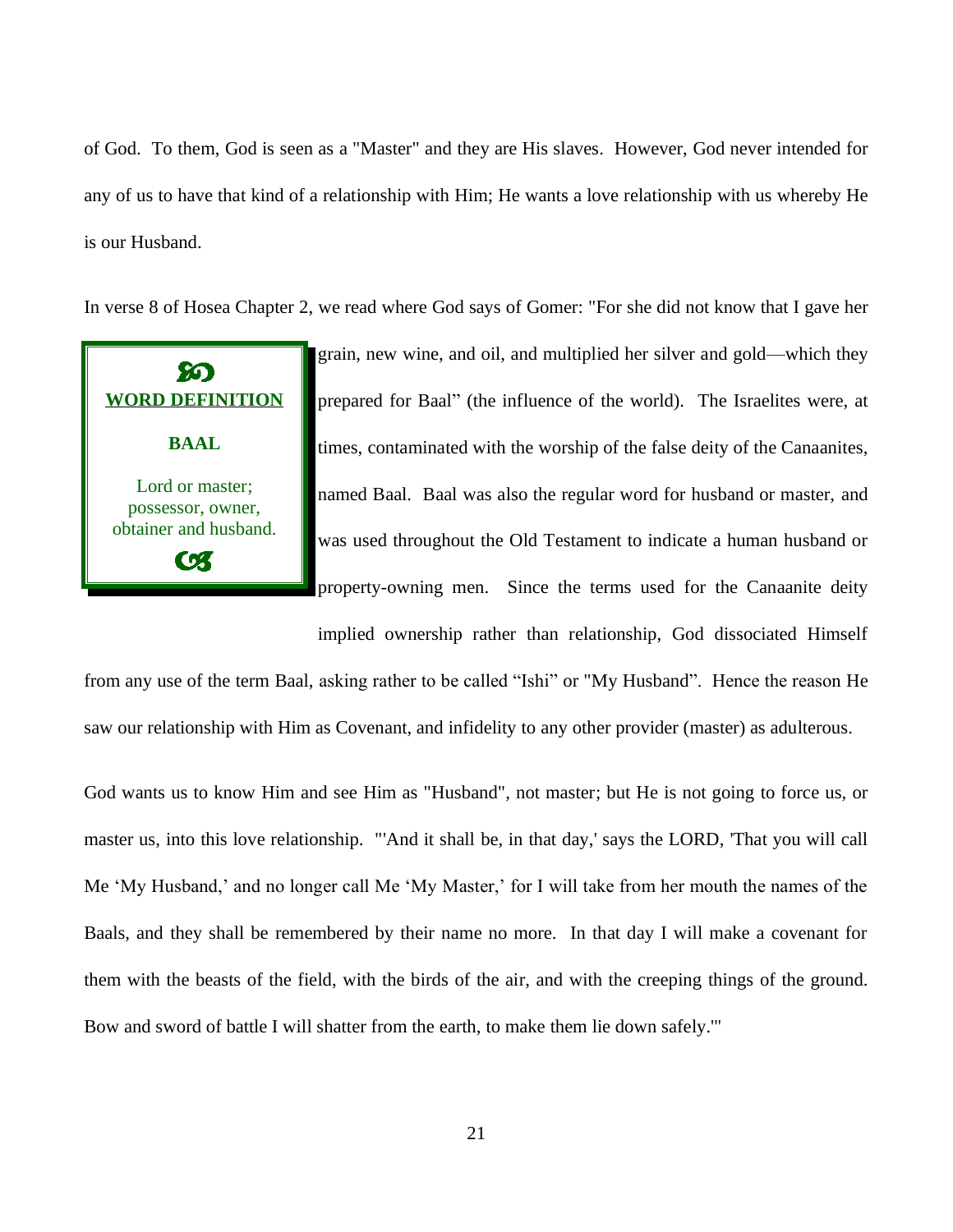of God. To them, God is seen as a "Master" and they are His slaves. However, God never intended for any of us to have that kind of a relationship with Him; He wants a love relationship with us whereby He is our Husband.

In verse 8 of Hosea Chapter 2, we read where God says of Gomer: "For she did not know that I gave her



grain, new wine, and oil, and multiplied her silver and gold—which they prepared for Baal" (the influence of the world). The Israelites were, at times, contaminated with the worship of the false deity of the Canaanites, named Baal. Baal was also the regular word for husband or master, and was used throughout the Old Testament to indicate a human husband or property-owning men. Since the terms used for the Canaanite deity

implied ownership rather than relationship, God dissociated Himself

from any use of the term Baal, asking rather to be called "Ishi" or "My Husband". Hence the reason He saw our relationship with Him as Covenant, and infidelity to any other provider (master) as adulterous.

God wants us to know Him and see Him as "Husband", not master; but He is not going to force us, or master us, into this love relationship. "'And it shall be, in that day,' says the LORD, 'That you will call Me 'My Husband,' and no longer call Me 'My Master,' for I will take from her mouth the names of the Baals, and they shall be remembered by their name no more. In that day I will make a covenant for them with the beasts of the field, with the birds of the air, and with the creeping things of the ground. Bow and sword of battle I will shatter from the earth, to make them lie down safely.'"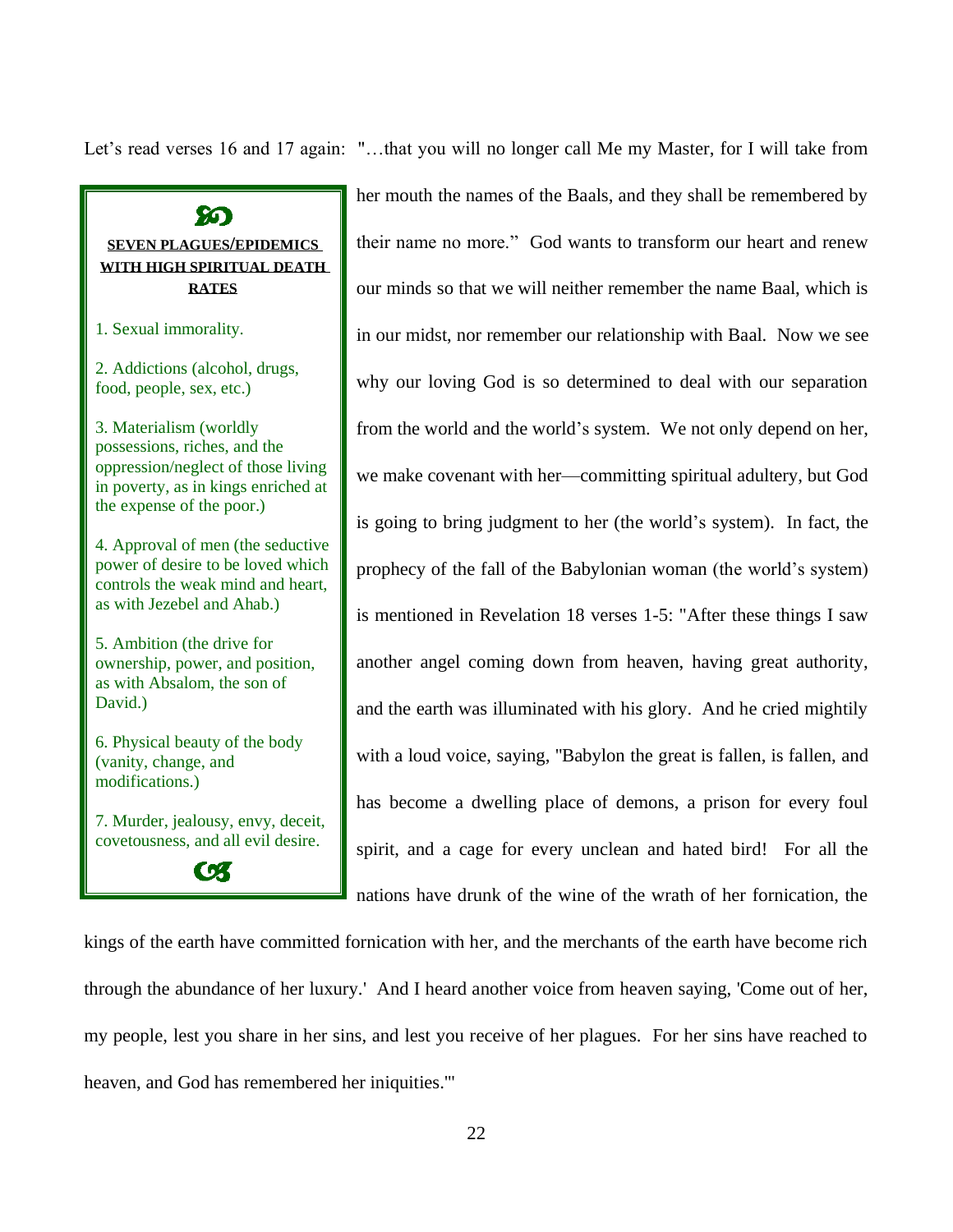Let's read verses 16 and 17 again: "…that you will no longer call Me my Master, for I will take from

**SO** 

#### **SEVEN PLAGUES/EPIDEMICS WITH HIGH SPIRITUAL DEATH RATES**

1. Sexual immorality.

2. Addictions (alcohol, drugs, food, people, sex, etc.)

3. Materialism (worldly possessions, riches, and the oppression/neglect of those living in poverty, as in kings enriched at the expense of the poor.)

4. Approval of men (the seductive power of desire to be loved which controls the weak mind and heart, as with Jezebel and Ahab.)

5. Ambition (the drive for ownership, power, and position, as with Absalom, the son of David.)

6. Physical beauty of the body (vanity, change, and modifications.)

7. Murder, jealousy, envy, deceit, covetousness, and all evil desire.

**C** 

her mouth the names of the Baals, and they shall be remembered by their name no more." God wants to transform our heart and renew our minds so that we will neither remember the name Baal, which is in our midst, nor remember our relationship with Baal. Now we see why our loving God is so determined to deal with our separation from the world and the world's system. We not only depend on her, we make covenant with her—committing spiritual adultery, but God is going to bring judgment to her (the world's system). In fact, the prophecy of the fall of the Babylonian woman (the world's system) is mentioned in Revelation 18 verses 1-5: "After these things I saw another angel coming down from heaven, having great authority, and the earth was illuminated with his glory. And he cried mightily with a loud voice, saying, ''Babylon the great is fallen, is fallen, and has become a dwelling place of demons, a prison for every foul spirit, and a cage for every unclean and hated bird! For all the nations have drunk of the wine of the wrath of her fornication, the

kings of the earth have committed fornication with her, and the merchants of the earth have become rich through the abundance of her luxury.' And I heard another voice from heaven saying, 'Come out of her, my people, lest you share in her sins, and lest you receive of her plagues. For her sins have reached to heaven, and God has remembered her iniquities.'"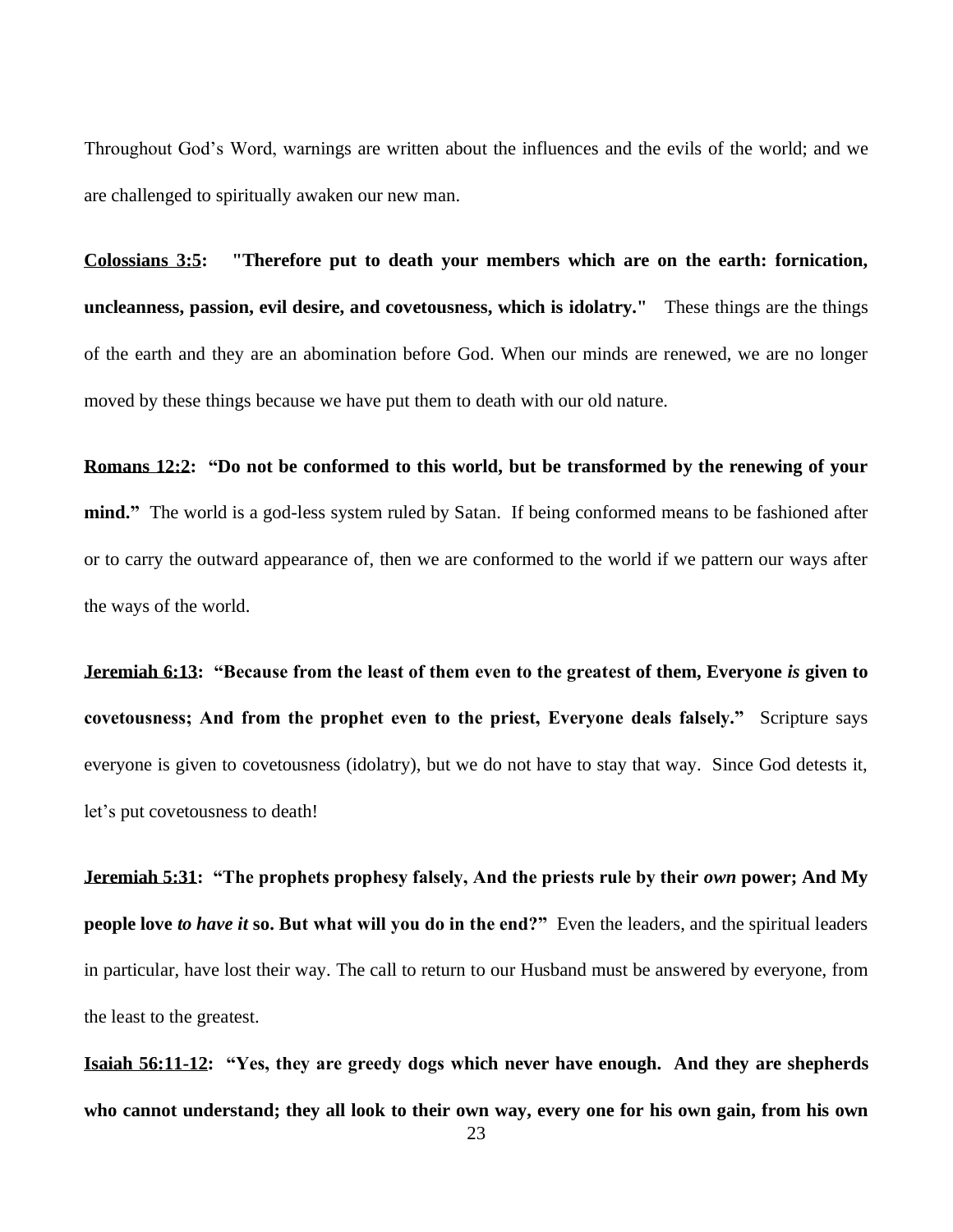Throughout God's Word, warnings are written about the influences and the evils of the world; and we are challenged to spiritually awaken our new man.

**Colossians 3:5: "Therefore put to death your members which are on the earth: fornication, uncleanness, passion, evil desire, and covetousness, which is idolatry."** These things are the things of the earth and they are an abomination before God. When our minds are renewed, we are no longer moved by these things because we have put them to death with our old nature.

**Romans 12:2: "Do not be conformed to this world, but be transformed by the renewing of your**  mind." The world is a god-less system ruled by Satan. If being conformed means to be fashioned after or to carry the outward appearance of, then we are conformed to the world if we pattern our ways after the ways of the world.

**Jeremiah 6:13: "Because from the least of them even to the greatest of them, Everyone** *is* **given to covetousness; And from the prophet even to the priest, Everyone deals falsely."** Scripture says everyone is given to covetousness (idolatry), but we do not have to stay that way. Since God detests it, let's put covetousness to death!

**Jeremiah 5:31: "The prophets prophesy falsely, And the priests rule by their** *own* **power; And My people love** *to have it* **so. But what will you do in the end?"** Even the leaders, and the spiritual leaders in particular, have lost their way. The call to return to our Husband must be answered by everyone, from the least to the greatest.

**Isaiah 56:11-12: "Yes, they are greedy dogs which never have enough. And they are shepherds who cannot understand; they all look to their own way, every one for his own gain, from his own**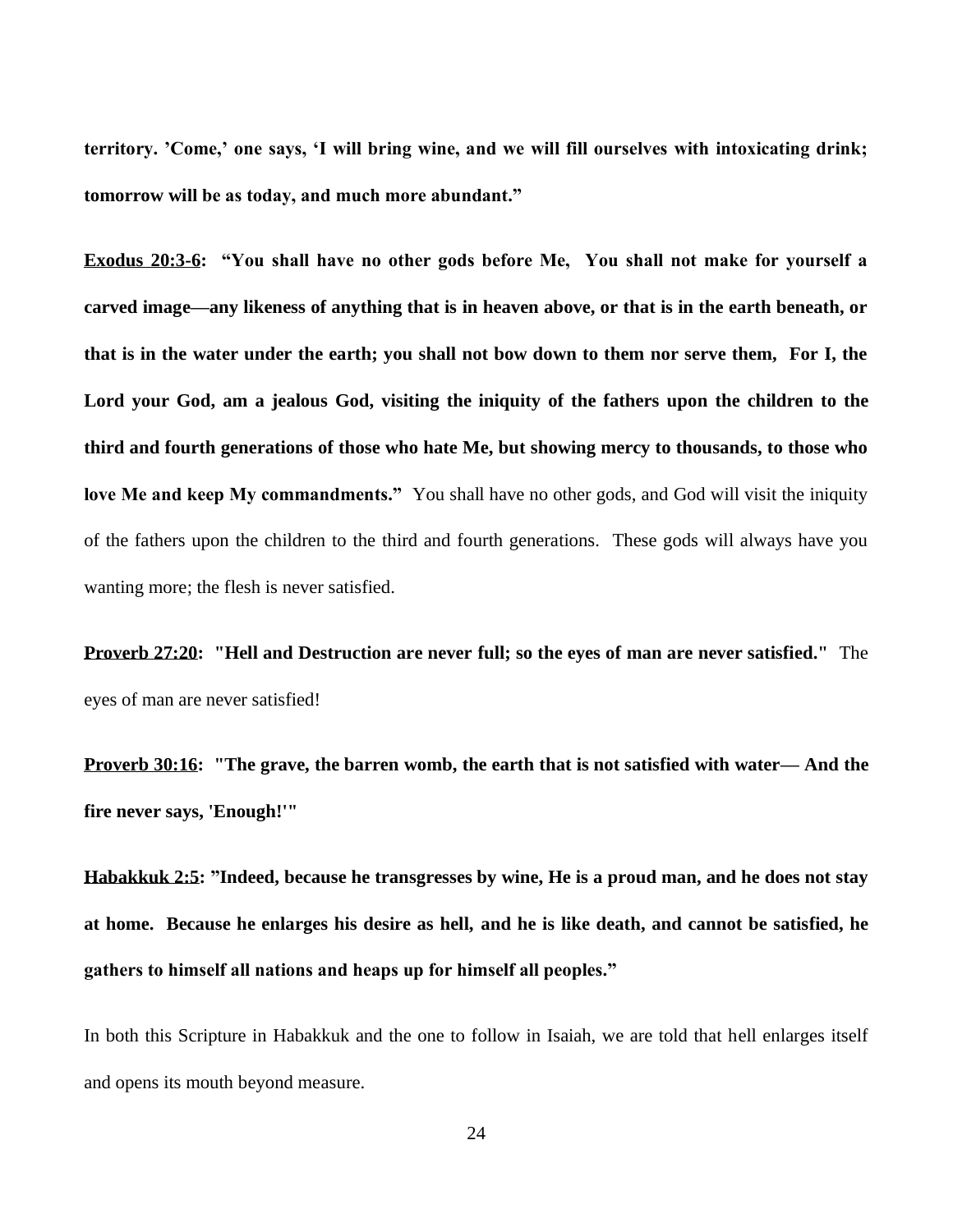**territory. 'Come,' one says, 'I will bring wine, and we will fill ourselves with intoxicating drink; tomorrow will be as today, and much more abundant."** 

**Exodus 20:3-6: "You shall have no other gods before Me, You shall not make for yourself a carved image—any likeness of anything that is in heaven above, or that is in the earth beneath, or that is in the water under the earth; you shall not bow down to them nor serve them, For I, the Lord your God, am a jealous God, visiting the iniquity of the fathers upon the children to the third and fourth generations of those who hate Me, but showing mercy to thousands, to those who love Me and keep My commandments."** You shall have no other gods, and God will visit the iniquity of the fathers upon the children to the third and fourth generations. These gods will always have you wanting more; the flesh is never satisfied.

**Proverb 27:20: "Hell and Destruction are never full; so the eyes of man are never satisfied."** The eyes of man are never satisfied!

**Proverb 30:16: "The grave, the barren womb, the earth that is not satisfied with water— And the fire never says, 'Enough!'"** 

**Habakkuk 2:5: "Indeed, because he transgresses by wine, He is a proud man, and he does not stay at home. Because he enlarges his desire as hell, and he is like death, and cannot be satisfied, he gathers to himself all nations and heaps up for himself all peoples."**

In both this Scripture in Habakkuk and the one to follow in Isaiah, we are told that hell enlarges itself and opens its mouth beyond measure.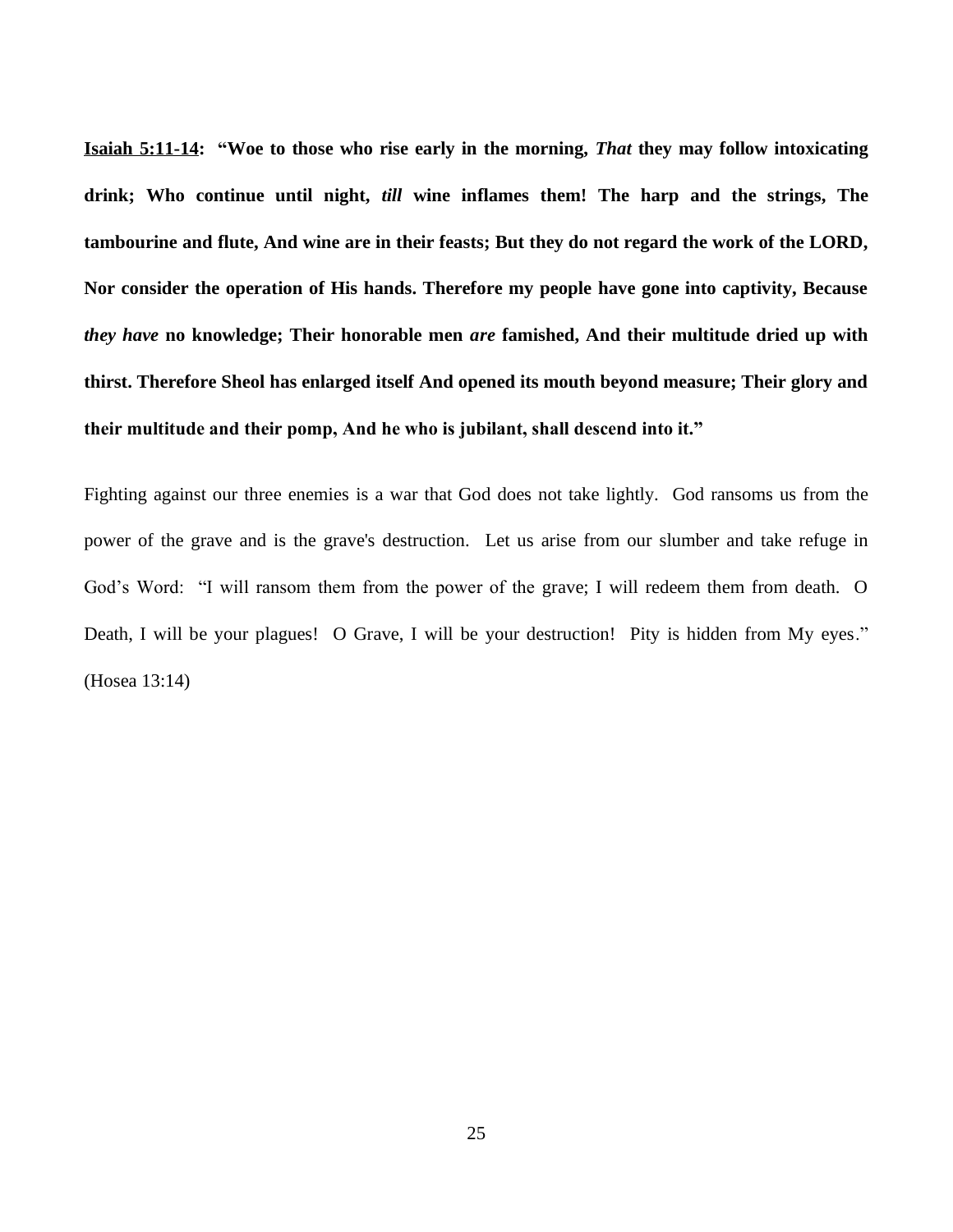**Isaiah 5:11-14: "Woe to those who rise early in the morning,** *That* **they may follow intoxicating drink; Who continue until night,** *till* **wine inflames them! The harp and the strings, The tambourine and flute, And wine are in their feasts; But they do not regard the work of the LORD, Nor consider the operation of His hands. Therefore my people have gone into captivity, Because**  *they have* **no knowledge; Their honorable men** *are* **famished, And their multitude dried up with thirst. Therefore Sheol has enlarged itself And opened its mouth beyond measure; Their glory and their multitude and their pomp, And he who is jubilant, shall descend into it."**

Fighting against our three enemies is a war that God does not take lightly. God ransoms us from the power of the grave and is the grave's destruction. Let us arise from our slumber and take refuge in God's Word: "I will ransom them from the power of the grave; I will redeem them from death. O Death, I will be your plagues! O Grave, I will be your destruction! Pity is hidden from My eyes." (Hosea 13:14)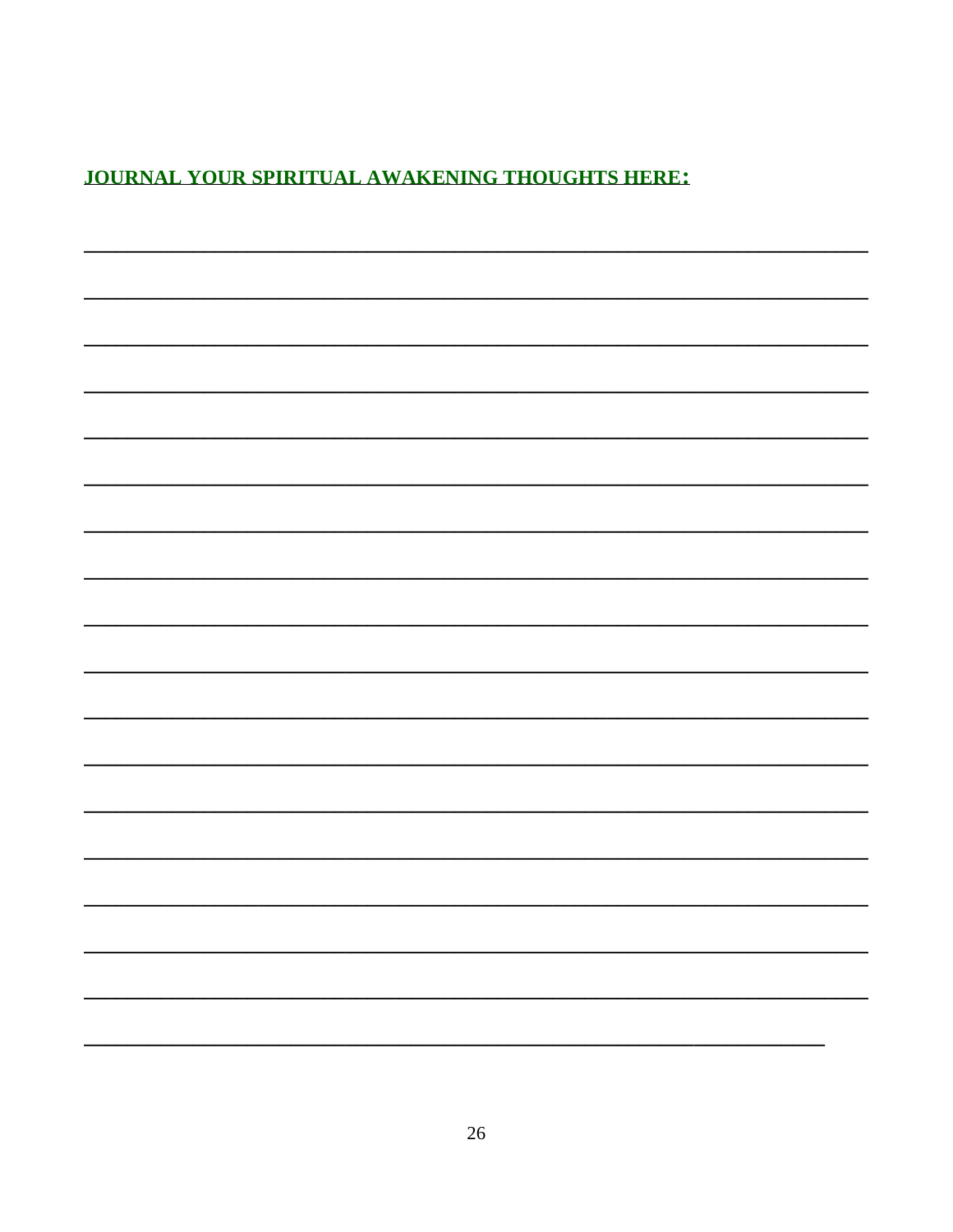#### **JOURNAL YOUR SPIRITUAL AWAKENING THOUGHTS HERE:**

 $\overline{\phantom{0}}$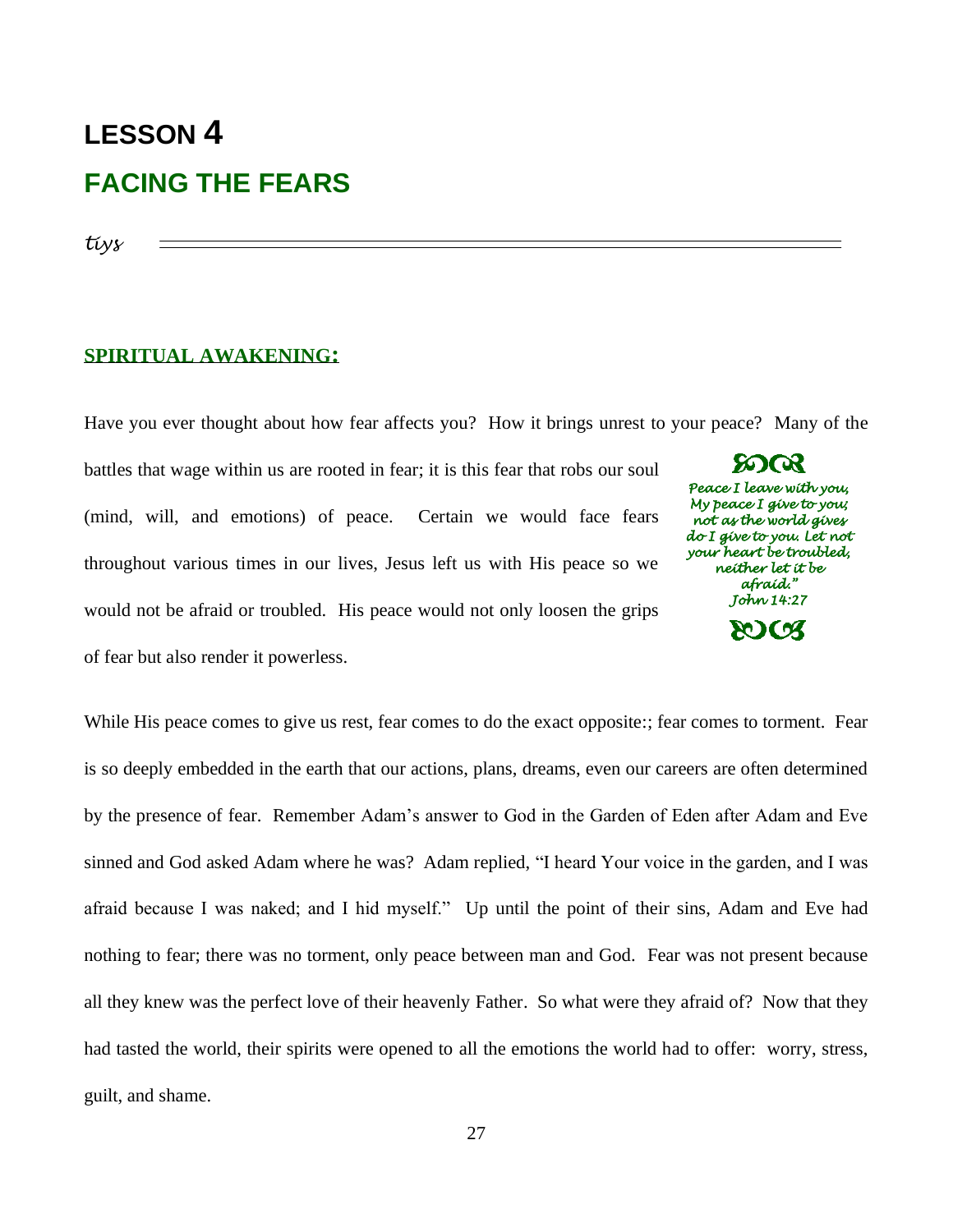# **LESSON 4 FACING THE FEARS**

*tiys*

#### **SPIRITUAL AWAKENING:**

Have you ever thought about how fear affects you? How it brings unrest to your peace? Many of the **2010X** battles that wage within us are rooted in fear; it is this fear that robs our soul *Peace I leave with you, My peace I give to you;*  (mind, will, and emotions) of peace. Certain we would face fears *not as the world gives do I give to you. Let not your heart be troubled,*  throughout various times in our lives, Jesus left us with His peace so we *neither let it be afraid." John 14:27* would not be afraid or troubled. His peace would not only loosen the grips **ROCA** of fear but also render it powerless.

While His peace comes to give us rest, fear comes to do the exact opposite:; fear comes to torment. Fear is so deeply embedded in the earth that our actions, plans, dreams, even our careers are often determined by the presence of fear. Remember Adam's answer to God in the Garden of Eden after Adam and Eve sinned and God asked Adam where he was? Adam replied, "I heard Your voice in the garden, and I was afraid because I was naked; and I hid myself." Up until the point of their sins, Adam and Eve had nothing to fear; there was no torment, only peace between man and God. Fear was not present because all they knew was the perfect love of their heavenly Father. So what were they afraid of? Now that they had tasted the world, their spirits were opened to all the emotions the world had to offer: worry, stress, guilt, and shame.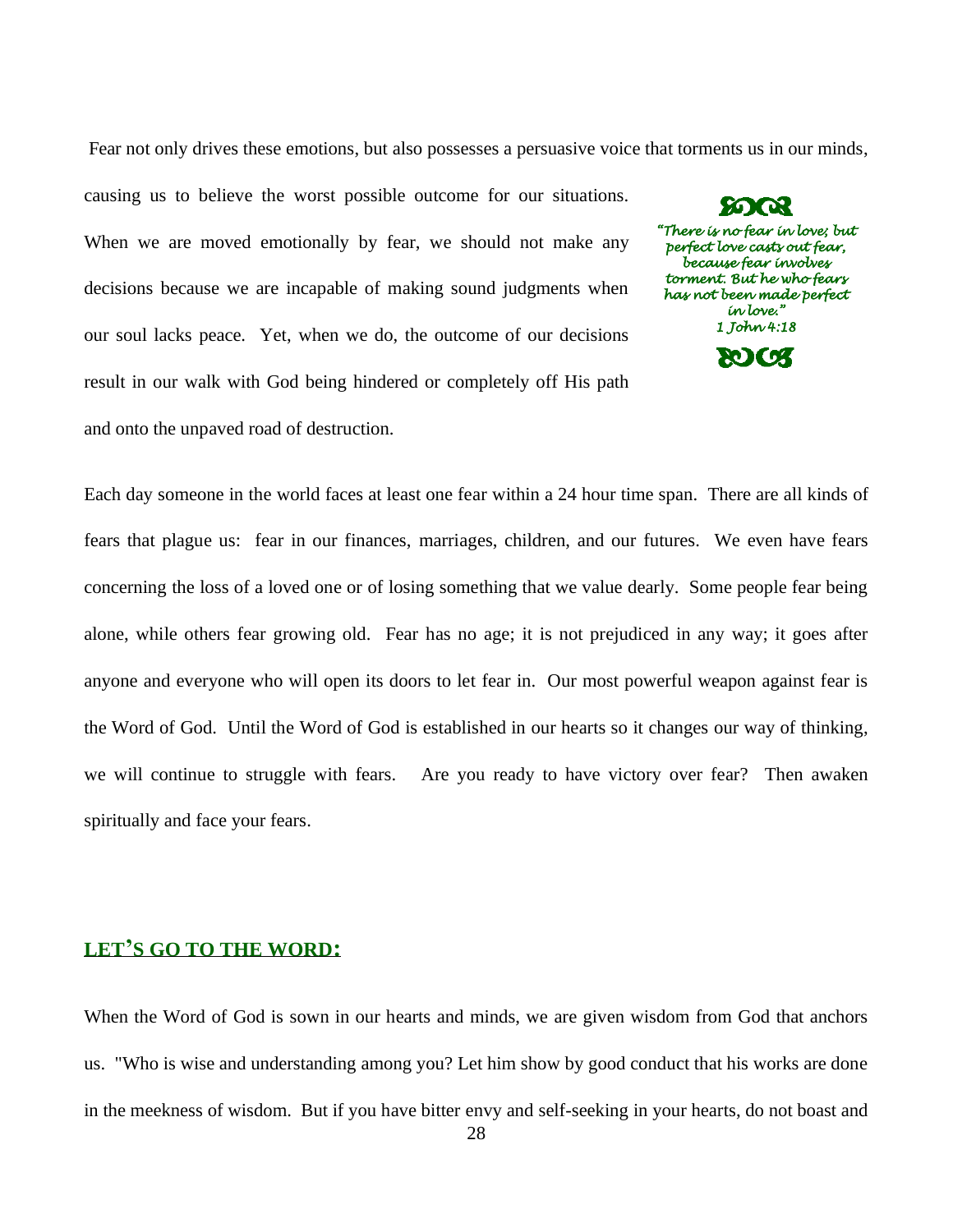Fear not only drives these emotions, but also possesses a persuasive voice that torments us in our minds,

causing us to believe the worst possible outcome for our situations. When we are moved emotionally by fear, we should not make any decisions because we are incapable of making sound judgments when our soul lacks peace. Yet, when we do, the outcome of our decisions result in our walk with God being hindered or completely off His path and onto the unpaved road of destruction.



Each day someone in the world faces at least one fear within a 24 hour time span. There are all kinds of fears that plague us: fear in our finances, marriages, children, and our futures. We even have fears concerning the loss of a loved one or of losing something that we value dearly. Some people fear being alone, while others fear growing old. Fear has no age; it is not prejudiced in any way; it goes after anyone and everyone who will open its doors to let fear in. Our most powerful weapon against fear is the Word of God. Until the Word of God is established in our hearts so it changes our way of thinking, we will continue to struggle with fears. Are you ready to have victory over fear? Then awaken spiritually and face your fears.

#### **LET'S GO TO THE WORD:**

When the Word of God is sown in our hearts and minds, we are given wisdom from God that anchors us. "Who is wise and understanding among you? Let him show by good conduct that his works are done in the meekness of wisdom. But if you have bitter envy and self-seeking in your hearts, do not boast and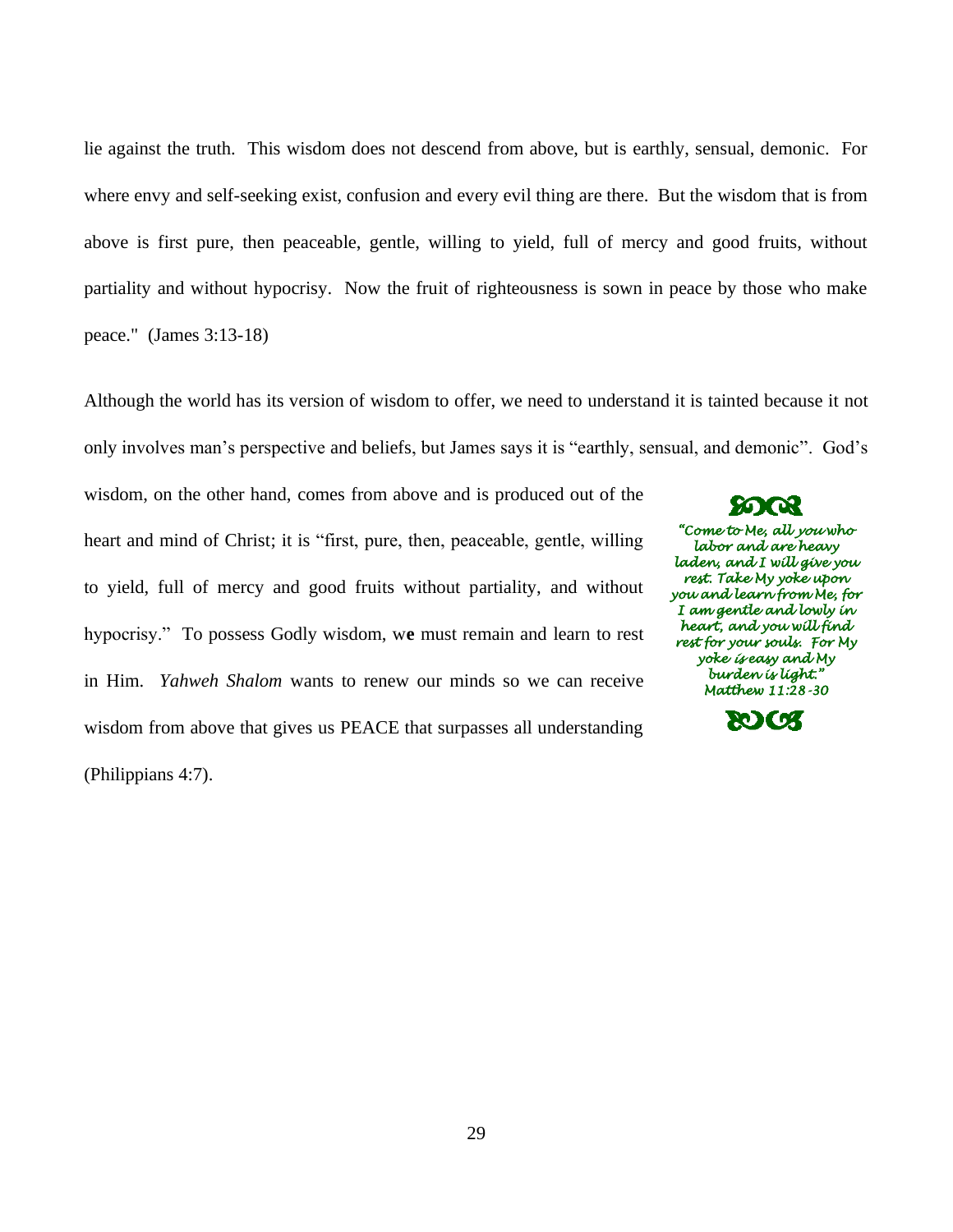lie against the truth. This wisdom does not descend from above, but is earthly, sensual, demonic. For where envy and self-seeking exist, confusion and every evil thing are there. But the wisdom that is from above is first pure, then peaceable, gentle, willing to yield, full of mercy and good fruits, without partiality and without hypocrisy. Now the fruit of righteousness is sown in peace by those who make peace." (James 3:13-18)

Although the world has its version of wisdom to offer, we need to understand it is tainted because it not only involves man's perspective and beliefs, but James says it is "earthly, sensual, and demonic". God's

wisdom, on the other hand, comes from above and is produced out of the heart and mind of Christ; it is "first, pure, then, peaceable, gentle, willing to yield, full of mercy and good fruits without partiality, and without hypocrisy." To possess Godly wisdom, w**e** must remain and learn to rest in Him. *Yahweh Shalom* wants to renew our minds so we can receive wisdom from above that gives us PEACE that surpasses all understanding (Philippians 4:7).



*"Come to Me, all you who labor and are heavy laden, and I will give you rest. Take My yoke upon you and learn from Me, for I am gentle and lowly in heart, and you will find rest for your souls. For My yoke is easy and My burden is light." Matthew 11:28-30* 

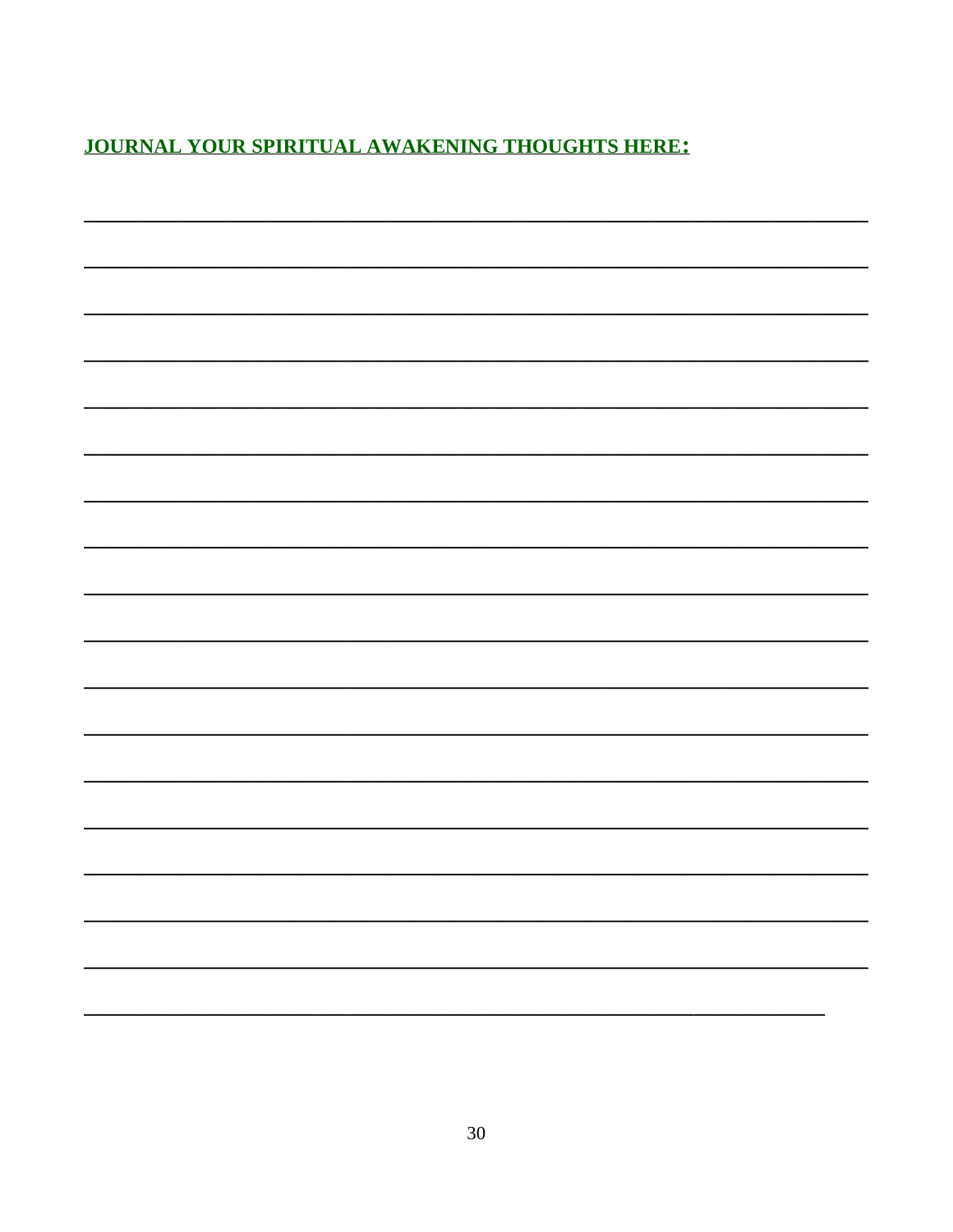## **JOURNAL YOUR SPIRITUAL AWAKENING THOUGHTS HERE:**

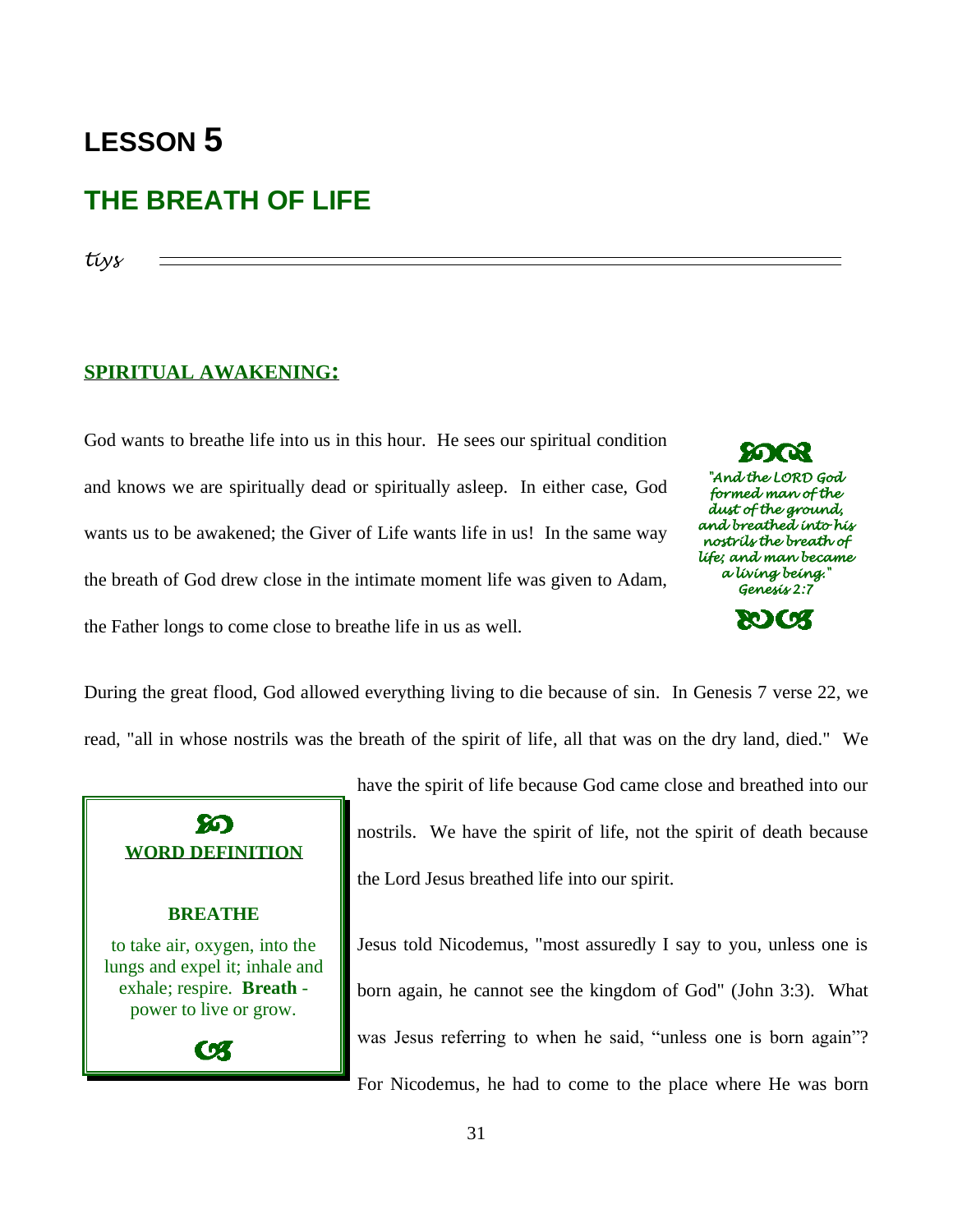# **LESSON 5**

## **THE BREATH OF LIFE**

*tiys*

#### **SPIRITUAL AWAKENING:**

God wants to breathe life into us in this hour. He sees our spiritual condition and knows we are spiritually dead or spiritually asleep. In either case, God wants us to be awakened; the Giver of Life wants life in us! In the same way the breath of God drew close in the intimate moment life was given to Adam, the Father longs to come close to breathe life in us as well.



During the great flood, God allowed everything living to die because of sin. In Genesis 7 verse 22, we read, "all in whose nostrils was the breath of the spirit of life, all that was on the dry land, died." We



to take air, oxygen, into the lungs and expel it; inhale and exhale; respire. **Breath** power to live or grow.

**C** 

have the spirit of life because God came close and breathed into our nostrils. We have the spirit of life, not the spirit of death because the Lord Jesus breathed life into our spirit.

Jesus told Nicodemus, "most assuredly I say to you, unless one is born again, he cannot see the kingdom of God" (John 3:3).What was Jesus referring to when he said, "unless one is born again"? For Nicodemus, he had to come to the place where He was born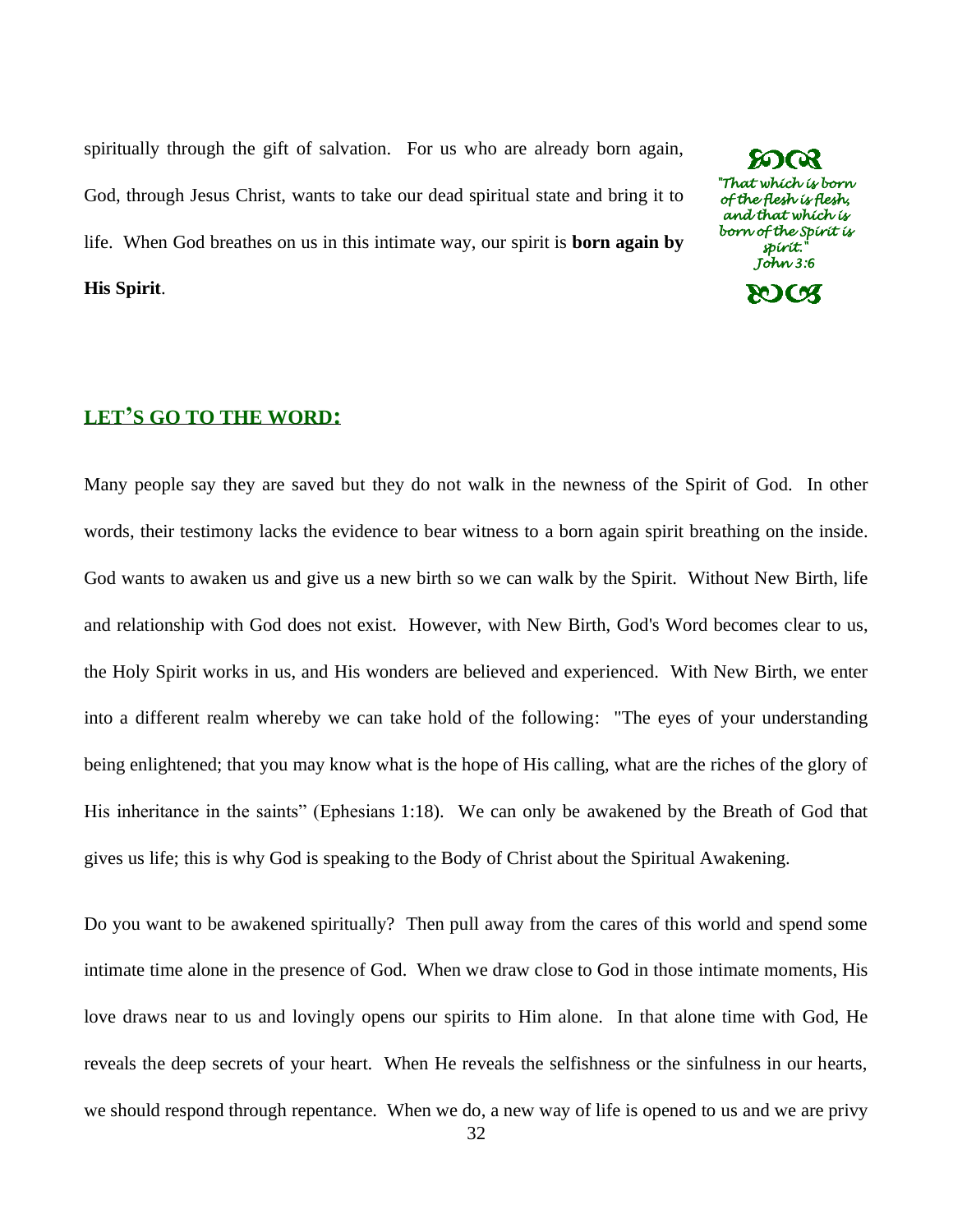spiritually through the gift of salvation. For us who are already born again, God, through Jesus Christ, wants to take our dead spiritual state and bring it to life. When God breathes on us in this intimate way, our spirit is **born again by His Spirit**.

ЮСК *"That which is born of the flesh is flesh, and that which is born of the Spirit is spirit." John 3:6*やつてのく

#### **LET'S GO TO THE WORD:**

Many people say they are saved but they do not walk in the newness of the Spirit of God. In other words, their testimony lacks the evidence to bear witness to a born again spirit breathing on the inside. God wants to awaken us and give us a new birth so we can walk by the Spirit. Without New Birth, life and relationship with God does not exist. However, with New Birth, God's Word becomes clear to us, the Holy Spirit works in us, and His wonders are believed and experienced. With New Birth, we enter into a different realm whereby we can take hold of the following: "The eyes of your understanding being enlightened; that you may know what is the hope of His calling, what are the riches of the glory of His inheritance in the saints" (Ephesians 1:18). We can only be awakened by the Breath of God that gives us life; this is why God is speaking to the Body of Christ about the Spiritual Awakening.

Do you want to be awakened spiritually? Then pull away from the cares of this world and spend some intimate time alone in the presence of God. When we draw close to God in those intimate moments, His love draws near to us and lovingly opens our spirits to Him alone. In that alone time with God, He reveals the deep secrets of your heart. When He reveals the selfishness or the sinfulness in our hearts, we should respond through repentance. When we do, a new way of life is opened to us and we are privy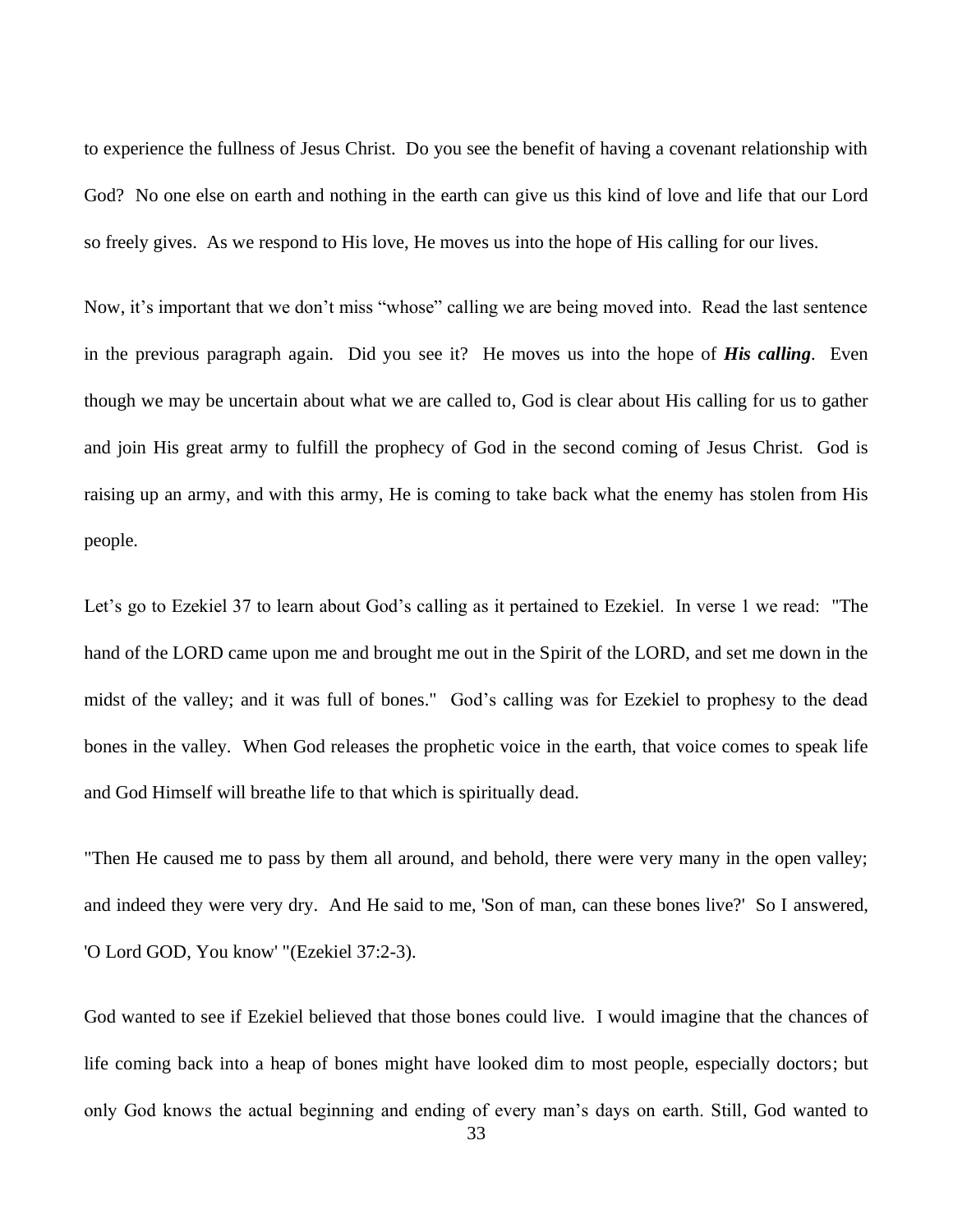to experience the fullness of Jesus Christ. Do you see the benefit of having a covenant relationship with God? No one else on earth and nothing in the earth can give us this kind of love and life that our Lord so freely gives. As we respond to His love, He moves us into the hope of His calling for our lives.

Now, it's important that we don't miss "whose" calling we are being moved into. Read the last sentence in the previous paragraph again. Did you see it? He moves us into the hope of *His calling*. Even though we may be uncertain about what we are called to, God is clear about His calling for us to gather and join His great army to fulfill the prophecy of God in the second coming of Jesus Christ. God is raising up an army, and with this army, He is coming to take back what the enemy has stolen from His people.

Let's go to Ezekiel 37 to learn about God's calling as it pertained to Ezekiel. In verse 1 we read: "The hand of the LORD came upon me and brought me out in the Spirit of the LORD, and set me down in the midst of the valley; and it was full of bones." God's calling was for Ezekiel to prophesy to the dead bones in the valley. When God releases the prophetic voice in the earth, that voice comes to speak life and God Himself will breathe life to that which is spiritually dead.

"Then He caused me to pass by them all around, and behold, there were very many in the open valley; and indeed they were very dry. And He said to me, 'Son of man, can these bones live?' So I answered, 'O Lord GOD, You know' "(Ezekiel 37:2-3).

God wanted to see if Ezekiel believed that those bones could live. I would imagine that the chances of life coming back into a heap of bones might have looked dim to most people, especially doctors; but only God knows the actual beginning and ending of every man's days on earth. Still, God wanted to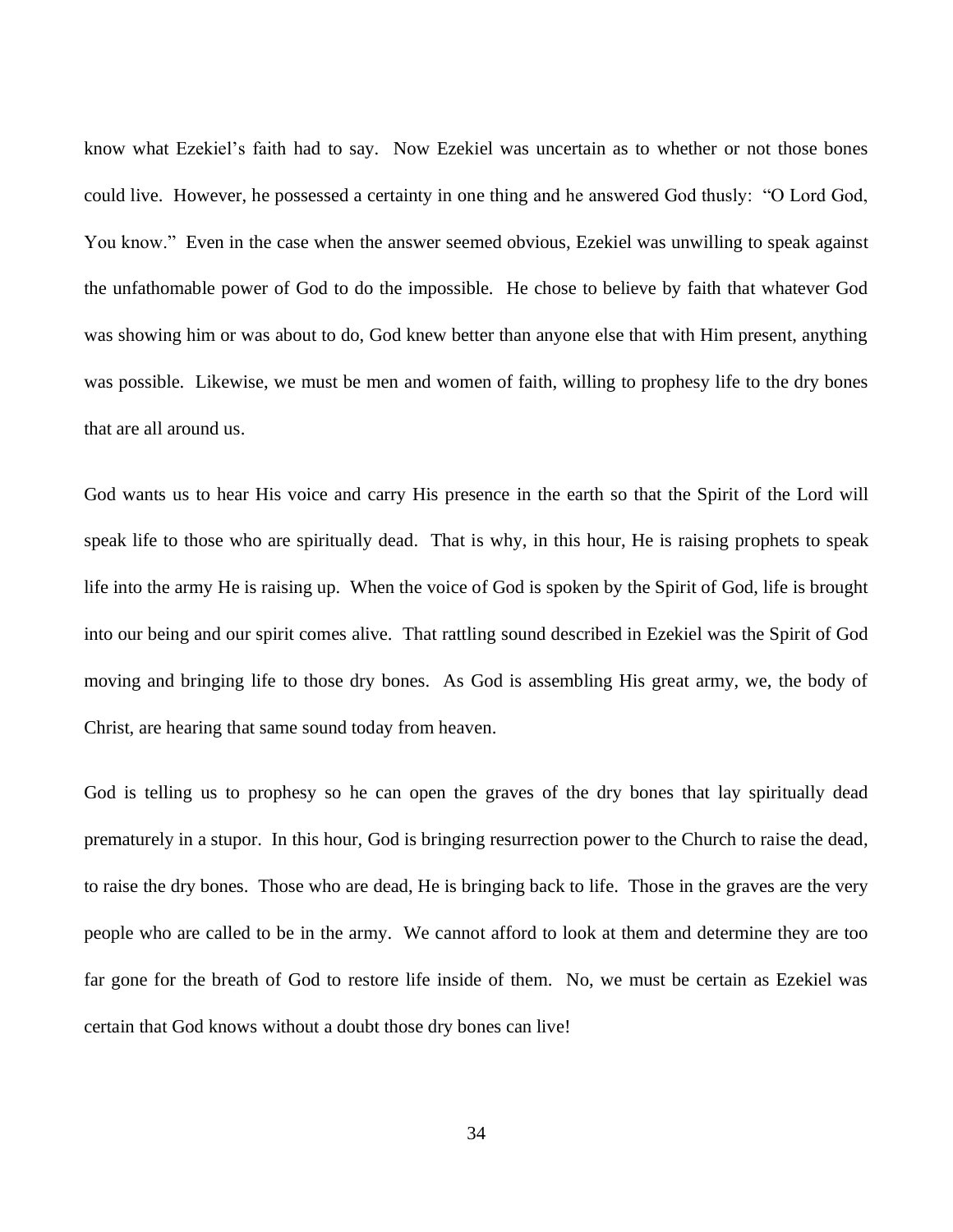know what Ezekiel's faith had to say. Now Ezekiel was uncertain as to whether or not those bones could live. However, he possessed a certainty in one thing and he answered God thusly: "O Lord God, You know." Even in the case when the answer seemed obvious, Ezekiel was unwilling to speak against the unfathomable power of God to do the impossible. He chose to believe by faith that whatever God was showing him or was about to do, God knew better than anyone else that with Him present, anything was possible. Likewise, we must be men and women of faith, willing to prophesy life to the dry bones that are all around us.

God wants us to hear His voice and carry His presence in the earth so that the Spirit of the Lord will speak life to those who are spiritually dead. That is why, in this hour, He is raising prophets to speak life into the army He is raising up. When the voice of God is spoken by the Spirit of God, life is brought into our being and our spirit comes alive. That rattling sound described in Ezekiel was the Spirit of God moving and bringing life to those dry bones. As God is assembling His great army, we, the body of Christ, are hearing that same sound today from heaven.

God is telling us to prophesy so he can open the graves of the dry bones that lay spiritually dead prematurely in a stupor. In this hour, God is bringing resurrection power to the Church to raise the dead, to raise the dry bones. Those who are dead, He is bringing back to life. Those in the graves are the very people who are called to be in the army. We cannot afford to look at them and determine they are too far gone for the breath of God to restore life inside of them. No, we must be certain as Ezekiel was certain that God knows without a doubt those dry bones can live!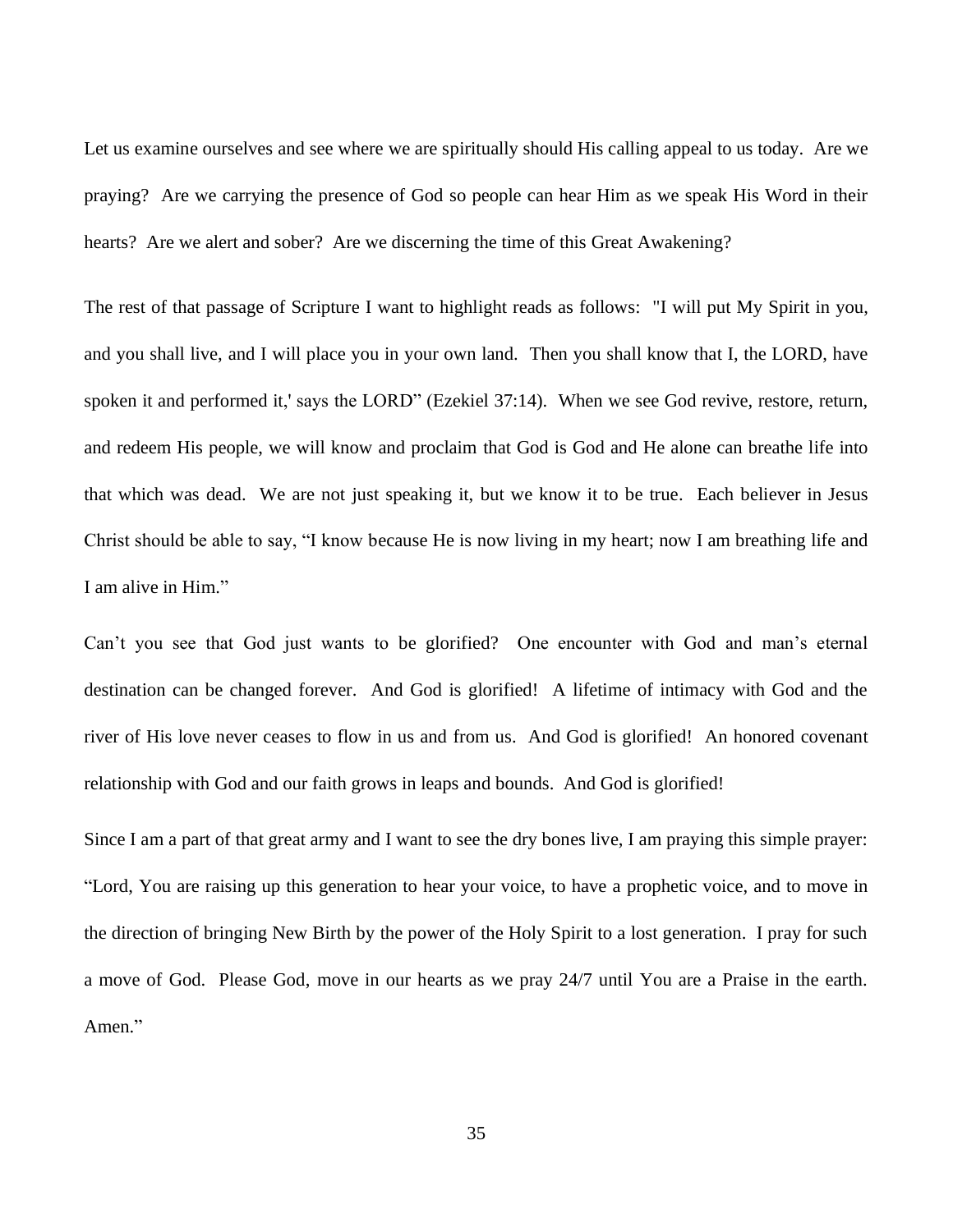Let us examine ourselves and see where we are spiritually should His calling appeal to us today. Are we praying? Are we carrying the presence of God so people can hear Him as we speak His Word in their hearts? Are we alert and sober? Are we discerning the time of this Great Awakening?

The rest of that passage of Scripture I want to highlight reads as follows: "I will put My Spirit in you, and you shall live, and I will place you in your own land. Then you shall know that I, the LORD, have spoken it and performed it,' says the LORD" (Ezekiel 37:14). When we see God revive, restore, return, and redeem His people, we will know and proclaim that God is God and He alone can breathe life into that which was dead. We are not just speaking it, but we know it to be true. Each believer in Jesus Christ should be able to say, "I know because He is now living in my heart; now I am breathing life and I am alive in Him."

Can't you see that God just wants to be glorified? One encounter with God and man's eternal destination can be changed forever. And God is glorified! A lifetime of intimacy with God and the river of His love never ceases to flow in us and from us. And God is glorified! An honored covenant relationship with God and our faith grows in leaps and bounds. And God is glorified!

Since I am a part of that great army and I want to see the dry bones live, I am praying this simple prayer: "Lord, You are raising up this generation to hear your voice, to have a prophetic voice, and to move in the direction of bringing New Birth by the power of the Holy Spirit to a lost generation. I pray for such a move of God. Please God, move in our hearts as we pray 24/7 until You are a Praise in the earth. Amen."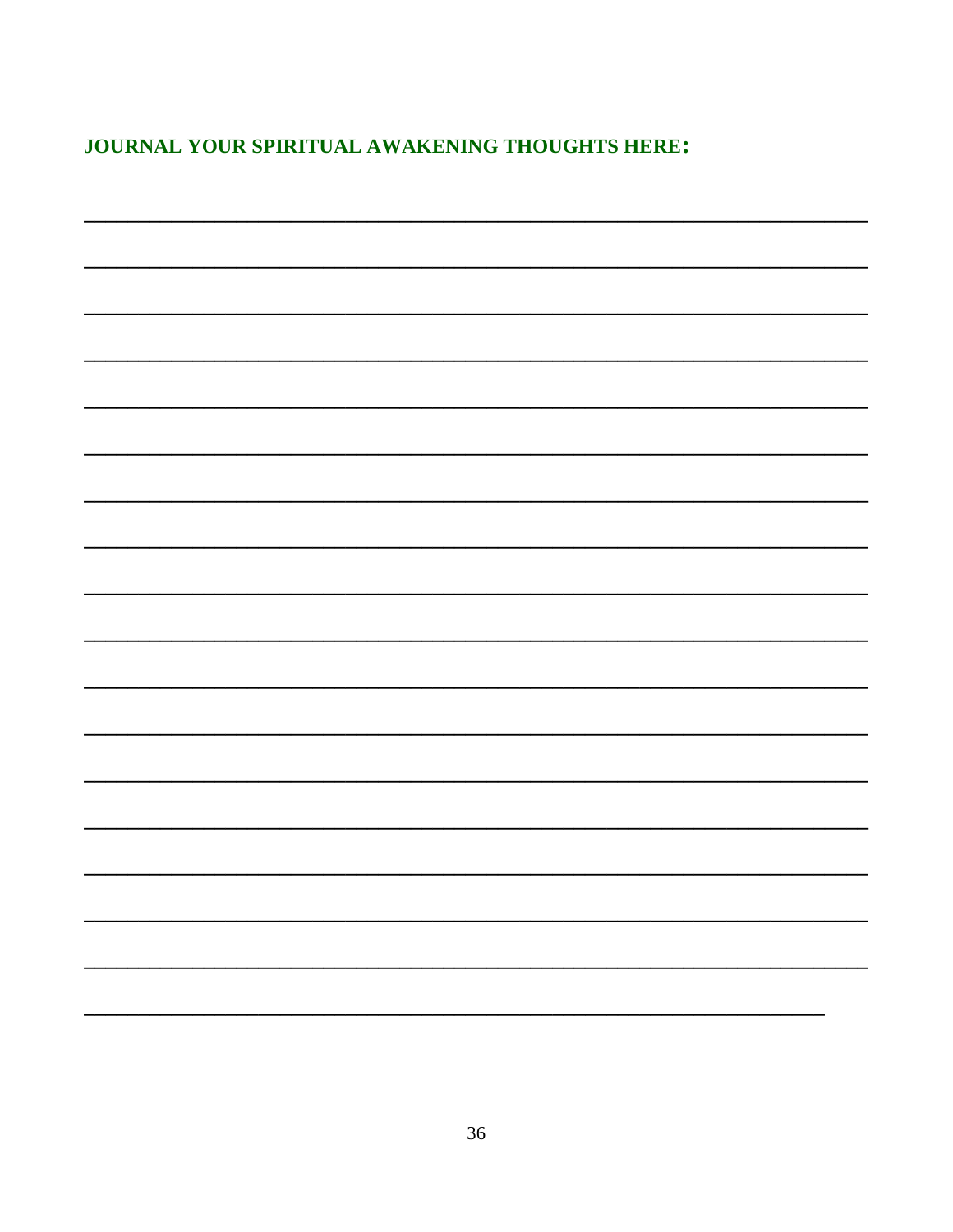## **JOURNAL YOUR SPIRITUAL AWAKENING THOUGHTS HERE:**

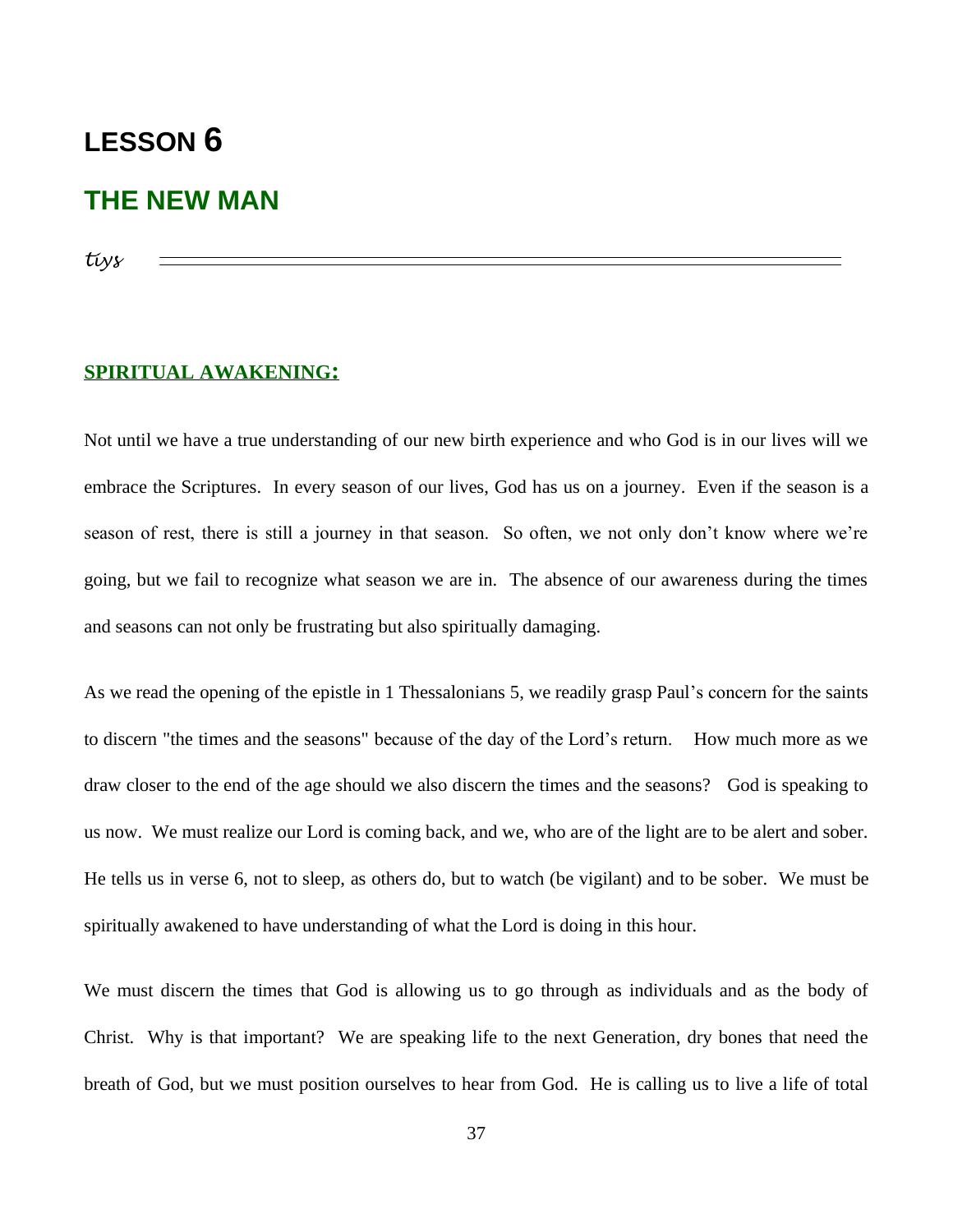# **LESSON 6**

# **THE NEW MAN**

*tiys*

### **SPIRITUAL AWAKENING:**

Not until we have a true understanding of our new birth experience and who God is in our lives will we embrace the Scriptures. In every season of our lives, God has us on a journey. Even if the season is a season of rest, there is still a journey in that season. So often, we not only don't know where we're going, but we fail to recognize what season we are in. The absence of our awareness during the times and seasons can not only be frustrating but also spiritually damaging.

As we read the opening of the epistle in 1 Thessalonians 5, we readily grasp Paul's concern for the saints to discern "the times and the seasons" because of the day of the Lord's return. How much more as we draw closer to the end of the age should we also discern the times and the seasons? God is speaking to us now. We must realize our Lord is coming back, and we, who are of the light are to be alert and sober. He tells us in verse 6, not to sleep, as others do, but to watch (be vigilant) and to be sober. We must be spiritually awakened to have understanding of what the Lord is doing in this hour.

We must discern the times that God is allowing us to go through as individuals and as the body of Christ. Why is that important? We are speaking life to the next Generation, dry bones that need the breath of God, but we must position ourselves to hear from God. He is calling us to live a life of total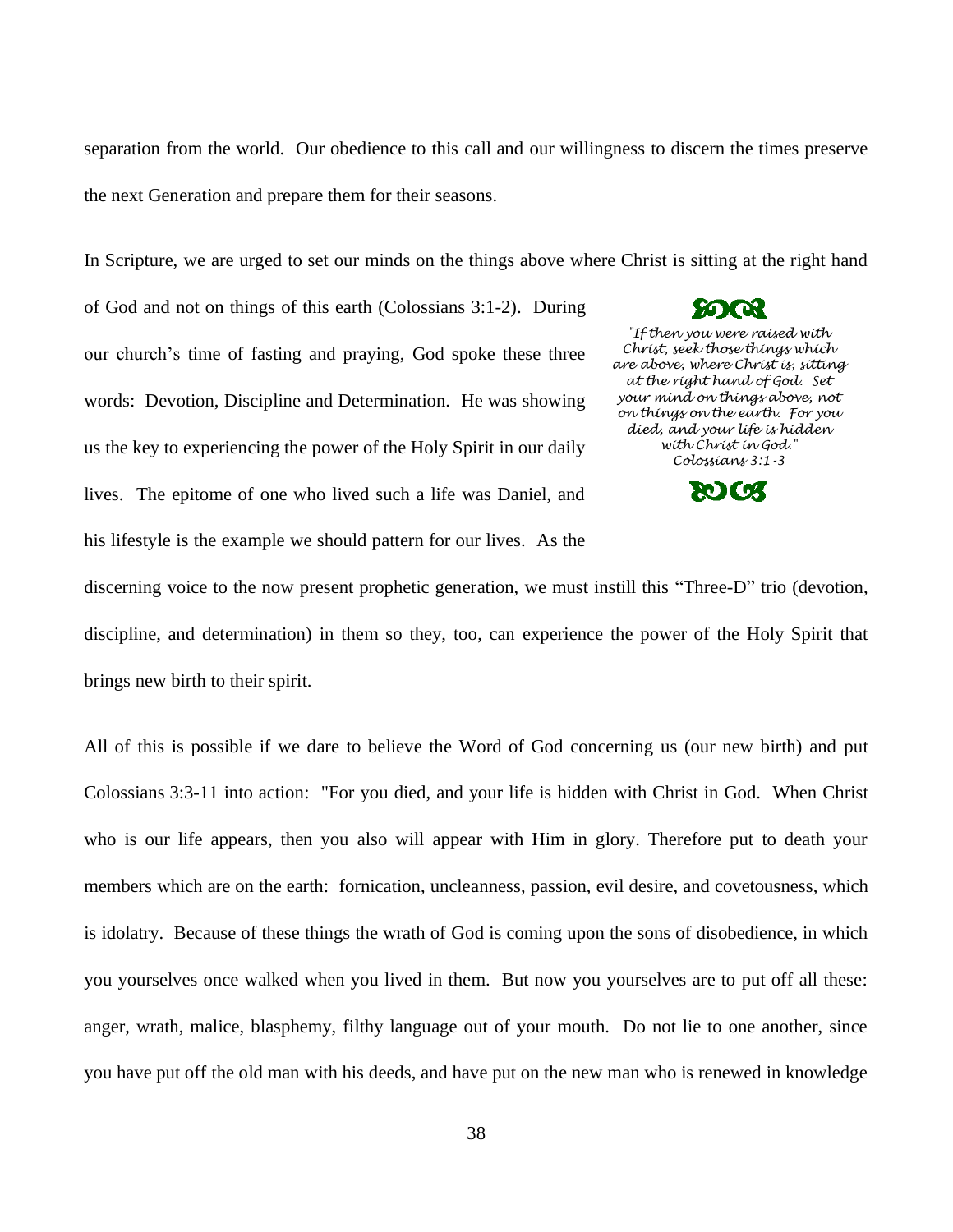separation from the world. Our obedience to this call and our willingness to discern the times preserve the next Generation and prepare them for their seasons.

In Scripture, we are urged to set our minds on the things above where Christ is sitting at the right hand

of God and not on things of this earth (Colossians 3:1-2). During our church's time of fasting and praying, God spoke these three words: Devotion, Discipline and Determination. He was showing us the key to experiencing the power of the Holy Spirit in our daily lives. The epitome of one who lived such a life was Daniel, and his lifestyle is the example we should pattern for our lives. As the



*"If then you were raised with Christ, seek those things which are above, where Christ is, sitting at the right hand of God. Set your mind on things above, not on things on the earth. For you died, and your life is hidden with Christ in God." Colossians 3:1-3*



discerning voice to the now present prophetic generation, we must instill this "Three-D" trio (devotion, discipline, and determination) in them so they, too, can experience the power of the Holy Spirit that brings new birth to their spirit.

All of this is possible if we dare to believe the Word of God concerning us (our new birth) and put Colossians 3:3-11 into action: "For you died, and your life is hidden with Christ in God. When Christ who is our life appears, then you also will appear with Him in glory. Therefore put to death your members which are on the earth: fornication, uncleanness, passion, evil desire, and covetousness, which is idolatry. Because of these things the wrath of God is coming upon the sons of disobedience, in which you yourselves once walked when you lived in them. But now you yourselves are to put off all these: anger, wrath, malice, blasphemy, filthy language out of your mouth. Do not lie to one another, since you have put off the old man with his deeds, and have put on the new man who is renewed in knowledge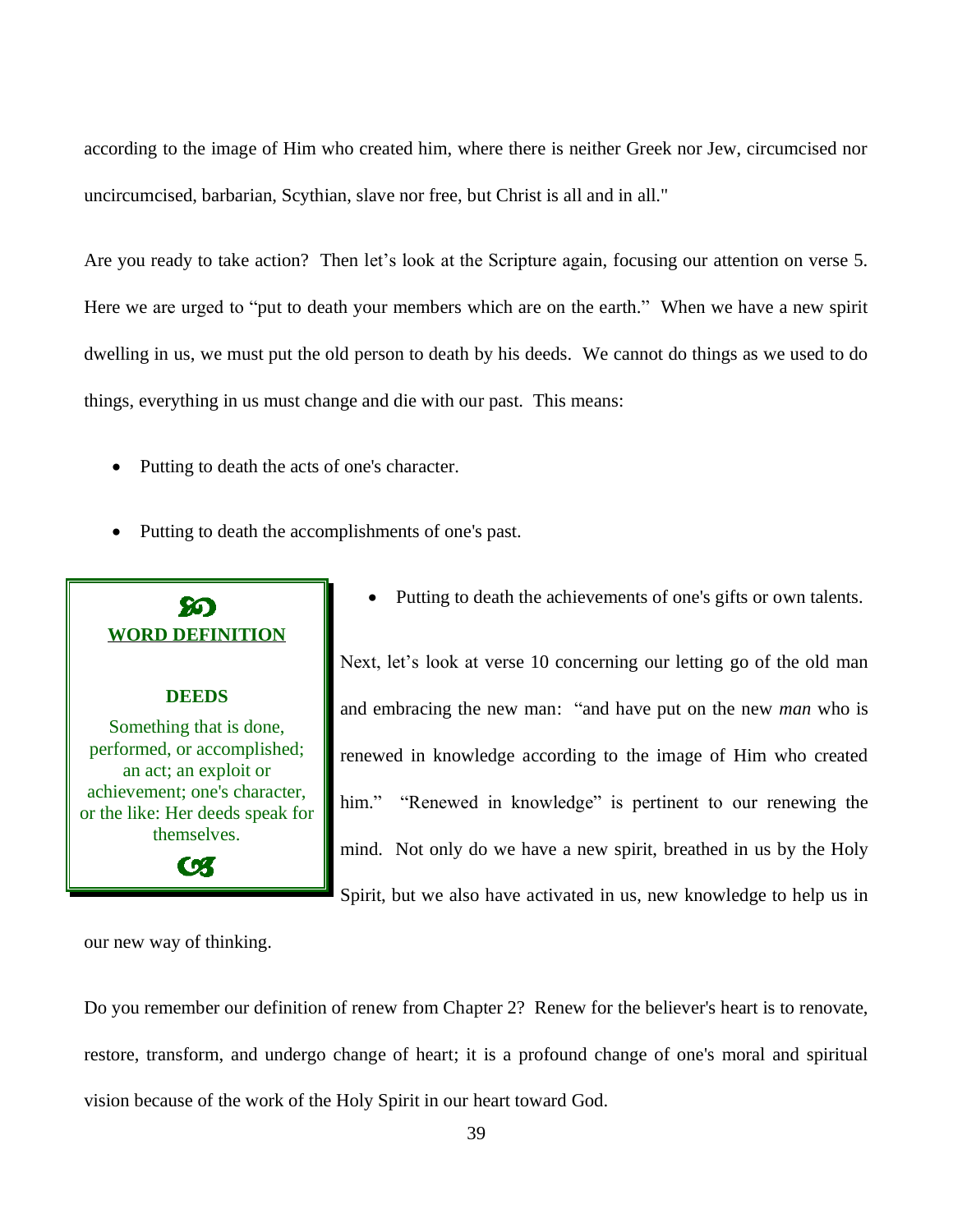according to the image of Him who created him, where there is neither Greek nor Jew, circumcised nor uncircumcised, barbarian, Scythian, slave nor free, but Christ is all and in all."

Are you ready to take action? Then let's look at the Scripture again, focusing our attention on verse 5. Here we are urged to "put to death your members which are on the earth." When we have a new spirit dwelling in us, we must put the old person to death by his deeds. We cannot do things as we used to do things, everything in us must change and die with our past. This means:

- Putting to death the acts of one's character.
- Putting to death the accomplishments of one's past.



Putting to death the achievements of one's gifts or own talents.

Next, let's look at verse 10 concerning our letting go of the old man and embracing the new man: "and have put on the new *man* who is renewed in knowledge according to the image of Him who created him." "Renewed in knowledge" is pertinent to our renewing the mind. Not only do we have a new spirit, breathed in us by the Holy Spirit, but we also have activated in us, new knowledge to help us in

our new way of thinking.

Do you remember our definition of renew from Chapter 2? Renew for the believer's heart is to renovate, restore, transform, and undergo change of heart; it is a profound change of one's moral and spiritual vision because of the work of the Holy Spirit in our heart toward God.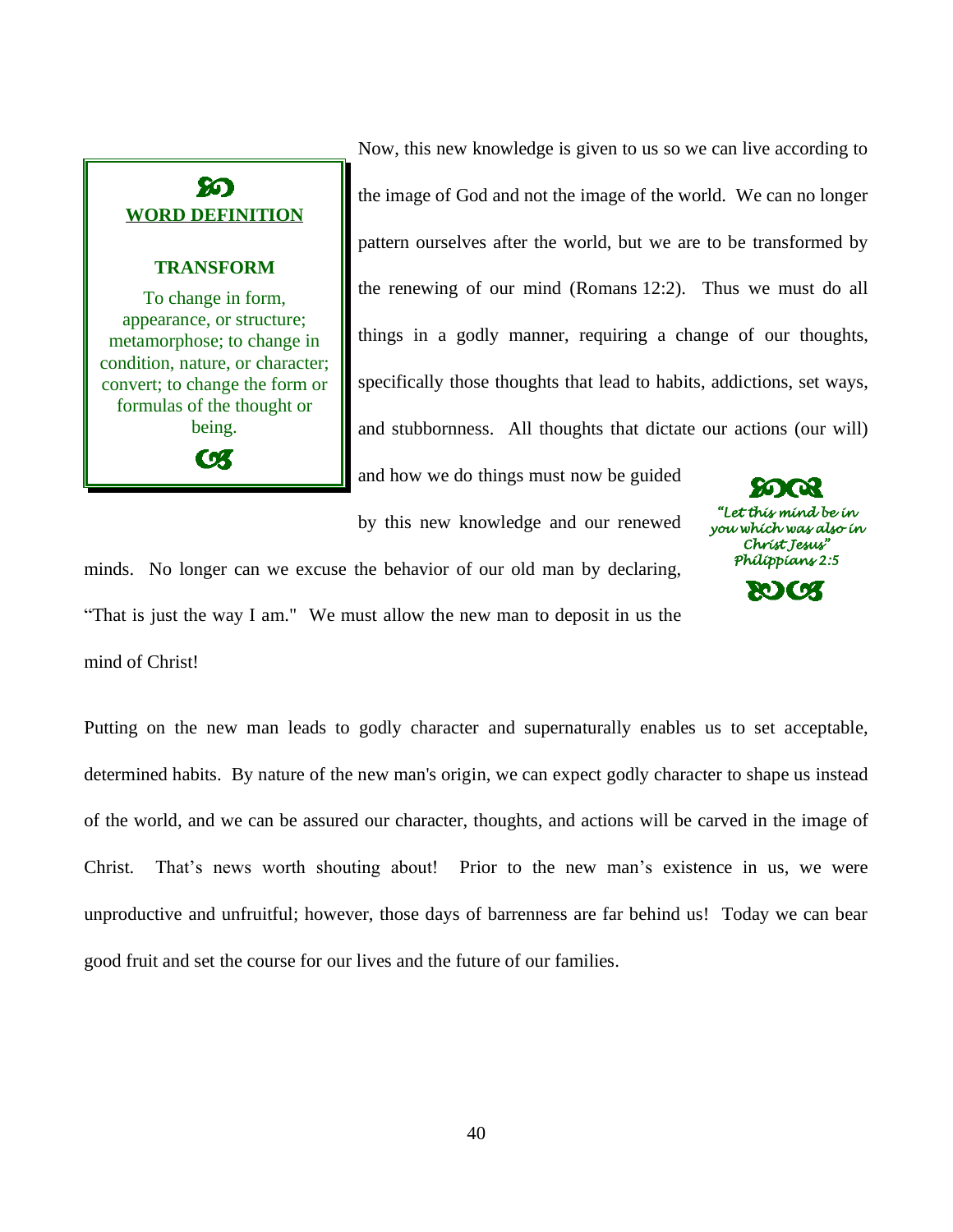## 8Q **WORD DEFINITION**

### **TRANSFORM**

To change in form, appearance, or structure; metamorphose; to change in condition, nature, or character; convert; to change the form or formulas of the thought or being. **CA** 

Now, this new knowledge is given to us so we can live according to the image of God and not the image of the world. We can no longer pattern ourselves after the world, but we are to be transformed by the renewing of our mind (Romans 12:2). Thus we must do all things in a godly manner, requiring a change of our thoughts, specifically those thoughts that lead to habits, addictions, set ways, and stubbornness. All thoughts that dictate our actions (our will) and how we do things must now be guided

by this new knowledge and our renewed

**SOICK** *"Let this mind be in you which was also in Christ Jesus" Philippians 2:5* 

minds. No longer can we excuse the behavior of our old man by declaring,

"That is just the way I am." We must allow the new man to deposit in us the

mind of Christ!

Putting on the new man leads to godly character and supernaturally enables us to set acceptable, determined habits. By nature of the new man's origin, we can expect godly character to shape us instead of the world, and we can be assured our character, thoughts, and actions will be carved in the image of Christ. That's news worth shouting about! Prior to the new man's existence in us, we were unproductive and unfruitful; however, those days of barrenness are far behind us! Today we can bear good fruit and set the course for our lives and the future of our families.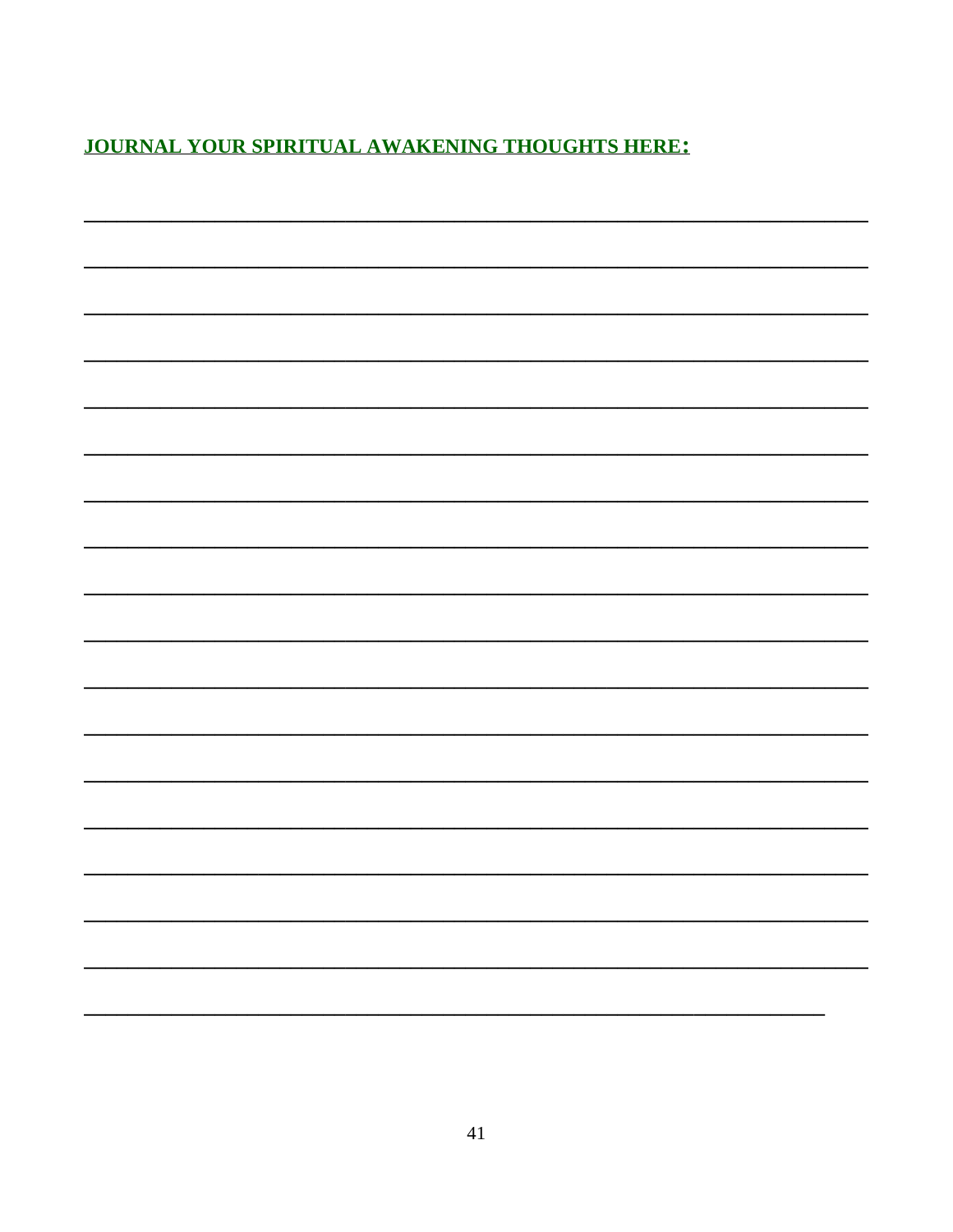# **JOURNAL YOUR SPIRITUAL AWAKENING THOUGHTS HERE:**

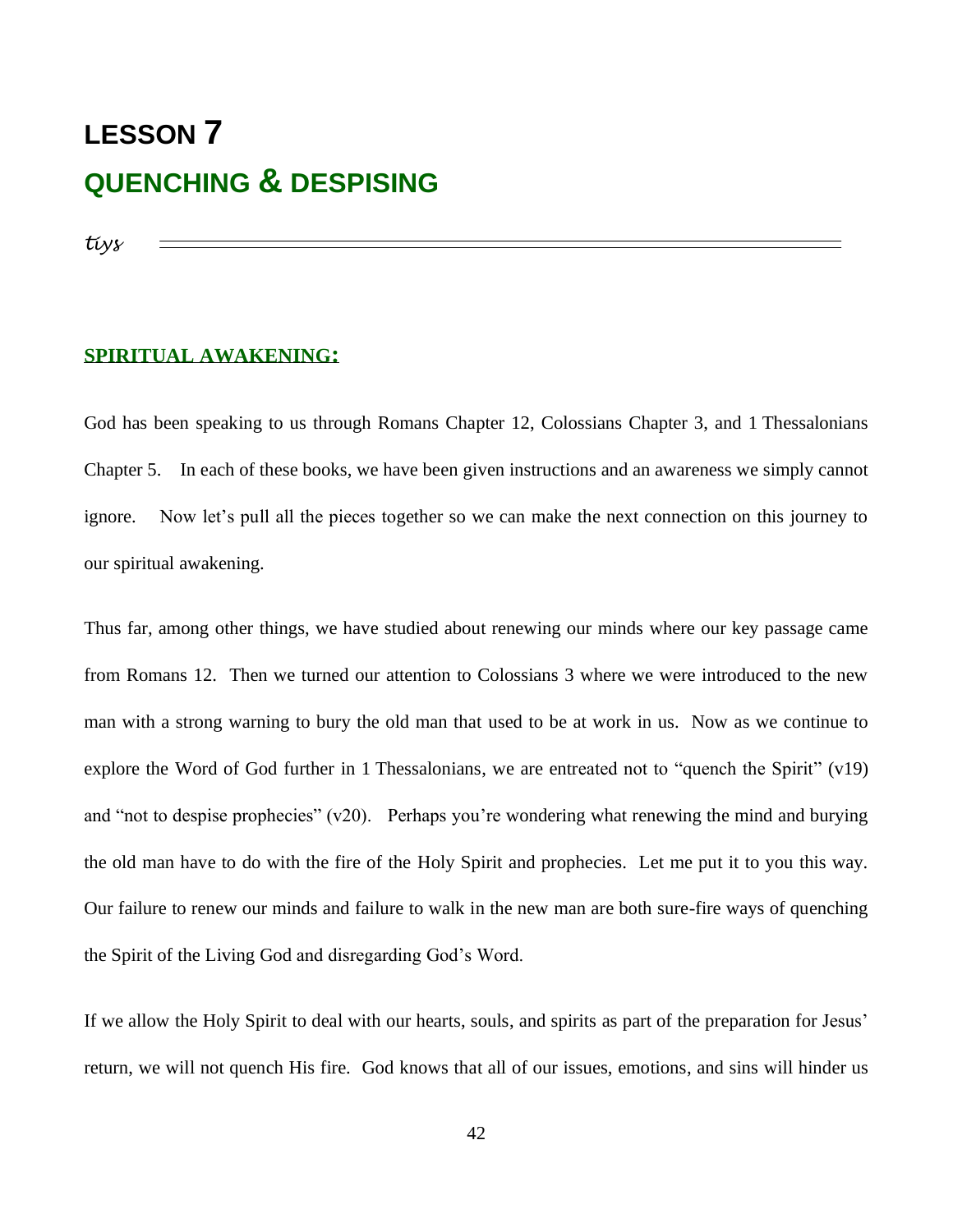# **LESSON 7 QUENCHING & DESPISING**

*tiys*

#### **SPIRITUAL AWAKENING:**

God has been speaking to us through Romans Chapter 12, Colossians Chapter 3, and 1 Thessalonians Chapter 5. In each of these books, we have been given instructions and an awareness we simply cannot ignore. Now let's pull all the pieces together so we can make the next connection on this journey to our spiritual awakening.

Thus far, among other things, we have studied about renewing our minds where our key passage came from Romans 12. Then we turned our attention to Colossians 3 where we were introduced to the new man with a strong warning to bury the old man that used to be at work in us. Now as we continue to explore the Word of God further in 1 Thessalonians, we are entreated not to "quench the Spirit" (v19) and "not to despise prophecies" (v20). Perhaps you're wondering what renewing the mind and burying the old man have to do with the fire of the Holy Spirit and prophecies. Let me put it to you this way. Our failure to renew our minds and failure to walk in the new man are both sure-fire ways of quenching the Spirit of the Living God and disregarding God's Word.

If we allow the Holy Spirit to deal with our hearts, souls, and spirits as part of the preparation for Jesus' return, we will not quench His fire. God knows that all of our issues, emotions, and sins will hinder us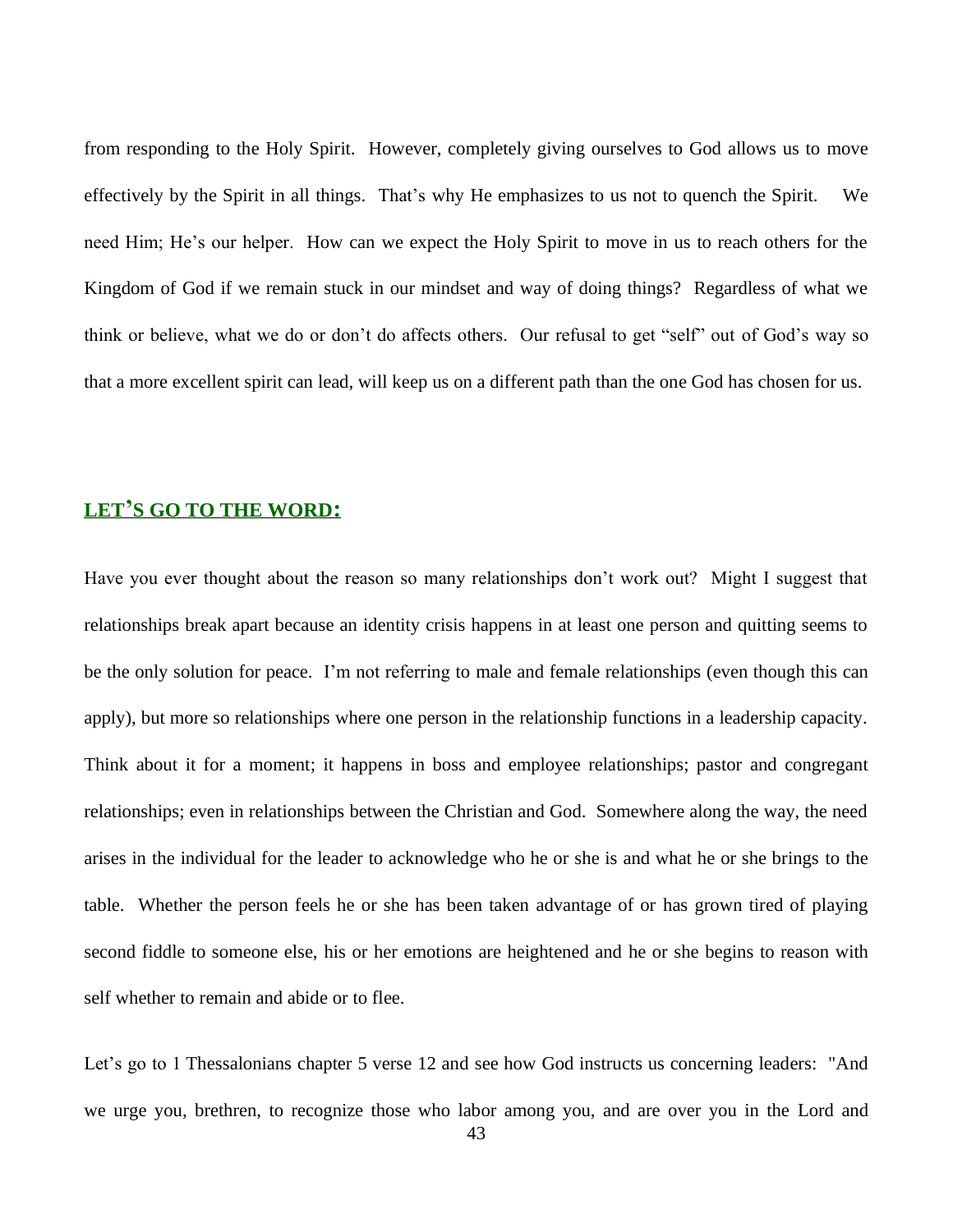from responding to the Holy Spirit. However, completely giving ourselves to God allows us to move effectively by the Spirit in all things. That's why He emphasizes to us not to quench the Spirit. We need Him; He's our helper. How can we expect the Holy Spirit to move in us to reach others for the Kingdom of God if we remain stuck in our mindset and way of doing things? Regardless of what we think or believe, what we do or don't do affects others. Our refusal to get "self" out of God's way so that a more excellent spirit can lead, will keep us on a different path than the one God has chosen for us.

## **LET'S GO TO THE WORD:**

Have you ever thought about the reason so many relationships don't work out? Might I suggest that relationships break apart because an identity crisis happens in at least one person and quitting seems to be the only solution for peace. I'm not referring to male and female relationships (even though this can apply), but more so relationships where one person in the relationship functions in a leadership capacity. Think about it for a moment; it happens in boss and employee relationships; pastor and congregant relationships; even in relationships between the Christian and God. Somewhere along the way, the need arises in the individual for the leader to acknowledge who he or she is and what he or she brings to the table. Whether the person feels he or she has been taken advantage of or has grown tired of playing second fiddle to someone else, his or her emotions are heightened and he or she begins to reason with self whether to remain and abide or to flee.

Let's go to 1 Thessalonians chapter 5 verse 12 and see how God instructs us concerning leaders: "And we urge you, brethren, to recognize those who labor among you, and are over you in the Lord and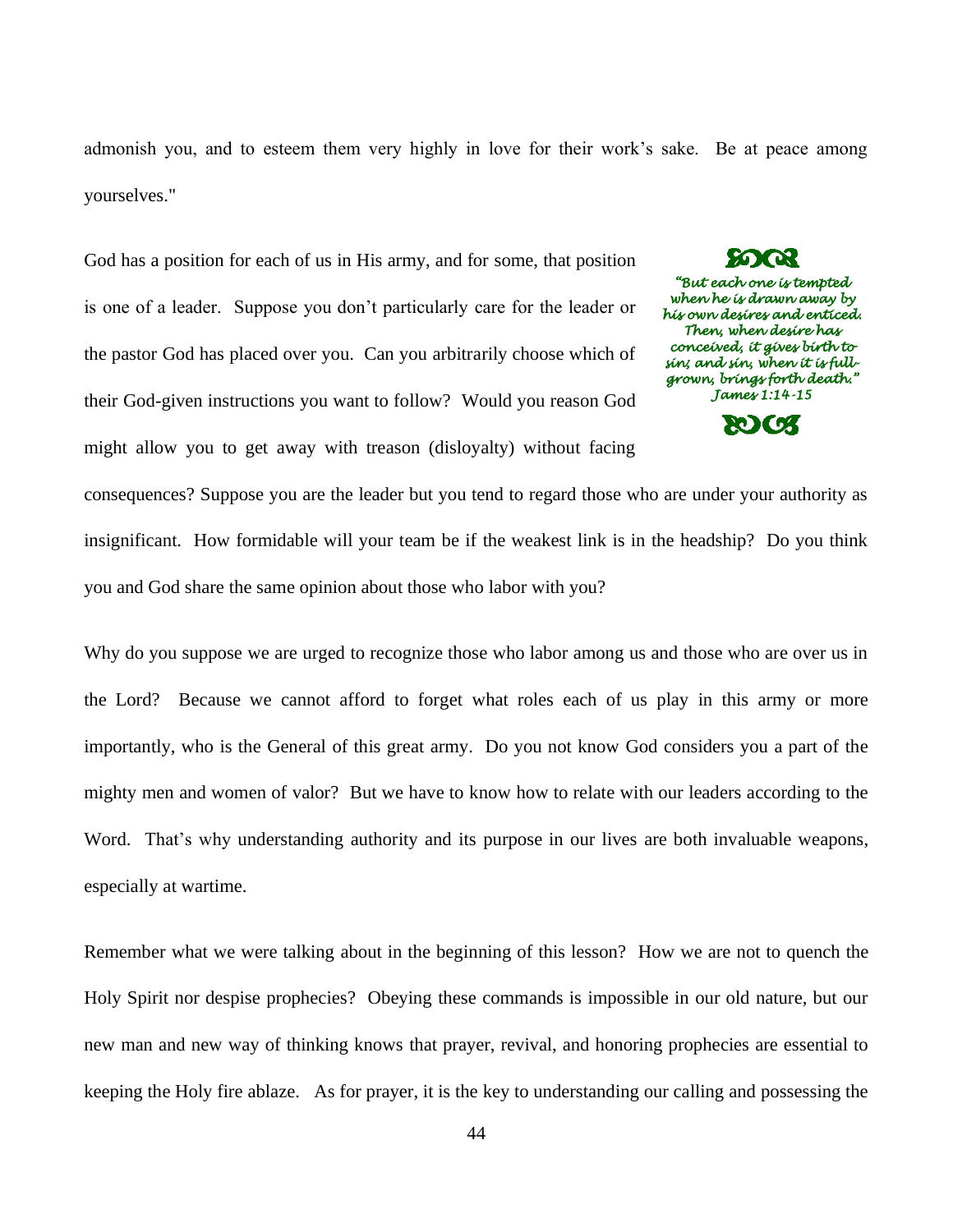admonish you, and to esteem them very highly in love for their work's sake. Be at peace among yourselves."

God has a position for each of us in His army, and for some, that position is one of a leader. Suppose you don't particularly care for the leader or the pastor God has placed over you. Can you arbitrarily choose which of their God-given instructions you want to follow? Would you reason God might allow you to get away with treason (disloyalty) without facing

291 C. *"But each one is tempted when he is drawn away by his own desires and enticed. Then, when desire has conceived, it gives birth to sin; and sin, when it is fullgrown, brings forth death." James 1:14-15* 

consequences? Suppose you are the leader but you tend to regard those who are under your authority as insignificant. How formidable will your team be if the weakest link is in the headship? Do you think you and God share the same opinion about those who labor with you?

Why do you suppose we are urged to recognize those who labor among us and those who are over us in the Lord? Because we cannot afford to forget what roles each of us play in this army or more importantly, who is the General of this great army. Do you not know God considers you a part of the mighty men and women of valor? But we have to know how to relate with our leaders according to the Word. That's why understanding authority and its purpose in our lives are both invaluable weapons, especially at wartime.

Remember what we were talking about in the beginning of this lesson? How we are not to quench the Holy Spirit nor despise prophecies? Obeying these commands is impossible in our old nature, but our new man and new way of thinking knows that prayer, revival, and honoring prophecies are essential to keeping the Holy fire ablaze. As for prayer, it is the key to understanding our calling and possessing the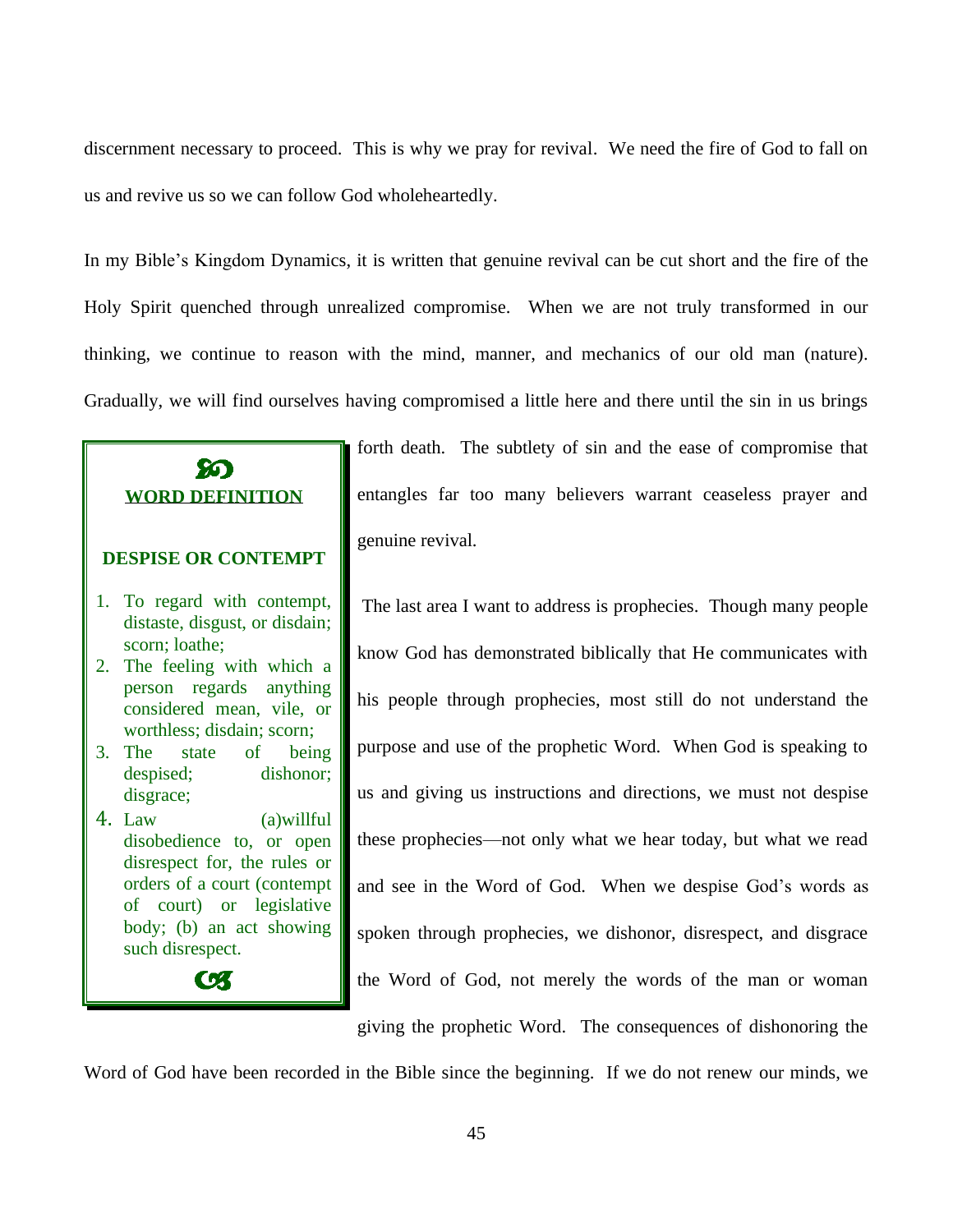discernment necessary to proceed. This is why we pray for revival. We need the fire of God to fall on us and revive us so we can follow God wholeheartedly.

In my Bible's Kingdom Dynamics, it is written that genuine revival can be cut short and the fire of the Holy Spirit quenched through unrealized compromise. When we are not truly transformed in our thinking, we continue to reason with the mind, manner, and mechanics of our old man (nature). Gradually, we will find ourselves having compromised a little here and there until the sin in us brings

# အာ **WORD DEFINITION**

### **DESPISE OR CONTEMPT**

- 1. To regard with contempt, distaste, disgust, or disdain; scorn; loathe;
- 2. The feeling with which a person regards anything considered mean, vile, or worthless; disdain; scorn;
- 3. The state of being despised; dishonor; disgrace;
- 4. Law (a)willful disobedience to, or open disrespect for, the rules or orders of a court (contempt of court) or legislative body; (b) an act showing such disrespect.

**CSS** 

forth death. The subtlety of sin and the ease of compromise that entangles far too many believers warrant ceaseless prayer and genuine revival.

The last area I want to address is prophecies. Though many people know God has demonstrated biblically that He communicates with his people through prophecies, most still do not understand the purpose and use of the prophetic Word. When God is speaking to us and giving us instructions and directions, we must not despise these prophecies—not only what we hear today, but what we read and see in the Word of God. When we despise God's words as spoken through prophecies, we dishonor, disrespect, and disgrace the Word of God, not merely the words of the man or woman giving the prophetic Word. The consequences of dishonoring the

Word of God have been recorded in the Bible since the beginning. If we do not renew our minds, we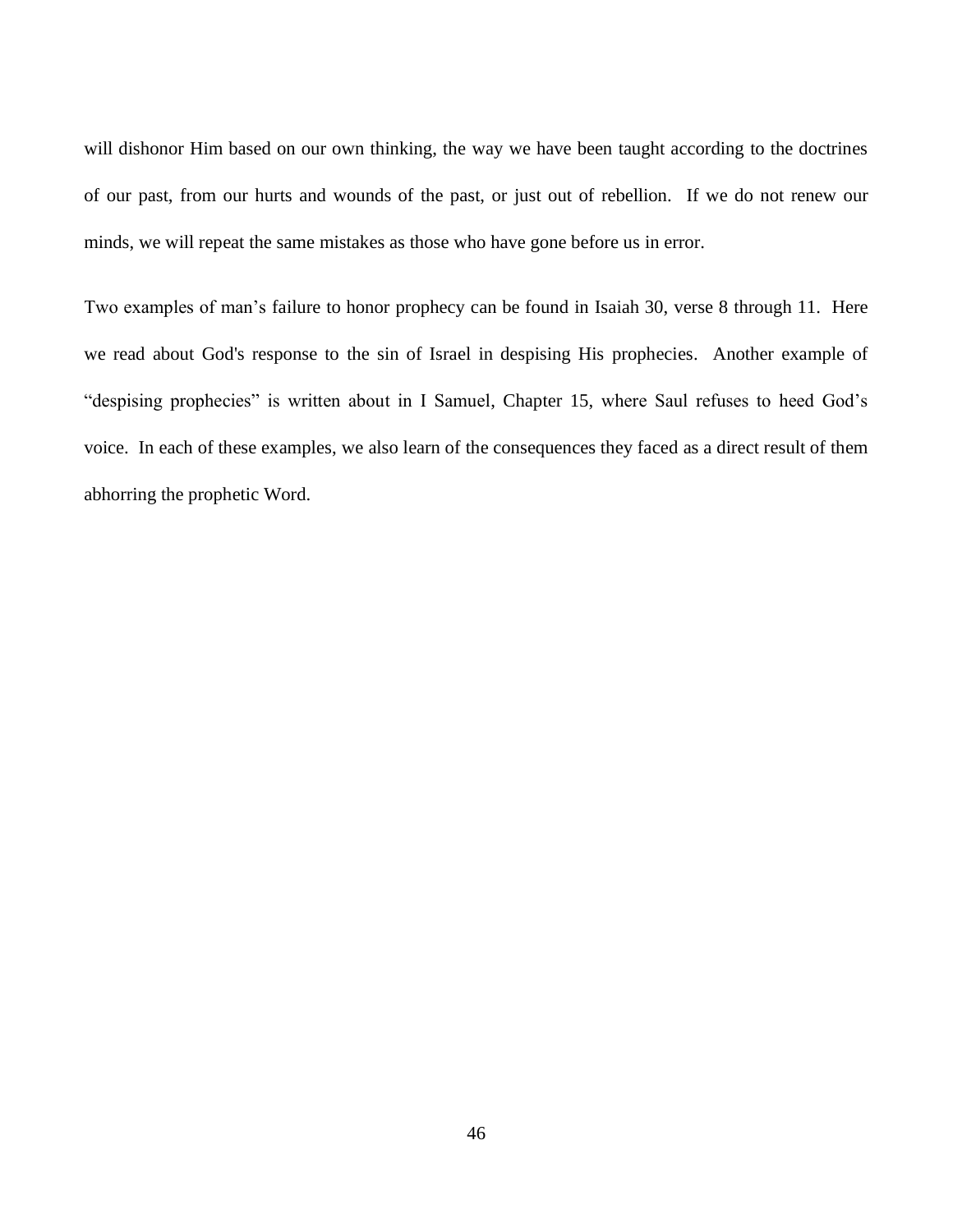will dishonor Him based on our own thinking, the way we have been taught according to the doctrines of our past, from our hurts and wounds of the past, or just out of rebellion. If we do not renew our minds, we will repeat the same mistakes as those who have gone before us in error.

Two examples of man's failure to honor prophecy can be found in Isaiah 30, verse 8 through 11. Here we read about God's response to the sin of Israel in despising His prophecies. Another example of "despising prophecies" is written about in I Samuel, Chapter 15, where Saul refuses to heed God's voice. In each of these examples, we also learn of the consequences they faced as a direct result of them abhorring the prophetic Word.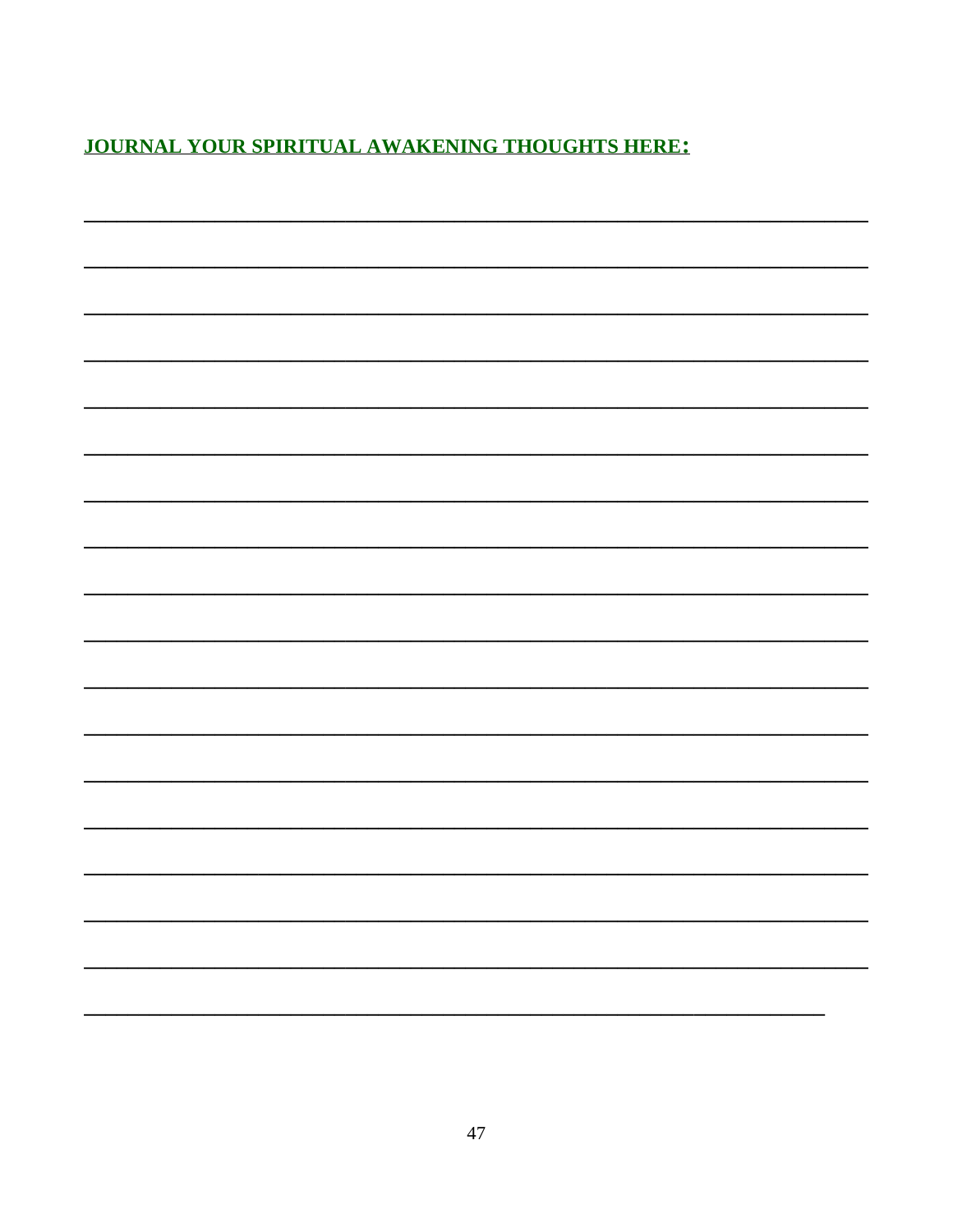# **JOURNAL YOUR SPIRITUAL AWAKENING THOUGHTS HERE:**

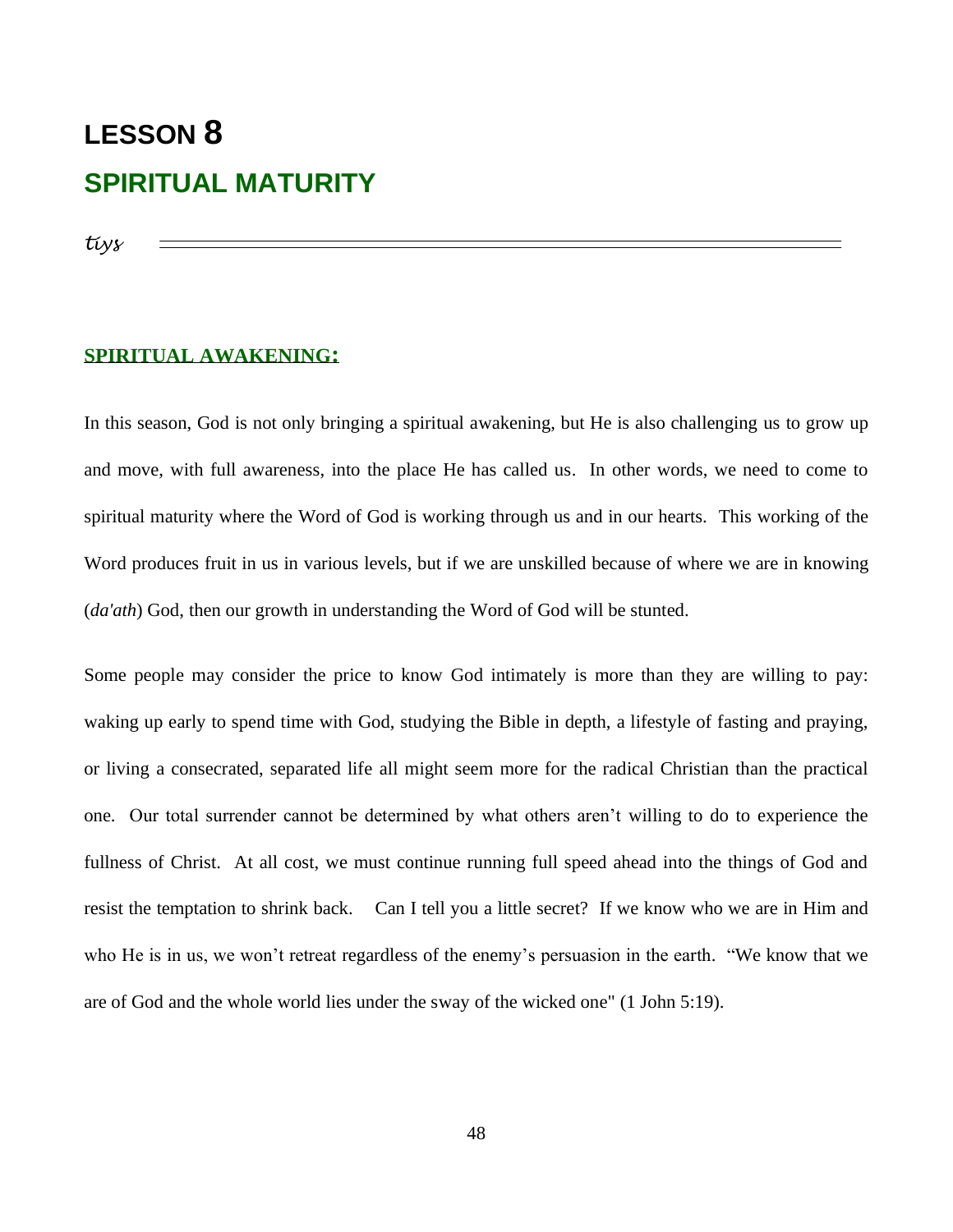# **LESSON 8 SPIRITUAL MATURITY**

*tiys*

#### **SPIRITUAL AWAKENING:**

In this season, God is not only bringing a spiritual awakening, but He is also challenging us to grow up and move, with full awareness, into the place He has called us. In other words, we need to come to spiritual maturity where the Word of God is working through us and in our hearts. This working of the Word produces fruit in us in various levels, but if we are unskilled because of where we are in knowing (*da'ath*) God, then our growth in understanding the Word of God will be stunted.

Some people may consider the price to know God intimately is more than they are willing to pay: waking up early to spend time with God, studying the Bible in depth, a lifestyle of fasting and praying, or living a consecrated, separated life all might seem more for the radical Christian than the practical one. Our total surrender cannot be determined by what others aren't willing to do to experience the fullness of Christ. At all cost, we must continue running full speed ahead into the things of God and resist the temptation to shrink back. Can I tell you a little secret? If we know who we are in Him and who He is in us, we won't retreat regardless of the enemy's persuasion in the earth. "We know that we are of God and the whole world lies under the sway of the wicked one" (1 John 5:19).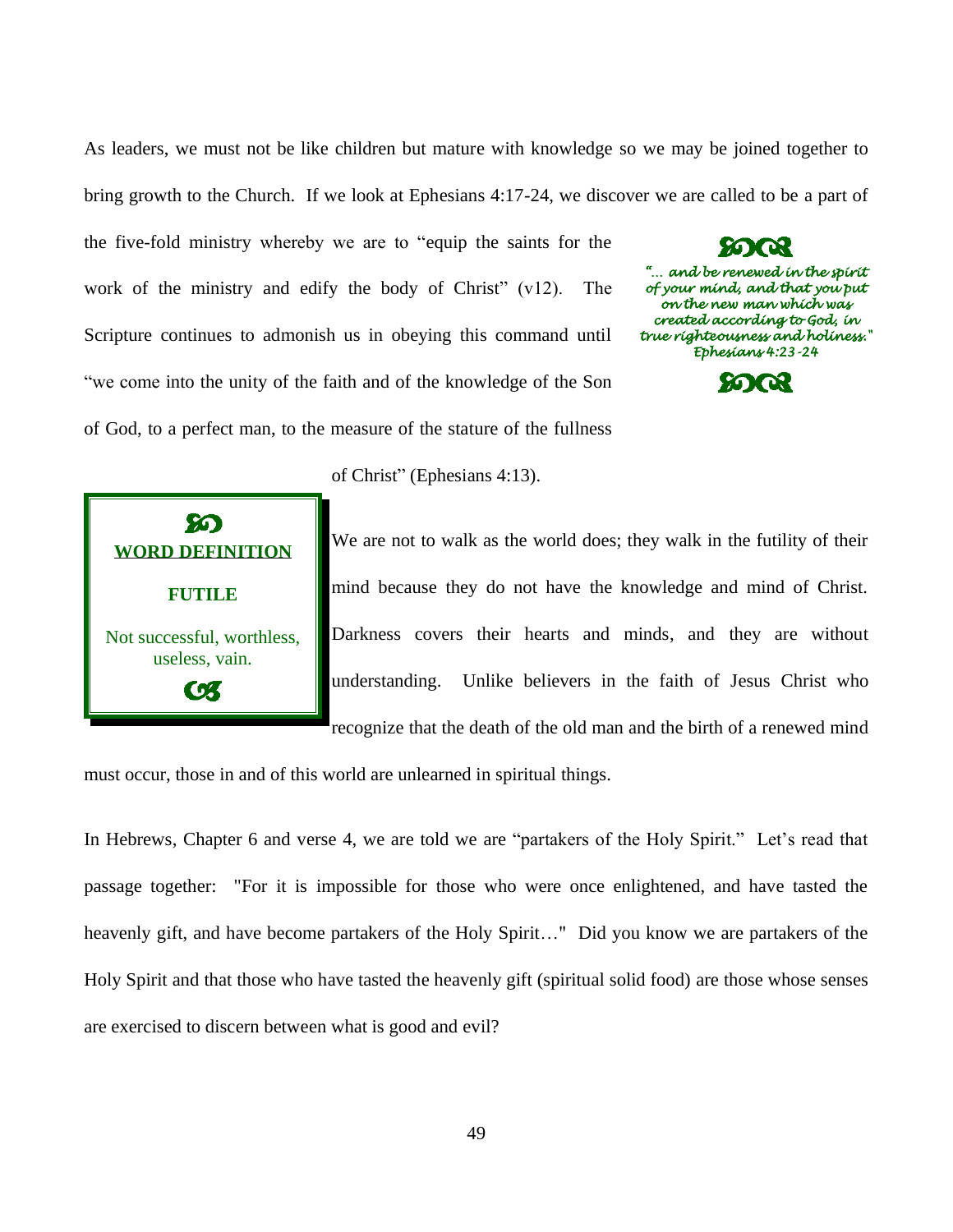As leaders, we must not be like children but mature with knowledge so we may be joined together to bring growth to the Church. If we look at Ephesians 4:17-24, we discover we are called to be a part of

the five-fold ministry whereby we are to "equip the saints for the work of the ministry and edify the body of Christ" (v12). The Scripture continues to admonish us in obeying this command until "we come into the unity of the faith and of the knowledge of the Son of God, to a perfect man, to the measure of the stature of the fullness





of Christ" (Ephesians 4:13).

We are not to walk as the world does; they walk in the futility of their mind because they do not have the knowledge and mind of Christ. Darkness covers their hearts and minds, and they are without understanding. Unlike believers in the faith of Jesus Christ who recognize that the death of the old man and the birth of a renewed mind

must occur, those in and of this world are unlearned in spiritual things.

In Hebrews, Chapter 6 and verse 4, we are told we are "partakers of the Holy Spirit." Let's read that passage together: "For it is impossible for those who were once enlightened, and have tasted the heavenly gift, and have become partakers of the Holy Spirit..." Did you know we are partakers of the Holy Spirit and that those who have tasted the heavenly gift (spiritual solid food) are those whose senses are exercised to discern between what is good and evil?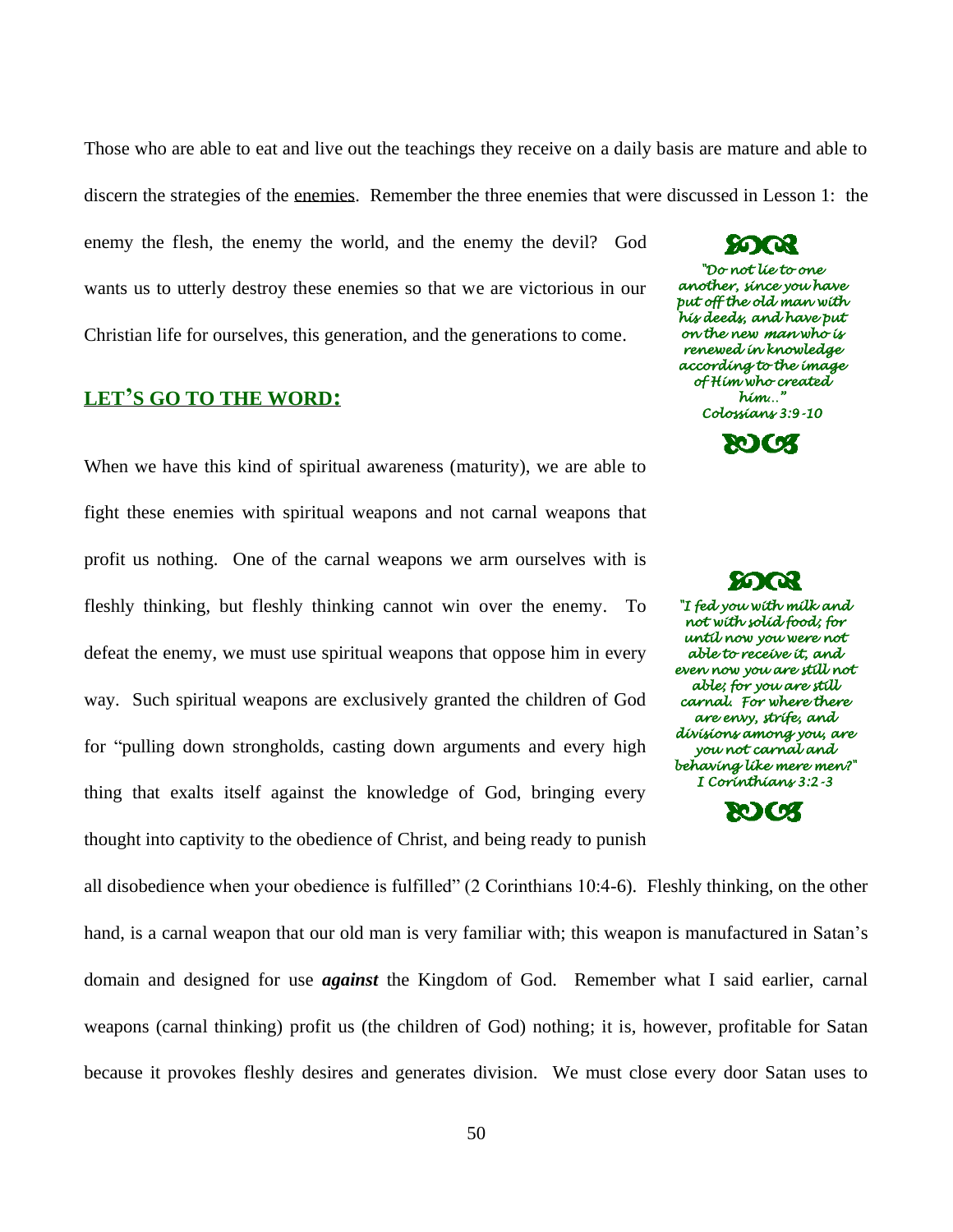Those who are able to eat and live out the teachings they receive on a daily basis are mature and able to discern the strategies of the enemies. Remember the three enemies that were discussed in Lesson 1: the

enemy the flesh, the enemy the world, and the enemy the devil? God wants us to utterly destroy these enemies so that we are victorious in our Christian life for ourselves, this generation, and the generations to come.

### **LET'S GO TO THE WORD:**

When we have this kind of spiritual awareness (maturity), we are able to fight these enemies with spiritual weapons and not carnal weapons that profit us nothing. One of the carnal weapons we arm ourselves with is fleshly thinking, but fleshly thinking cannot win over the enemy. To defeat the enemy, we must use spiritual weapons that oppose him in every way. Such spiritual weapons are exclusively granted the children of God for "pulling down strongholds, casting down arguments and every high thing that exalts itself against the knowledge of God, bringing every thought into captivity to the obedience of Christ, and being ready to punish

*"Do not lie to one another, since you have put off the old man with his deeds, and have put on the new man who is renewed in knowledge according to the image of Him who created him…" Colossians 3:9-10* 

**SOICK** 



**SOICE** *"I fed you with milk and not with solid food; for until now you were not able to receive it, and even now you are still not able; for you are still carnal. For where there are envy, strife, and divisions among you, are you not carnal and behaving like mere men?" I Corinthians 3:2-3* 



all disobedience when your obedience is fulfilled" (2 Corinthians 10:4-6). Fleshly thinking, on the other hand, is a carnal weapon that our old man is very familiar with; this weapon is manufactured in Satan's domain and designed for use *against* the Kingdom of God. Remember what I said earlier, carnal weapons (carnal thinking) profit us (the children of God) nothing; it is, however, profitable for Satan because it provokes fleshly desires and generates division. We must close every door Satan uses to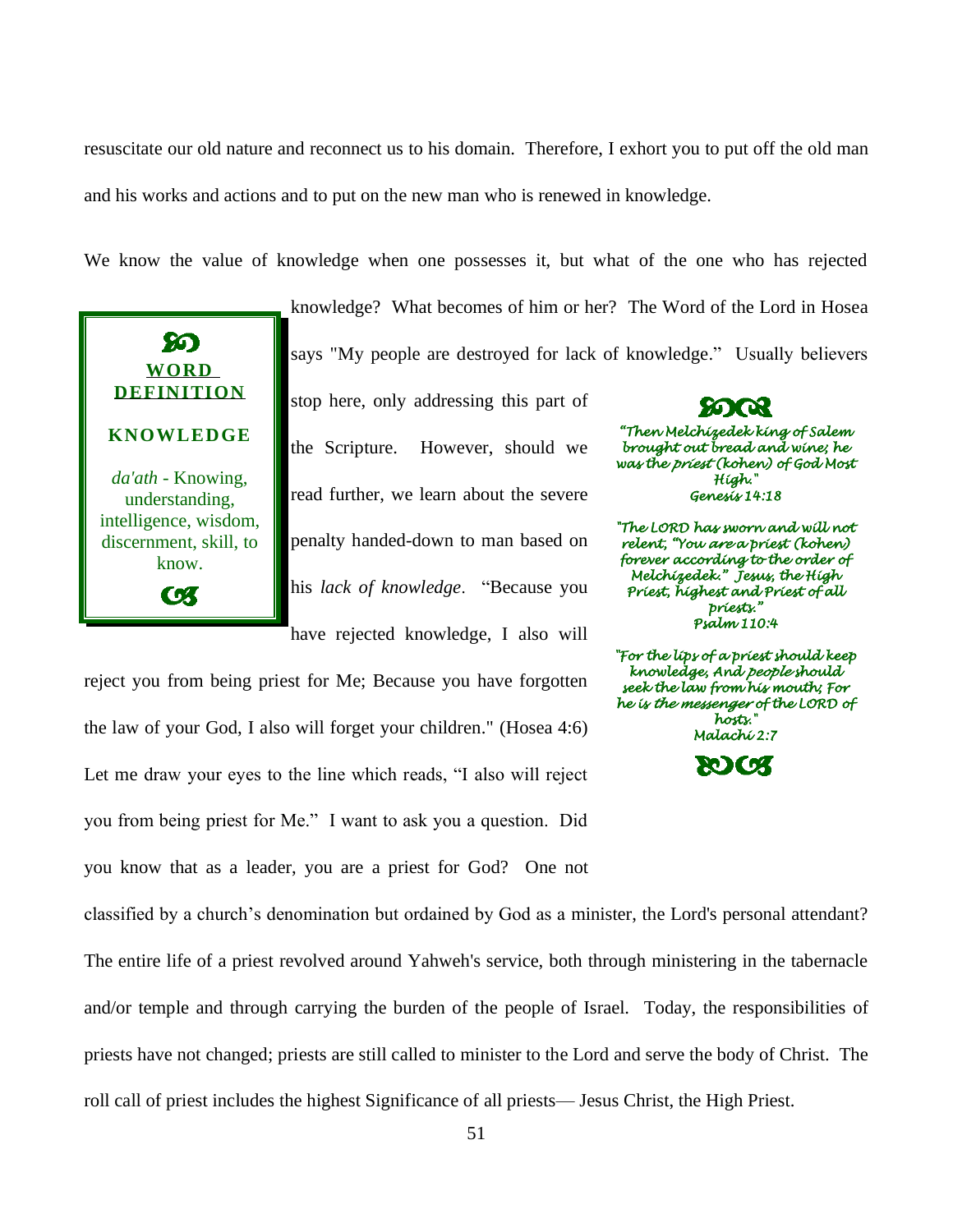resuscitate our old nature and reconnect us to his domain. Therefore, I exhort you to put off the old man and his works and actions and to put on the new man who is renewed in knowledge.

We know the value of knowledge when one possesses it, but what of the one who has rejected



knowledge? What becomes of him or her? The Word of the Lord in Hosea says "My people are destroyed for lack of knowledge." Usually believers

stop here, only addressing this part of the Scripture. However, should we read further, we learn about the severe penalty handed-down to man based on his *lack of knowledge*. "Because you have rejected knowledge, I also will

reject you from being priest for Me; Because you have forgotten the law of your God, I also will forget your children." (Hosea 4:6) Let me draw your eyes to the line which reads, "I also will reject you from being priest for Me." I want to ask you a question. Did you know that as a leader, you are a priest for God? One not

*"Then Melchizedek king of Salem brought out bread and wine; he was the priest (kohen) of God Most High." Genesis 14:18* 

*"The LORD has sworn and will not relent, "You are a priest (kohen) forever according to the order of Melchizedek." Jesus, the High Priest, highest and Priest of all priests." Psalm 110:4* 

*"For the lips of a priest should keep knowledge, And people should seek the law from his mouth; For he is the messenger of the LORD of hosts." Malachi 2:7* 



classified by a church's denomination but ordained by God as a minister, the Lord's personal attendant? The entire life of a priest revolved around Yahweh's service, both through ministering in the tabernacle and/or temple and through carrying the burden of the people of Israel. Today, the responsibilities of priests have not changed; priests are still called to minister to the Lord and serve the body of Christ. The roll call of priest includes the highest Significance of all priests— Jesus Christ, the High Priest.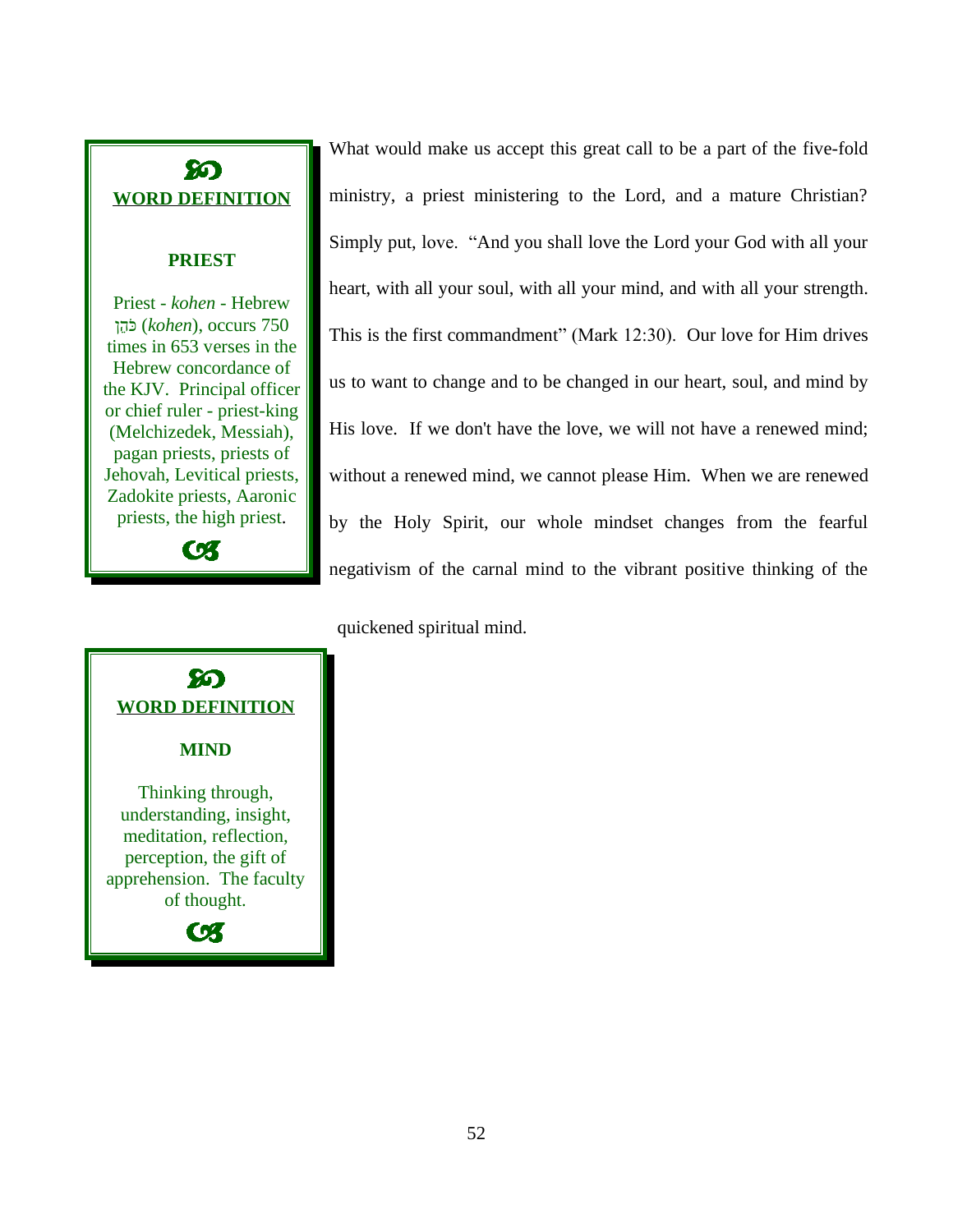# ဢ **WORD DEFINITION**

## **PRIEST**

Priest - *kohen* - Hebrew 750 occurs ,)*kohen* (כֹּהֵן times in 653 verses in the Hebrew concordance of the KJV. Principal officer or chief ruler - priest-king (Melchizedek, Messiah), pagan priests, priests of Jehovah, Levitical priests, Zadokite priests, Aaronic priests, the high priest.

**CA** 

What would make us accept this great call to be a part of the five-fold ministry, a priest ministering to the Lord, and a mature Christian? Simply put, love. "And you shall love the Lord your God with all your heart, with all your soul, with all your mind, and with all your strength. This is the first commandment" (Mark 12:30). Our love for Him drives us to want to change and to be changed in our heart, soul, and mind by His love. If we don't have the love, we will not have a renewed mind; without a renewed mind, we cannot please Him.When we are renewed by the Holy Spirit, our whole mindset changes from the fearful negativism of the carnal mind to the vibrant positive thinking of the

quickened spiritual mind.

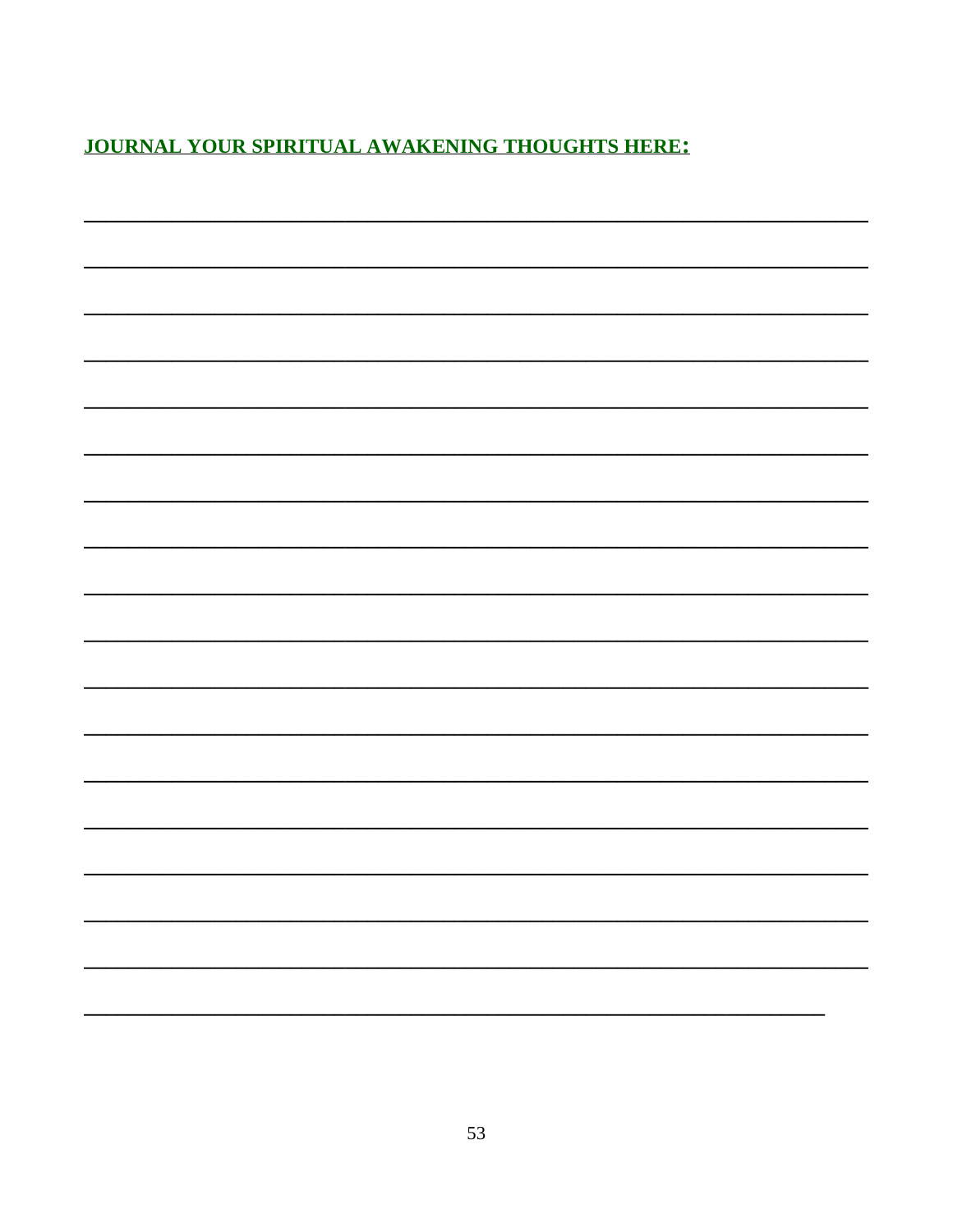# **JOURNAL YOUR SPIRITUAL AWAKENING THOUGHTS HERE:**

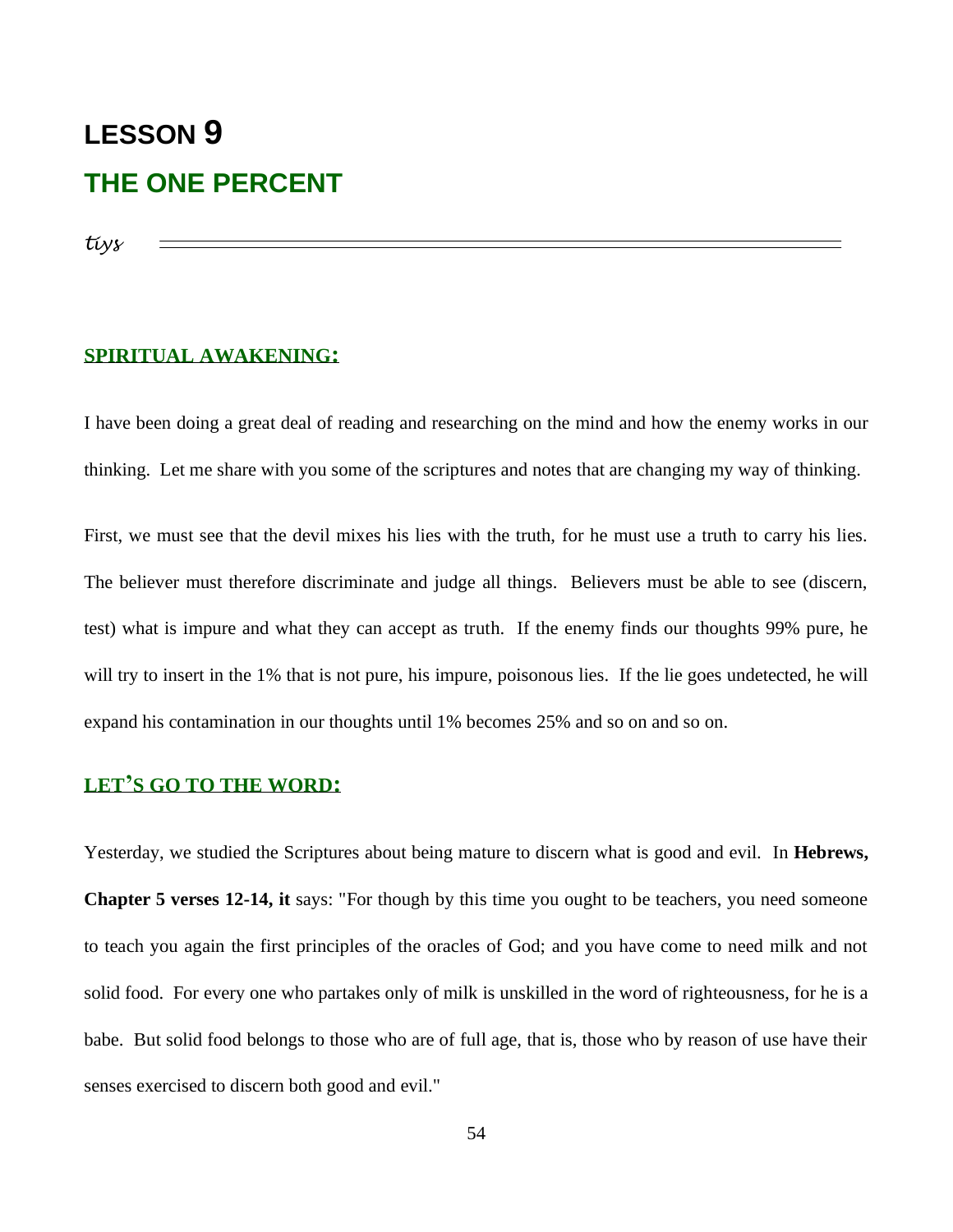# **LESSON 9 THE ONE PERCENT**

*tiys*

### **SPIRITUAL AWAKENING:**

I have been doing a great deal of reading and researching on the mind and how the enemy works in our thinking. Let me share with you some of the scriptures and notes that are changing my way of thinking.

First, we must see that the devil mixes his lies with the truth, for he must use a truth to carry his lies. The believer must therefore discriminate and judge all things. Believers must be able to see (discern, test) what is impure and what they can accept as truth. If the enemy finds our thoughts 99% pure, he will try to insert in the 1% that is not pure, his impure, poisonous lies. If the lie goes undetected, he will expand his contamination in our thoughts until 1% becomes 25% and so on and so on.

### **LET'S GO TO THE WORD:**

Yesterday, we studied the Scriptures about being mature to discern what is good and evil. In **Hebrews, Chapter 5 verses 12-14, it** says: "For though by this time you ought to be teachers, you need someone to teach you again the first principles of the oracles of God; and you have come to need milk and not solid food. For every one who partakes only of milk is unskilled in the word of righteousness, for he is a babe. But solid food belongs to those who are of full age, that is, those who by reason of use have their senses exercised to discern both good and evil."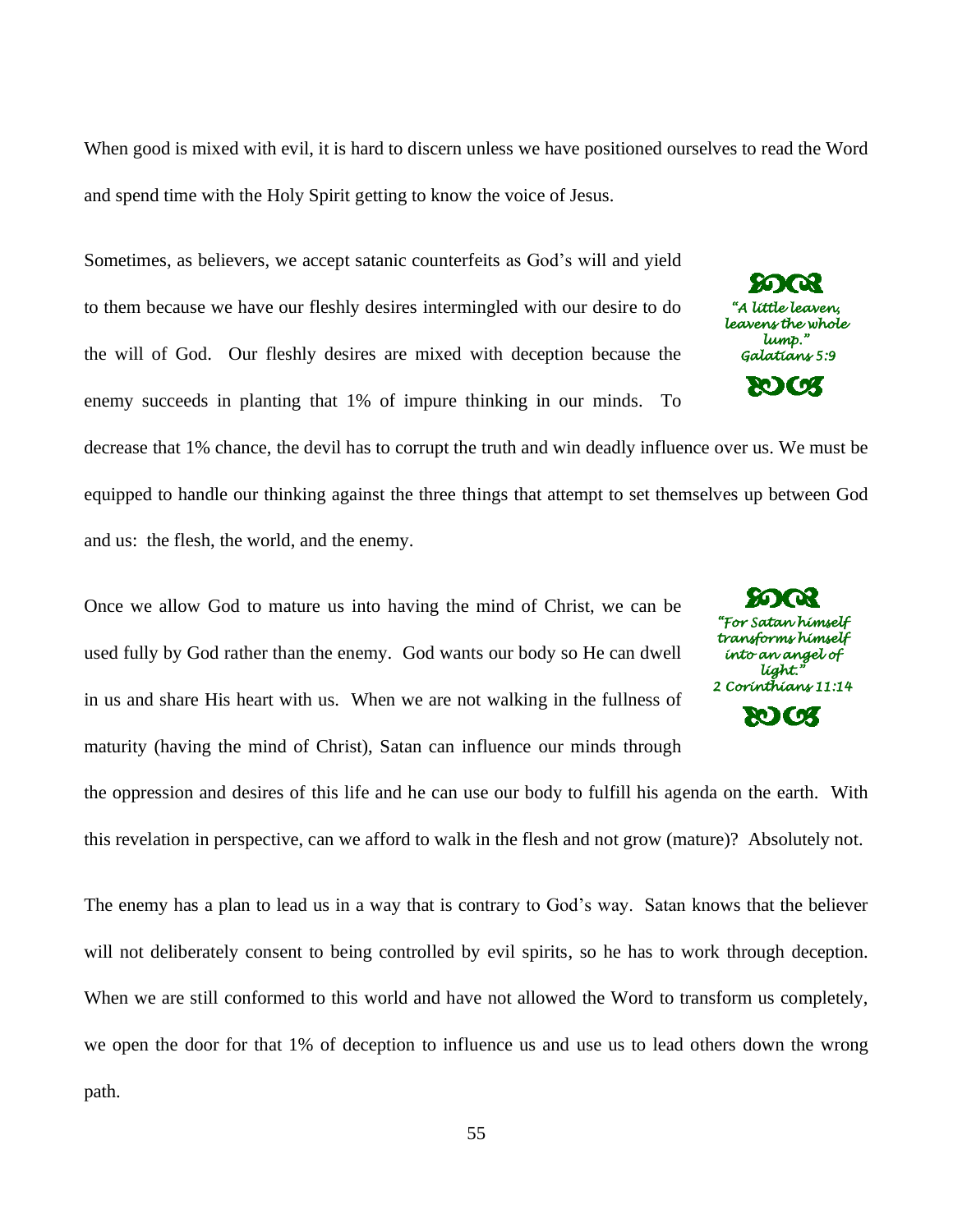When good is mixed with evil, it is hard to discern unless we have positioned ourselves to read the Word and spend time with the Holy Spirit getting to know the voice of Jesus.

Sometimes, as believers, we accept satanic counterfeits as God's will and yield to them because we have our fleshly desires intermingled with our desire to do the will of God. Our fleshly desires are mixed with deception because the enemy succeeds in planting that 1% of impure thinking in our minds. To

*"A little leaven, leavens the whole lump." Galatians 5:9* **DICA** 

decrease that 1% chance, the devil has to corrupt the truth and win deadly influence over us. We must be equipped to handle our thinking against the three things that attempt to set themselves up between God and us: the flesh, the world, and the enemy.

Once we allow God to mature us into having the mind of Christ, we can be used fully by God rather than the enemy. God wants our body so He can dwell in us and share His heart with us. When we are not walking in the fullness of maturity (having the mind of Christ), Satan can influence our minds through



the oppression and desires of this life and he can use our body to fulfill his agenda on the earth. With this revelation in perspective, can we afford to walk in the flesh and not grow (mature)? Absolutely not.

The enemy has a plan to lead us in a way that is contrary to God's way. Satan knows that the believer will not deliberately consent to being controlled by evil spirits, so he has to work through deception. When we are still conformed to this world and have not allowed the Word to transform us completely, we open the door for that 1% of deception to influence us and use us to lead others down the wrong path.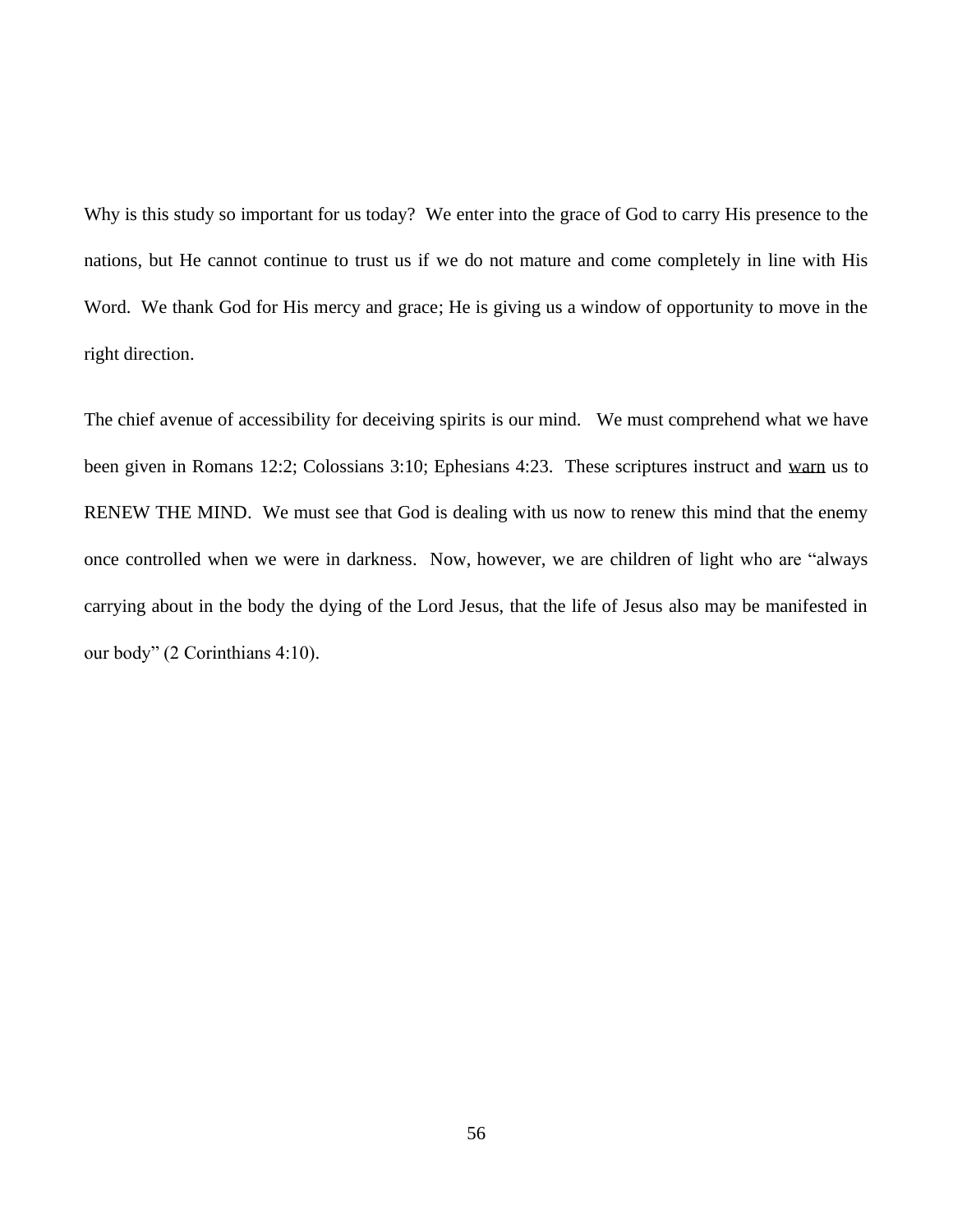Why is this study so important for us today? We enter into the grace of God to carry His presence to the nations, but He cannot continue to trust us if we do not mature and come completely in line with His Word. We thank God for His mercy and grace; He is giving us a window of opportunity to move in the right direction.

The chief avenue of accessibility for deceiving spirits is our mind. We must comprehend what we have been given in Romans 12:2; Colossians 3:10; Ephesians 4:23. These scriptures instruct and warn us to RENEW THE MIND. We must see that God is dealing with us now to renew this mind that the enemy once controlled when we were in darkness. Now, however, we are children of light who are "always carrying about in the body the dying of the Lord Jesus, that the life of Jesus also may be manifested in our body" (2 Corinthians 4:10).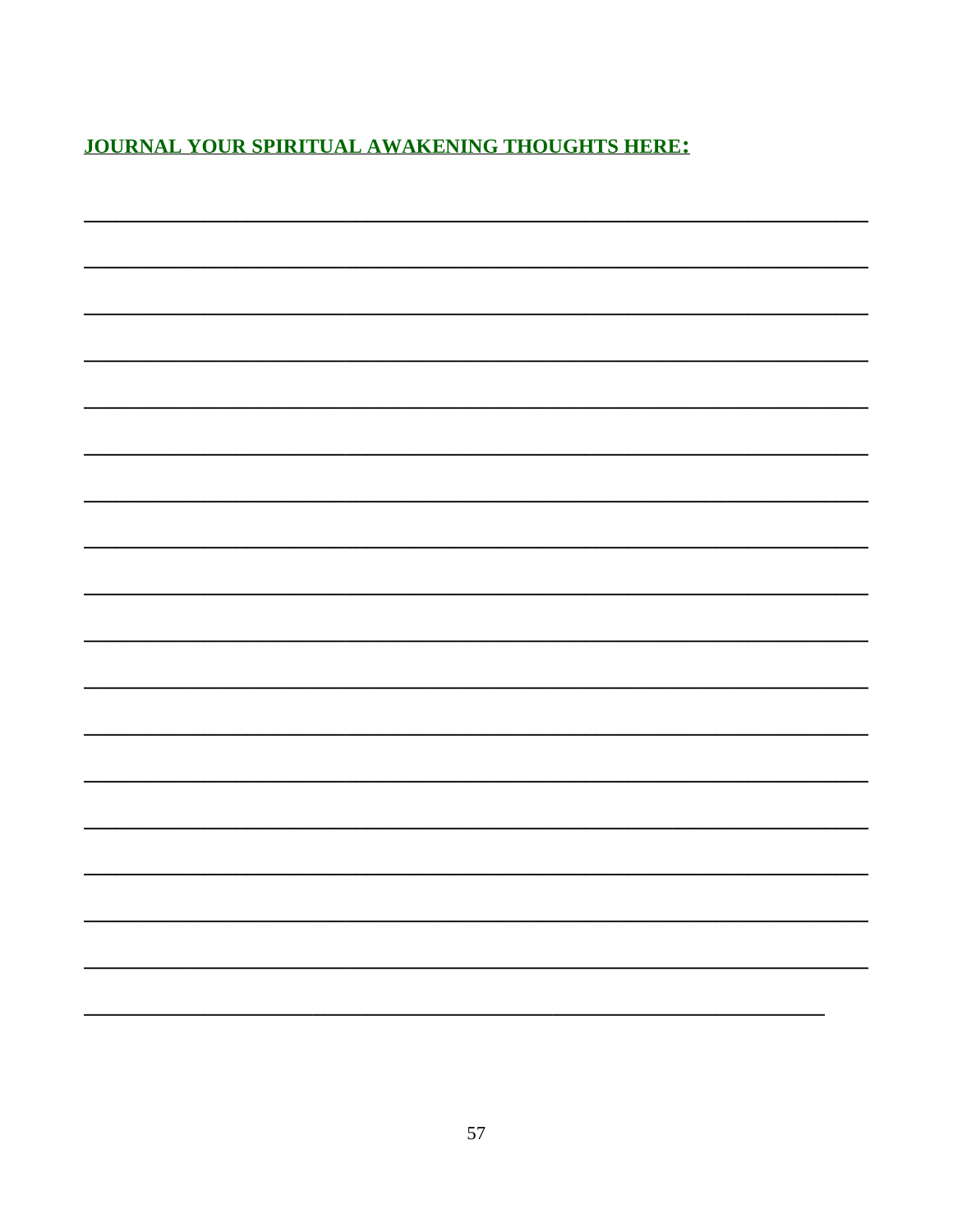# **JOURNAL YOUR SPIRITUAL AWAKENING THOUGHTS HERE:**

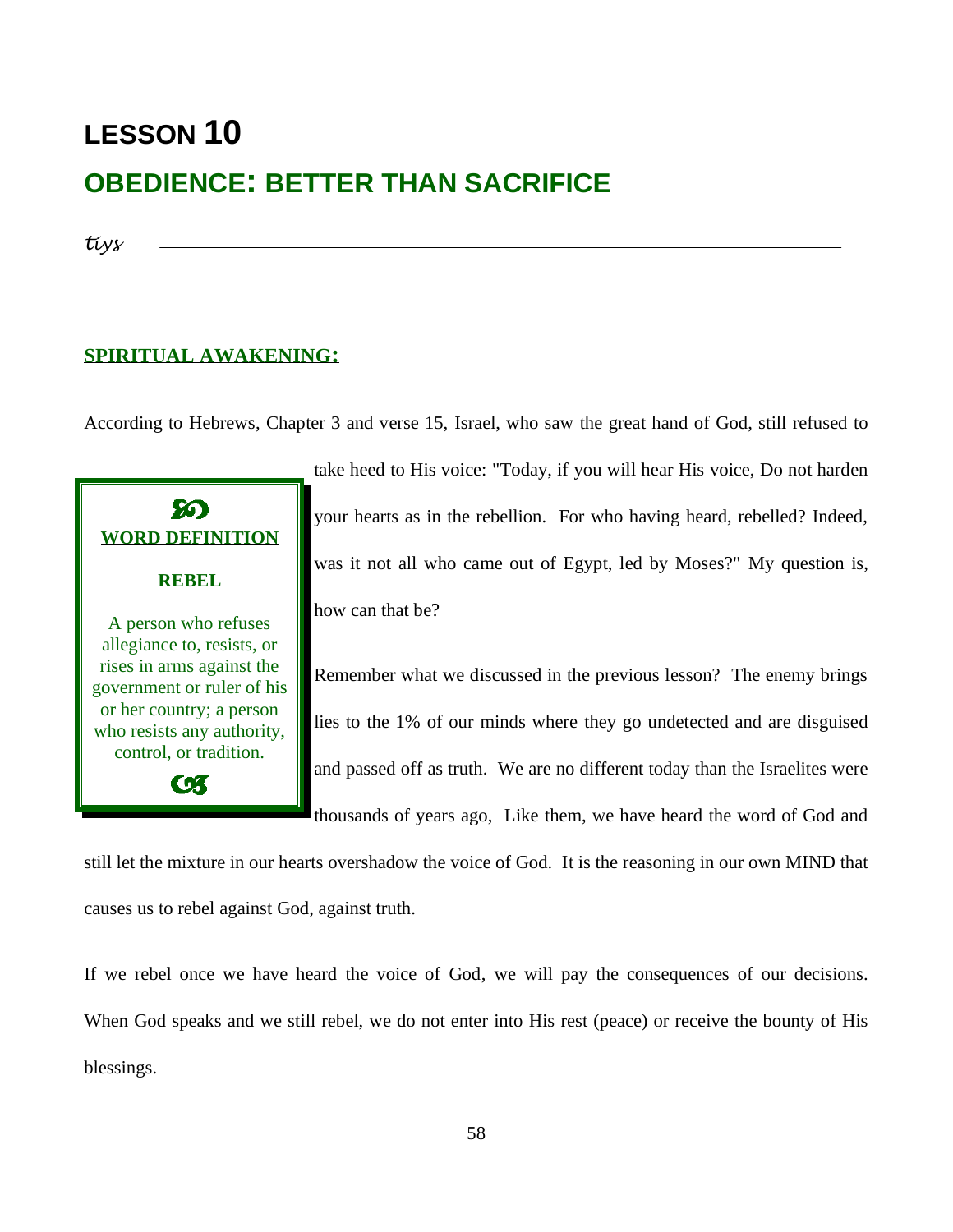# **LESSON 10 OBEDIENCE: BETTER THAN SACRIFICE**

*tiys*

### **SPIRITUAL AWAKENING:**

According to Hebrews, Chapter 3 and verse 15, Israel, who saw the great hand of God, still refused to



or her country; a person who resists any authority, control, or tradition.

 $C3$ 

take heed to His voice: "Today, if you will hear His voice, Do not harden your hearts as in the rebellion. For who having heard, rebelled? Indeed, was it not all who came out of Egypt, led by Moses?" My question is, how can that be?

Remember what we discussed in the previous lesson? The enemy brings lies to the 1% of our minds where they go undetected and are disguised and passed off as truth. We are no different today than the Israelites were thousands of years ago, Like them, we have heard the word of God and

still let the mixture in our hearts overshadow the voice of God. It is the reasoning in our own MIND that causes us to rebel against God, against truth.

If we rebel once we have heard the voice of God, we will pay the consequences of our decisions. When God speaks and we still rebel, we do not enter into His rest (peace) or receive the bounty of His blessings.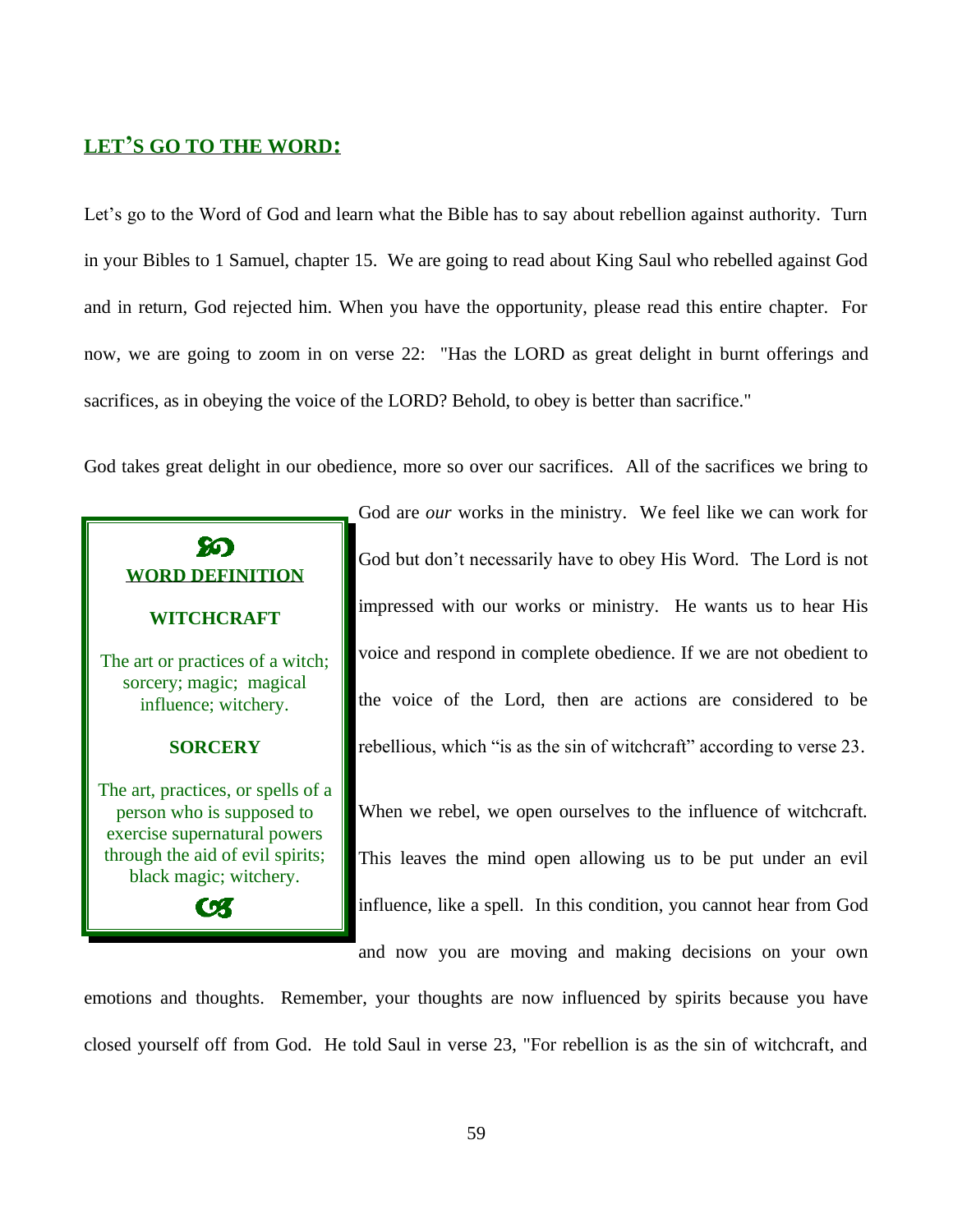## **LET'S GO TO THE WORD:**

Let's go to the Word of God and learn what the Bible has to say about rebellion against authority. Turn in your Bibles to 1 Samuel, chapter 15. We are going to read about King Saul who rebelled against God and in return, God rejected him. When you have the opportunity, please read this entire chapter. For now, we are going to zoom in on verse 22: "Has the LORD as great delight in burnt offerings and sacrifices, as in obeying the voice of the LORD? Behold, to obey is better than sacrifice."

God takes great delight in our obedience, more so over our sacrifices. All of the sacrifices we bring to



## **WITCHCRAFT**

The art or practices of a witch; sorcery; magic; magical influence; witchery.

#### **SORCERY**

The art, practices, or spells of a person who is supposed to exercise supernatural powers through the aid of evil spirits; black magic; witchery.

**CSS** 

God are *our* works in the ministry. We feel like we can work for God but don't necessarily have to obey His Word. The Lord is not impressed with our works or ministry. He wants us to hear His voice and respond in complete obedience. If we are not obedient to the voice of the Lord, then are actions are considered to be rebellious, which "is as the sin of witchcraft" according to verse 23.

When we rebel, we open ourselves to the influence of witchcraft. This leaves the mind open allowing us to be put under an evil influence, like a spell. In this condition, you cannot hear from God

and now you are moving and making decisions on your own

emotions and thoughts. Remember, your thoughts are now influenced by spirits because you have closed yourself off from God. He told Saul in verse 23, "For rebellion is as the sin of witchcraft, and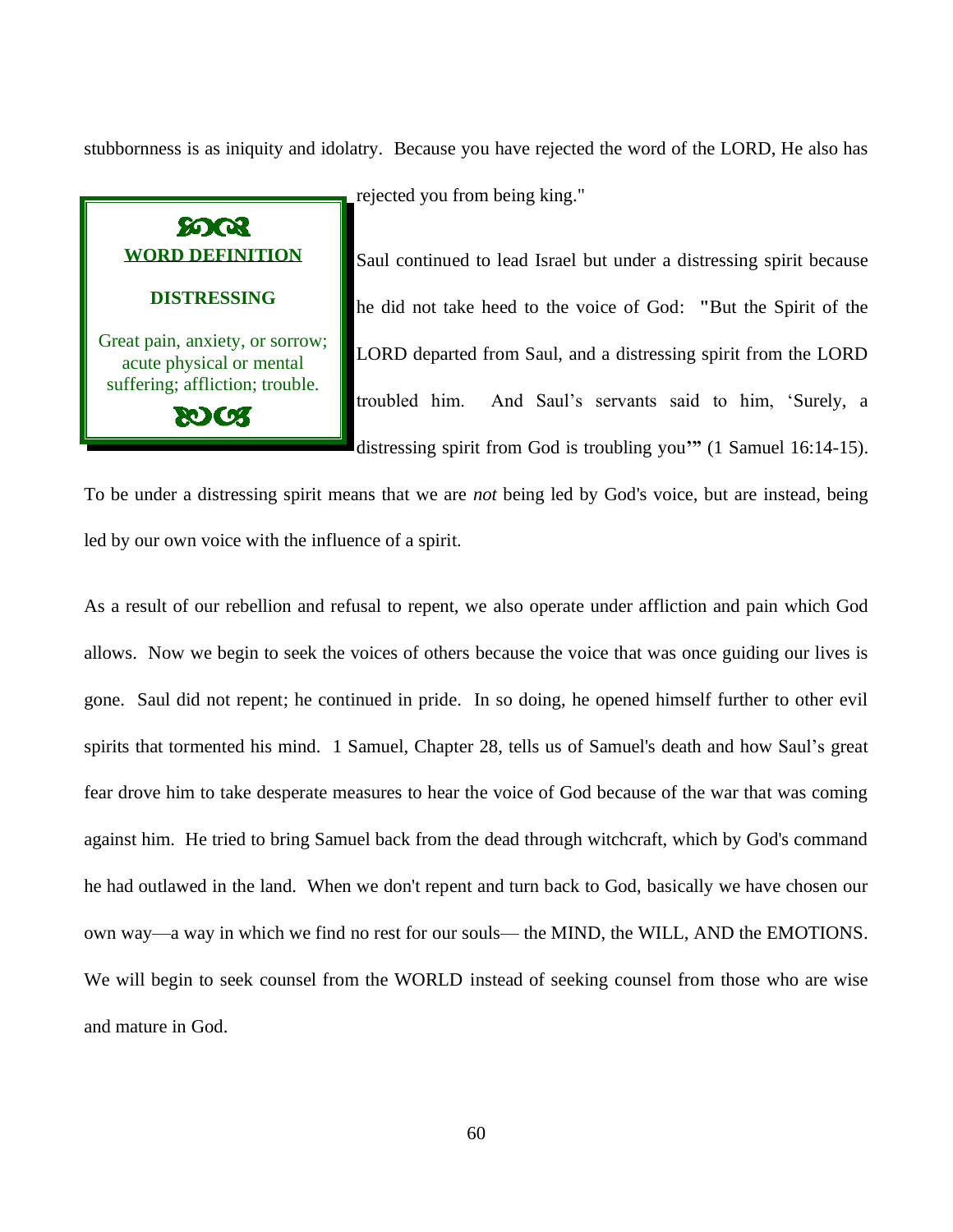stubbornness is as iniquity and idolatry. Because you have rejected the word of the LORD, He also has

# **SOICK WORD DEFINITION**

**DISTRESSING**

Great pain, anxiety, or sorrow; acute physical or mental suffering; affliction; trouble.

rejected you from being king."

Saul continued to lead Israel but under a distressing spirit because he did not take heed to the voice of God: **"**But the Spirit of the LORD departed from Saul, and a distressing spirit from the LORD troubled him. And Saul's servants said to him, 'Surely, a distressing spirit from God is troubling you**'"** (1 Samuel 16:14-15).

To be under a distressing spirit means that we are *not* being led by God's voice, but are instead, being led by our own voice with the influence of a spirit.

As a result of our rebellion and refusal to repent, we also operate under affliction and pain which God allows. Now we begin to seek the voices of others because the voice that was once guiding our lives is gone. Saul did not repent; he continued in pride. In so doing, he opened himself further to other evil spirits that tormented his mind. 1 Samuel, Chapter 28, tells us of Samuel's death and how Saul's great fear drove him to take desperate measures to hear the voice of God because of the war that was coming against him.He tried to bring Samuel back from the dead through witchcraft, which by God's command he had outlawed in the land. When we don't repent and turn back to God, basically we have chosen our own way—a way in which we find no rest for our souls— the MIND, the WILL, AND the EMOTIONS. We will begin to seek counsel from the WORLD instead of seeking counsel from those who are wise and mature in God.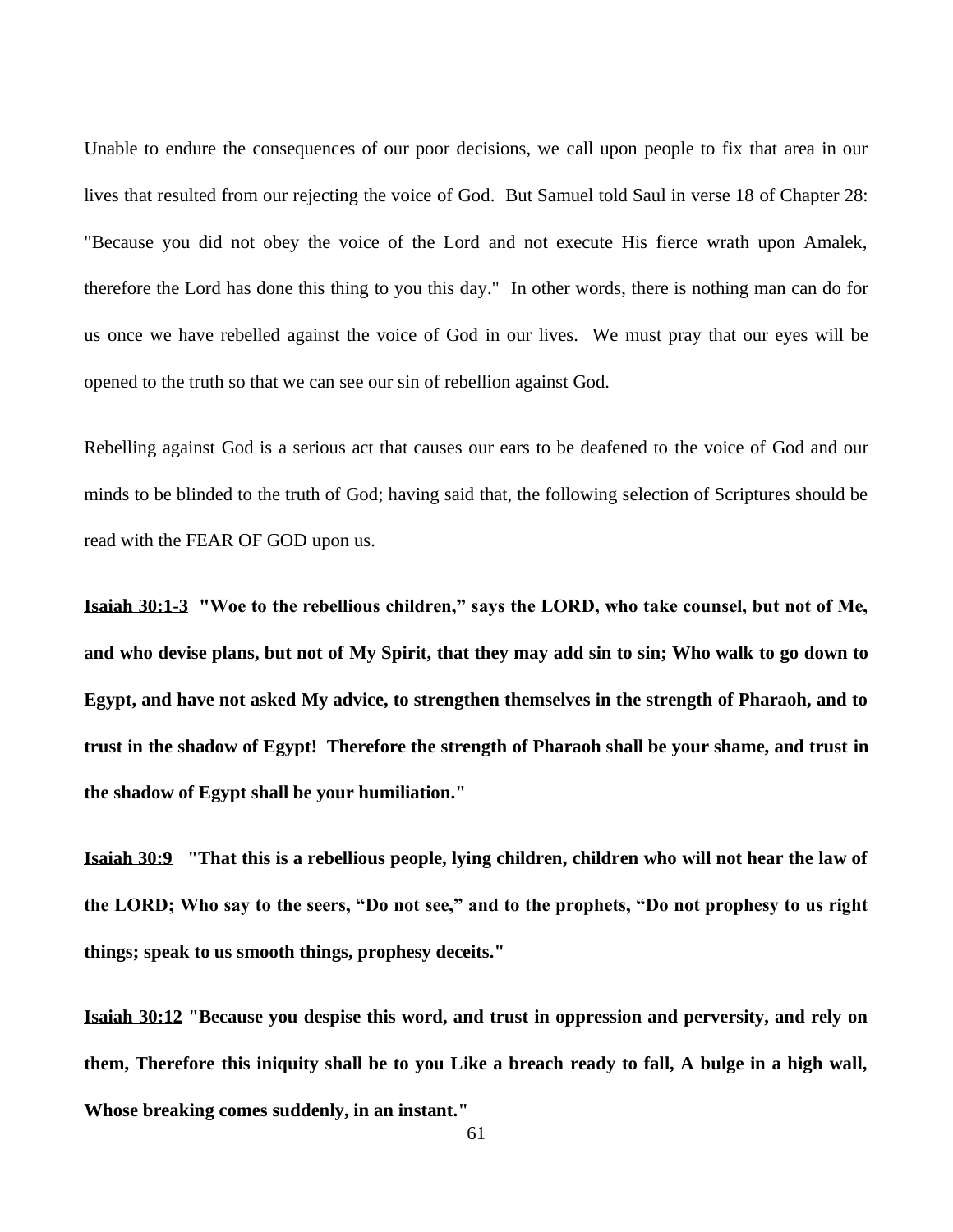Unable to endure the consequences of our poor decisions, we call upon people to fix that area in our lives that resulted from our rejecting the voice of God. But Samuel told Saul in verse 18 of Chapter 28: "Because you did not obey the voice of the Lord and not execute His fierce wrath upon Amalek, therefore the Lord has done this thing to you this day." In other words, there is nothing man can do for us once we have rebelled against the voice of God in our lives. We must pray that our eyes will be opened to the truth so that we can see our sin of rebellion against God.

Rebelling against God is a serious act that causes our ears to be deafened to the voice of God and our minds to be blinded to the truth of God; having said that, the following selection of Scriptures should be read with the FEAR OF GOD upon us.

**Isaiah 30:1-3 "Woe to the rebellious children," says the LORD, who take counsel, but not of Me, and who devise plans, but not of My Spirit, that they may add sin to sin; Who walk to go down to Egypt, and have not asked My advice, to strengthen themselves in the strength of Pharaoh, and to trust in the shadow of Egypt! Therefore the strength of Pharaoh shall be your shame, and trust in the shadow of Egypt shall be your humiliation."**

**Isaiah 30:9 "That this is a rebellious people, lying children, children who will not hear the law of the LORD; Who say to the seers, "Do not see," and to the prophets, "Do not prophesy to us right things; speak to us smooth things, prophesy deceits."**

**Isaiah 30:12 "Because you despise this word, and trust in oppression and perversity, and rely on them, Therefore this iniquity shall be to you Like a breach ready to fall, A bulge in a high wall, Whose breaking comes suddenly, in an instant."**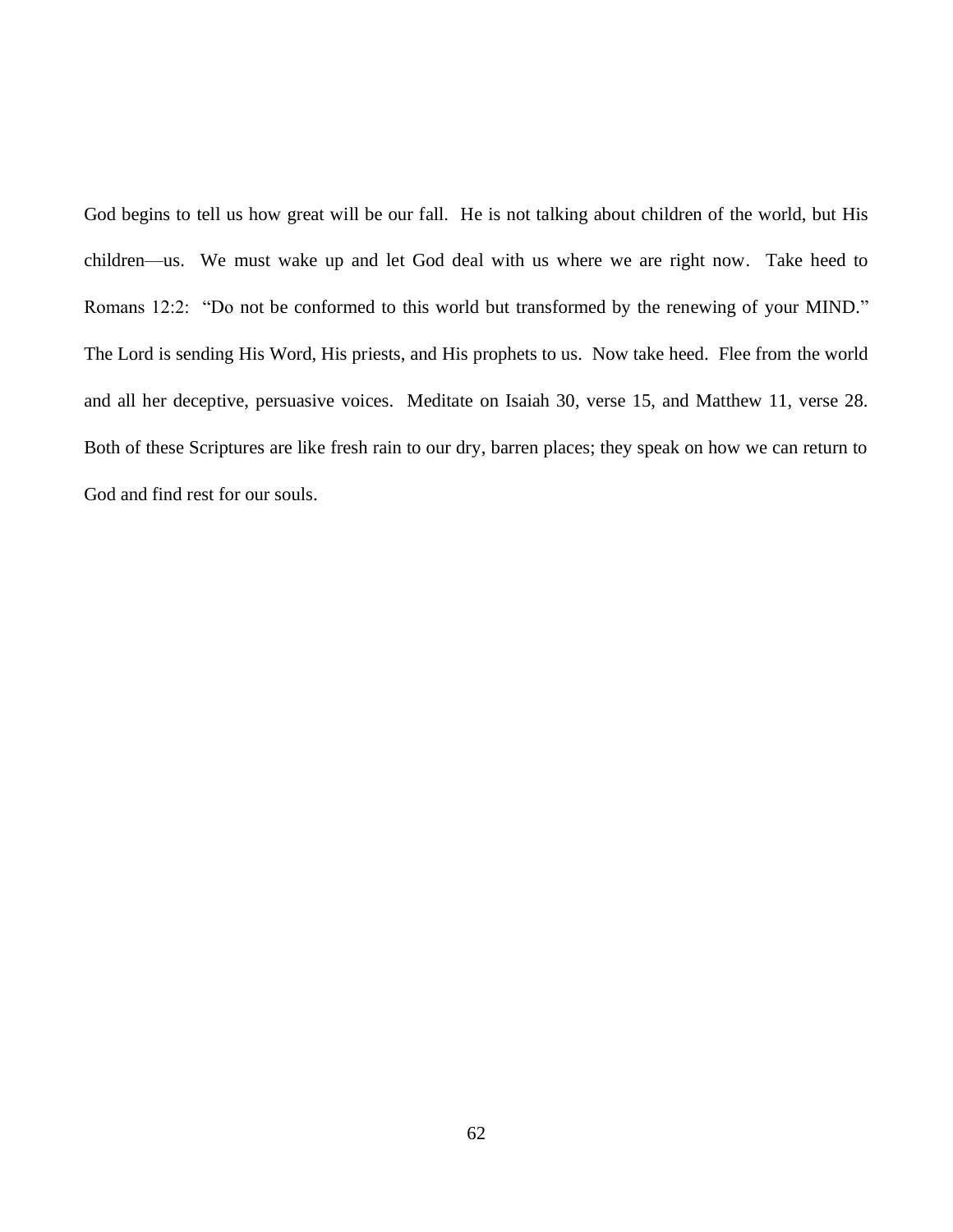God begins to tell us how great will be our fall. He is not talking about children of the world, but His children—us. We must wake up and let God deal with us where we are right now. Take heed to Romans 12:2: "Do not be conformed to this world but transformed by the renewing of your MIND." The Lord is sending His Word, His priests, and His prophets to us. Now take heed. Flee from the world and all her deceptive, persuasive voices. Meditate on Isaiah 30, verse 15, and Matthew 11, verse 28. Both of these Scriptures are like fresh rain to our dry, barren places; they speak on how we can return to God and find rest for our souls.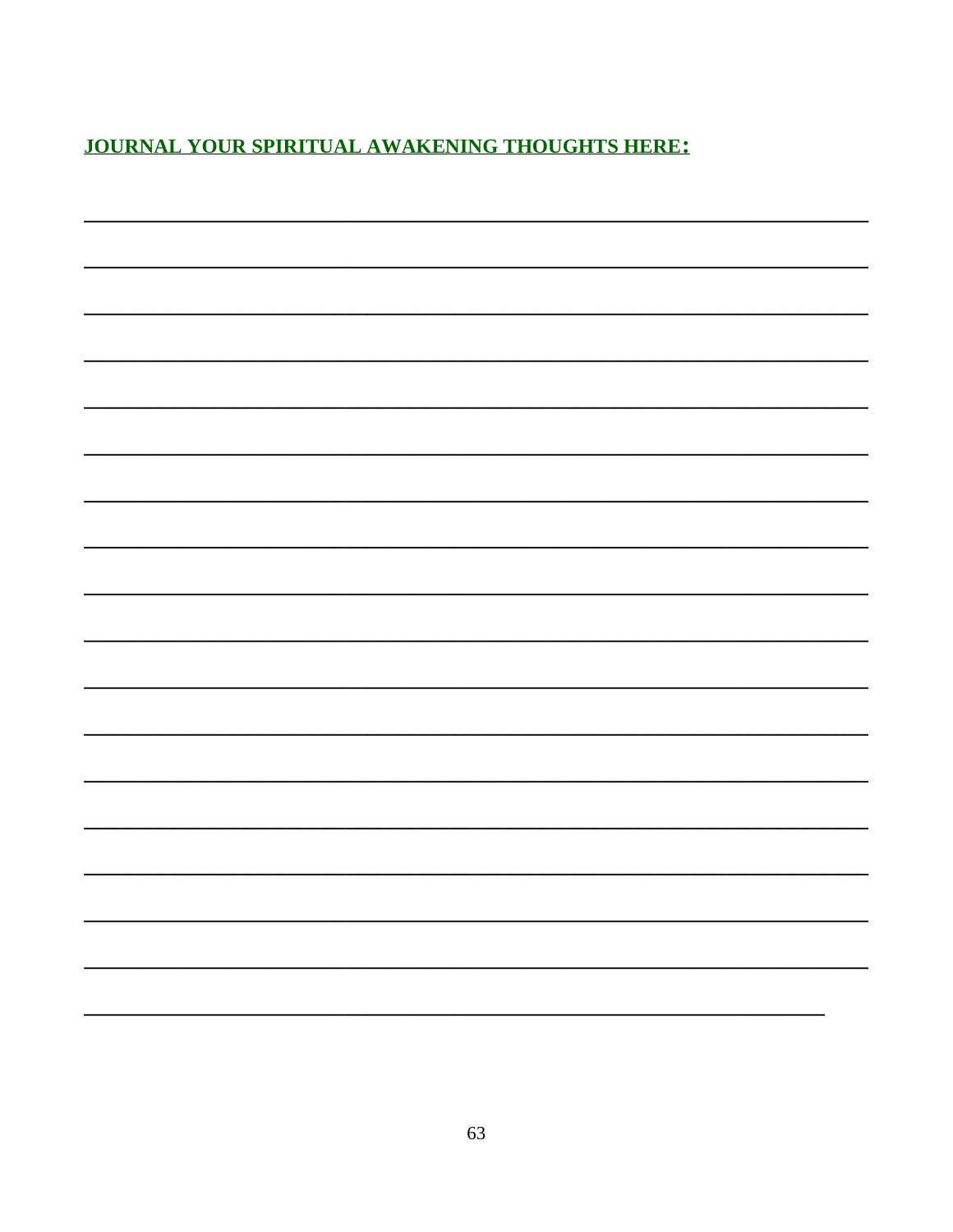# **JOURNAL YOUR SPIRITUAL AWAKENING THOUGHTS HERE:**

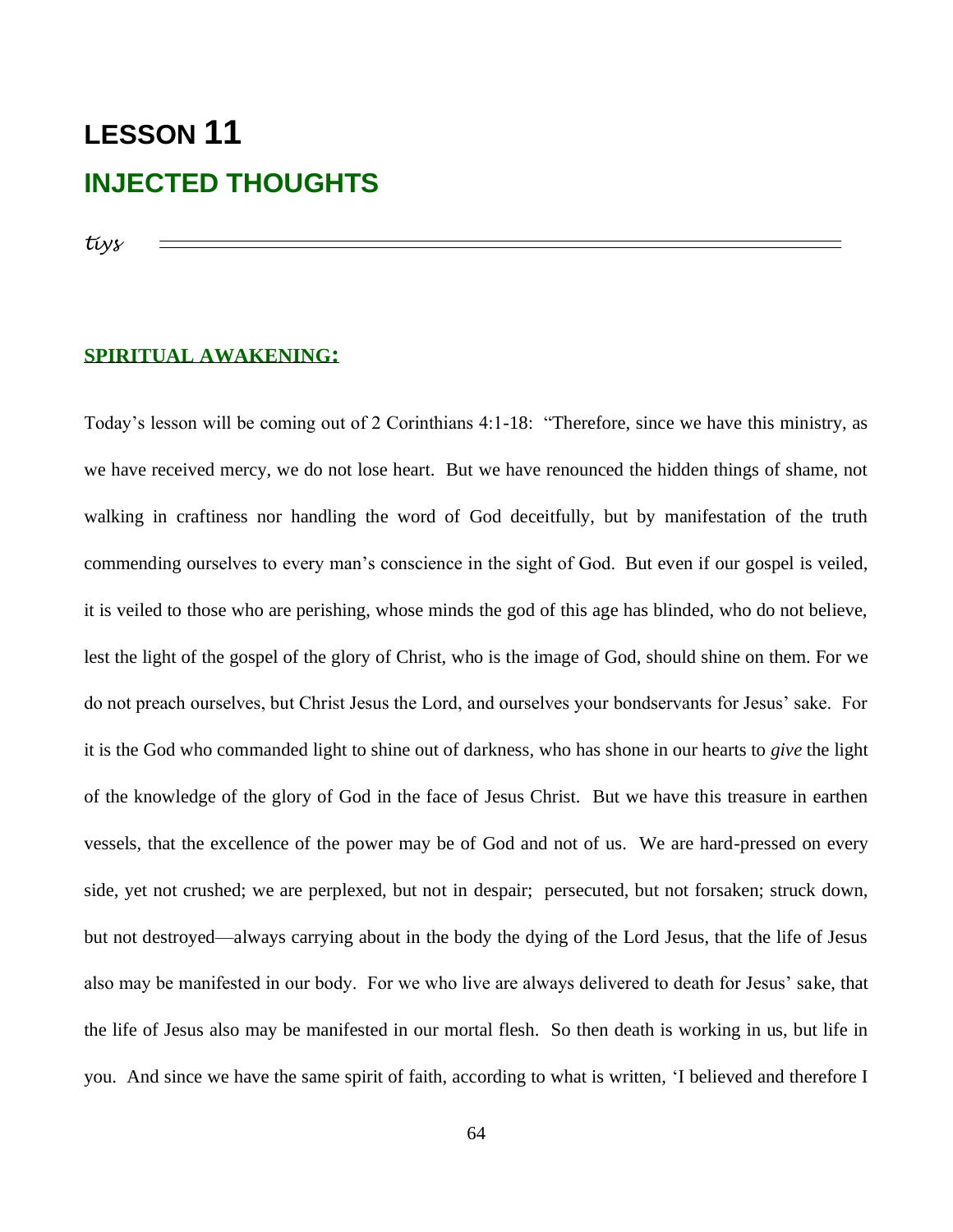# **LESSON 11 INJECTED THOUGHTS**

*tiys*

### **SPIRITUAL AWAKENING:**

Today's lesson will be coming out of 2 Corinthians 4:1-18: "Therefore, since we have this ministry, as we have received mercy, we do not lose heart. But we have renounced the hidden things of shame, not walking in craftiness nor handling the word of God deceitfully, but by manifestation of the truth commending ourselves to every man's conscience in the sight of God. But even if our gospel is veiled, it is veiled to those who are perishing, whose minds the god of this age has blinded, who do not believe, lest the light of the gospel of the glory of Christ, who is the image of God, should shine on them. For we do not preach ourselves, but Christ Jesus the Lord, and ourselves your bondservants for Jesus' sake. For it is the God who commanded light to shine out of darkness, who has shone in our hearts to *give* the light of the knowledge of the glory of God in the face of Jesus Christ.But we have this treasure in earthen vessels, that the excellence of the power may be of God and not of us. We are hard-pressed on every side, yet not crushed; we are perplexed, but not in despair; persecuted, but not forsaken; struck down, but not destroyed—always carrying about in the body the dying of the Lord Jesus, that the life of Jesus also may be manifested in our body. For we who live are always delivered to death for Jesus' sake, that the life of Jesus also may be manifested in our mortal flesh. So then death is working in us, but life in you. And since we have the same spirit of faith, according to what is written, 'I believed and therefore I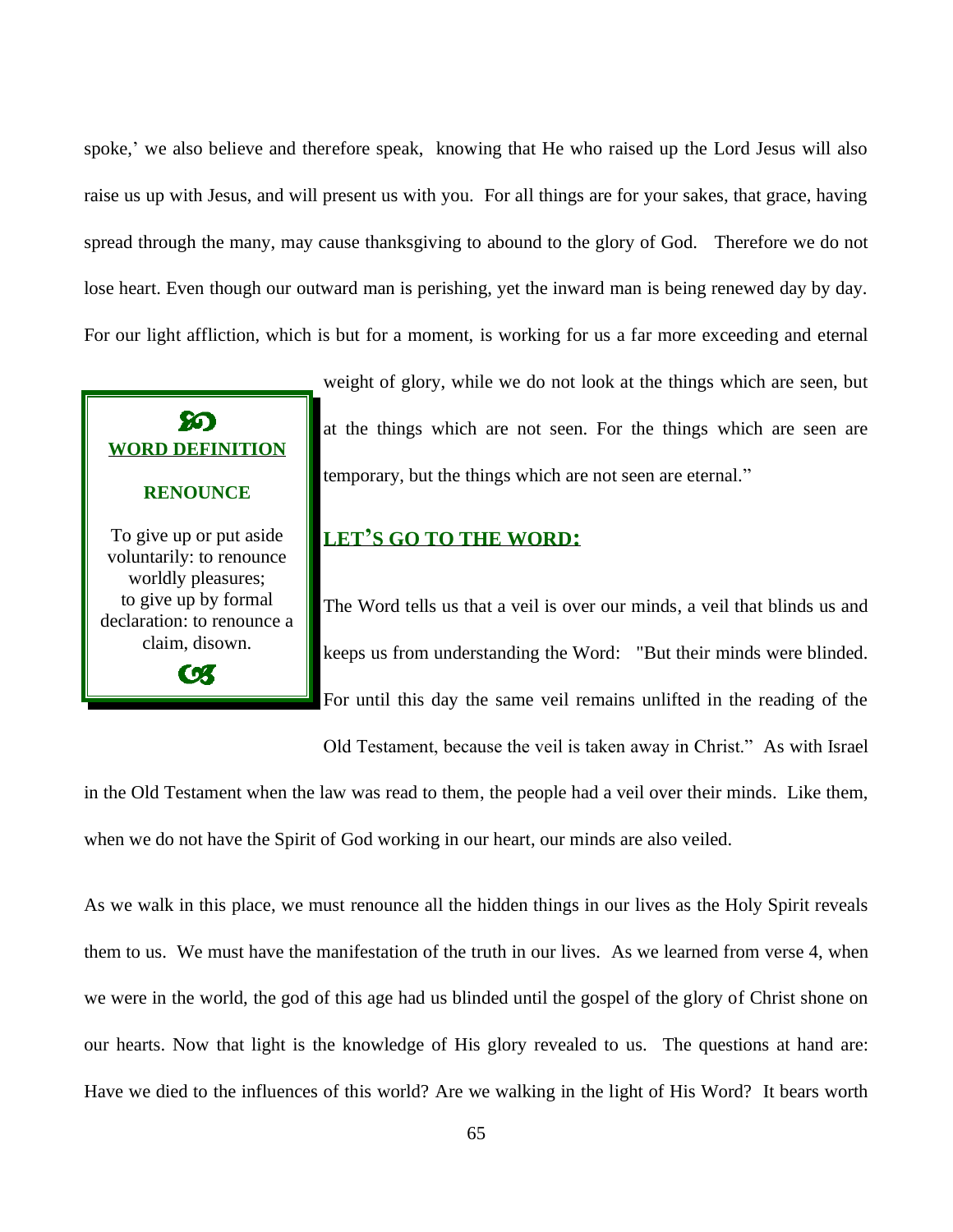spoke,' we also believe and therefore speak, knowing that He who raised up the Lord Jesus will also raise us up with Jesus, and will present us with you. For all things are for your sakes, that grace, having spread through the many, may cause thanksgiving to abound to the glory of God. Therefore we do not lose heart. Even though our outward man is perishing, yet the inward man is being renewed day by day. For our light affliction, which is but for a moment, is working for us a far more exceeding and eternal



### **RENOUNCE**

To give up or put aside voluntarily: to renounce worldly pleasures; to give up by formal declaration: to renounce a claim, disown.

G.

at the things which are not seen. For the things which are seen are temporary, but the things which are not seen are eternal."

weight of glory, while we do not look at the things which are seen, but

## **LET'S GO TO THE WORD:**

The Word tells us that a veil is over our minds, a veil that blinds us and keeps us from understanding the Word: "But their minds were blinded. For until this day the same veil remains unlifted in the reading of the

Old Testament, because the veil is taken away in Christ." As with Israel

in the Old Testament when the law was read to them, the people had a veil over their minds. Like them, when we do not have the Spirit of God working in our heart, our minds are also veiled.

As we walk in this place, we must renounce all the hidden things in our lives as the Holy Spirit reveals them to us. We must have the manifestation of the truth in our lives. As we learned from verse 4, when we were in the world, the god of this age had us blinded until the gospel of the glory of Christ shone on our hearts. Now that light is the knowledge of His glory revealed to us. The questions at hand are: Have we died to the influences of this world? Are we walking in the light of His Word? It bears worth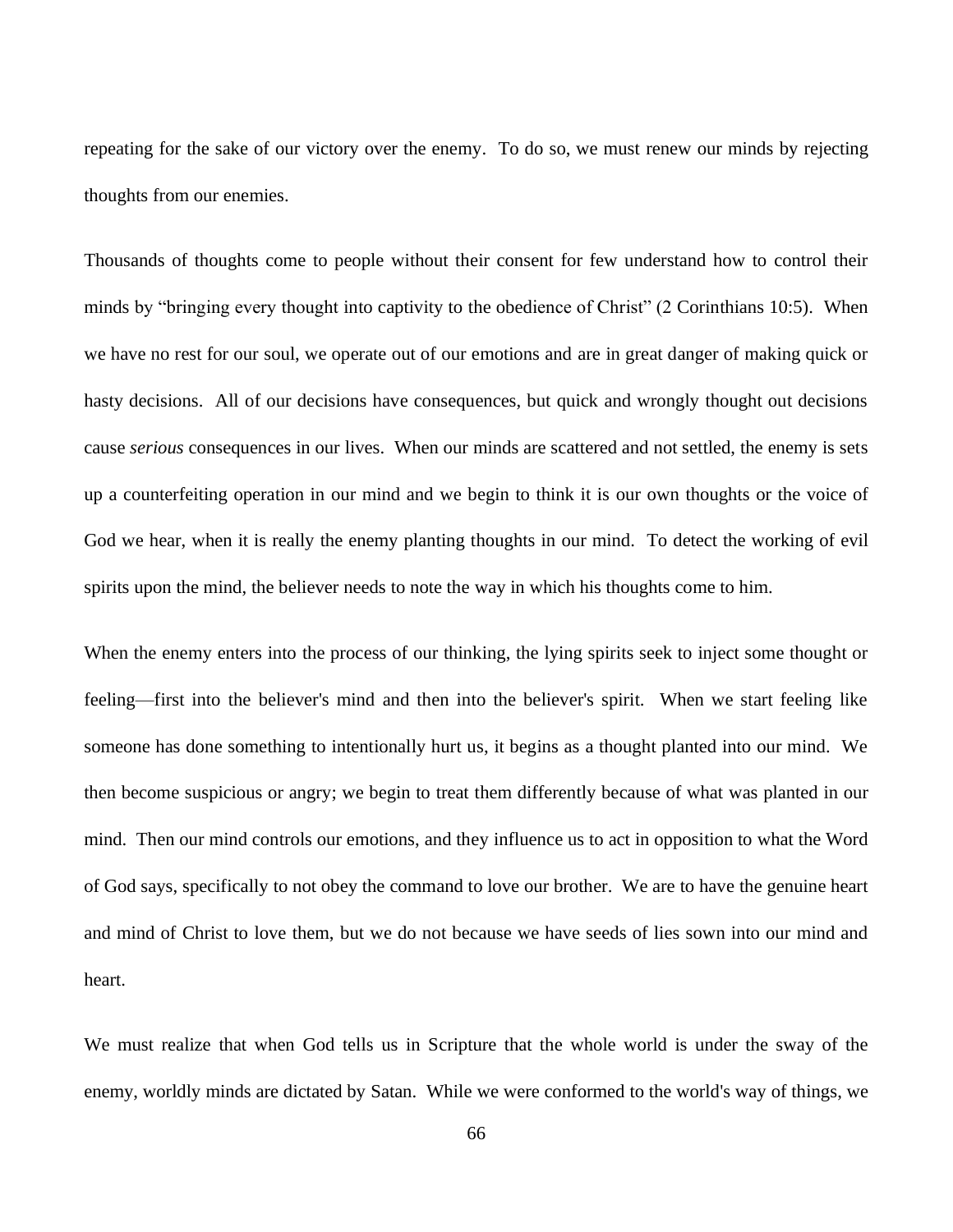repeating for the sake of our victory over the enemy. To do so, we must renew our minds by rejecting thoughts from our enemies.

Thousands of thoughts come to people without their consent for few understand how to control their minds by "bringing every thought into captivity to the obedience of Christ" (2 Corinthians 10:5). When we have no rest for our soul, we operate out of our emotions and are in great danger of making quick or hasty decisions. All of our decisions have consequences, but quick and wrongly thought out decisions cause *serious* consequences in our lives. When our minds are scattered and not settled, the enemy is sets up a counterfeiting operation in our mind and we begin to think it is our own thoughts or the voice of God we hear, when it is really the enemy planting thoughts in our mind. To detect the working of evil spirits upon the mind, the believer needs to note the way in which his thoughts come to him.

When the enemy enters into the process of our thinking, the lying spirits seek to inject some thought or feeling—first into the believer's mind and then into the believer's spirit. When we start feeling like someone has done something to intentionally hurt us, it begins as a thought planted into our mind. We then become suspicious or angry; we begin to treat them differently because of what was planted in our mind. Then our mind controls our emotions, and they influence us to act in opposition to what the Word of God says, specifically to not obey the command to love our brother. We are to have the genuine heart and mind of Christ to love them, but we do not because we have seeds of lies sown into our mind and heart.

We must realize that when God tells us in Scripture that the whole world is under the sway of the enemy, worldly minds are dictated by Satan. While we were conformed to the world's way of things, we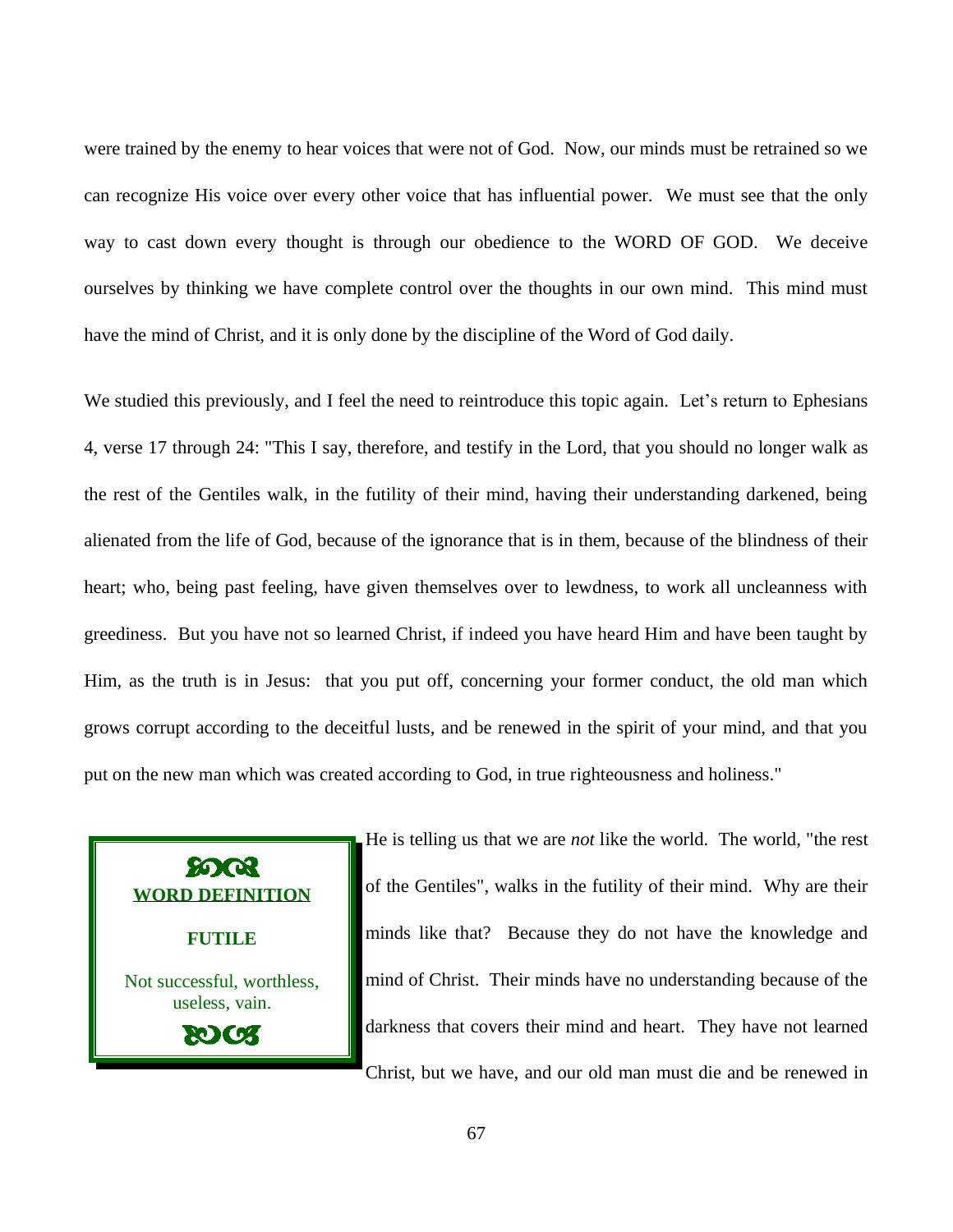were trained by the enemy to hear voices that were not of God. Now, our minds must be retrained so we can recognize His voice over every other voice that has influential power. We must see that the only way to cast down every thought is through our obedience to the WORD OF GOD. We deceive ourselves by thinking we have complete control over the thoughts in our own mind. This mind must have the mind of Christ, and it is only done by the discipline of the Word of God daily.

We studied this previously, and I feel the need to reintroduce this topic again. Let's return to Ephesians 4, verse 17 through 24: "This I say, therefore, and testify in the Lord, that you should no longer walk as the rest of the Gentiles walk, in the futility of their mind, having their understanding darkened, being alienated from the life of God, because of the ignorance that is in them, because of the blindness of their heart; who, being past feeling, have given themselves over to lewdness, to work all uncleanness with greediness. But you have not so learned Christ, if indeed you have heard Him and have been taught by Him, as the truth is in Jesus: that you put off, concerning your former conduct, the old man which grows corrupt according to the deceitful lusts, and be renewed in the spirit of your mind, and that you put on the new man which was created according to God, in true righteousness and holiness."

**SOICK WORD DEFINITION FUTILE** Not successful, worthless, useless, vain. **ROCK** 

He is telling us that we are *not* like the world. The world, "the rest of the Gentiles", walks in the futility of their mind. Why are their minds like that? Because they do not have the knowledge and mind of Christ. Their minds have no understanding because of the darkness that covers their mind and heart.They have not learned Christ, but we have, and our old man must die and be renewed in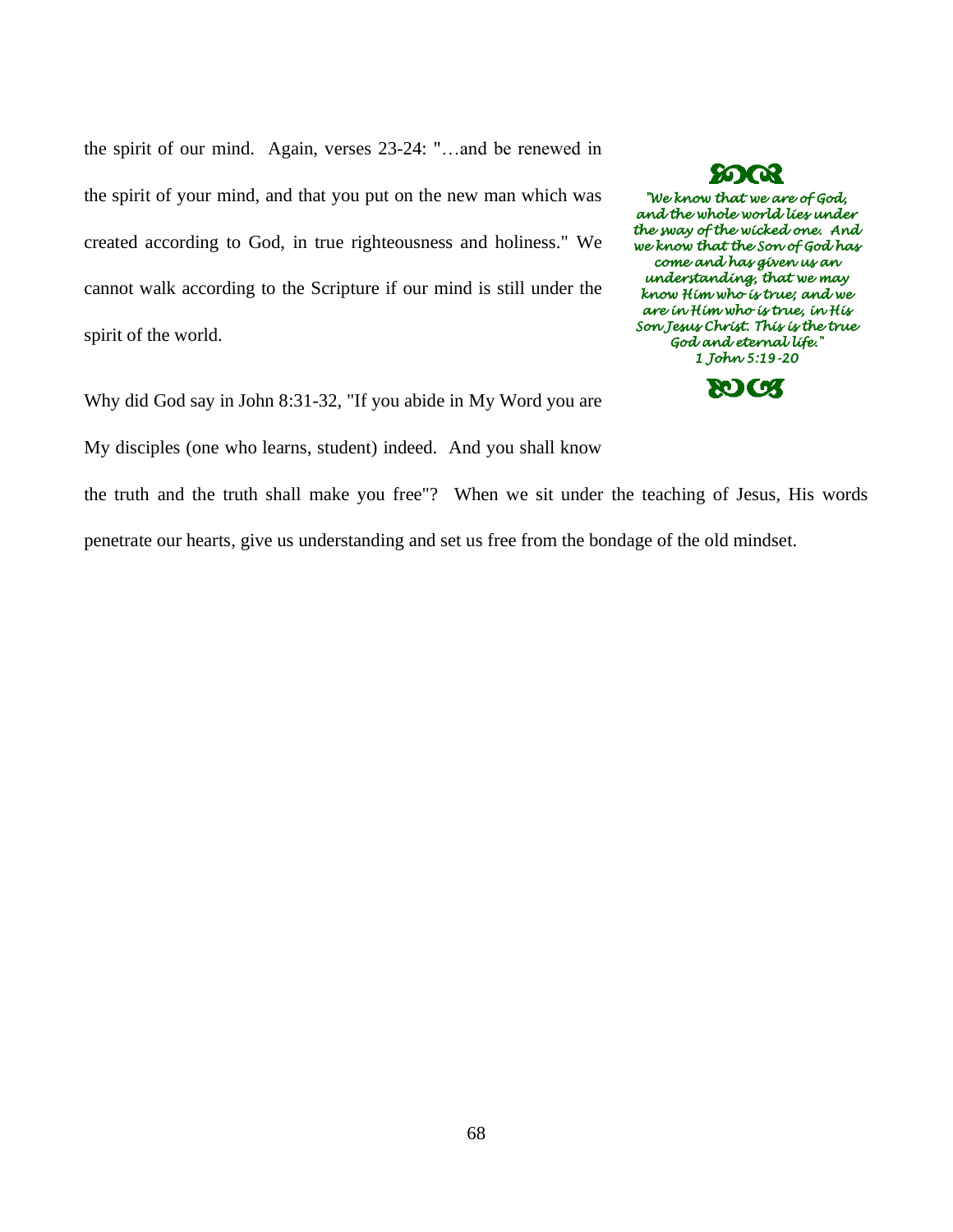the spirit of our mind. Again, verses 23-24: "…and be renewed in the spirit of your mind, and that you put on the new man which was created according to God, in true righteousness and holiness." We cannot walk according to the Scripture if our mind is still under the spirit of the world.

Why did God say in John 8:31-32, "If you abide in My Word you are

My disciples (one who learns, student) indeed. And you shall know





the truth and the truth shall make you free"? When we sit under the teaching of Jesus, His words penetrate our hearts, give us understanding and set us free from the bondage of the old mindset.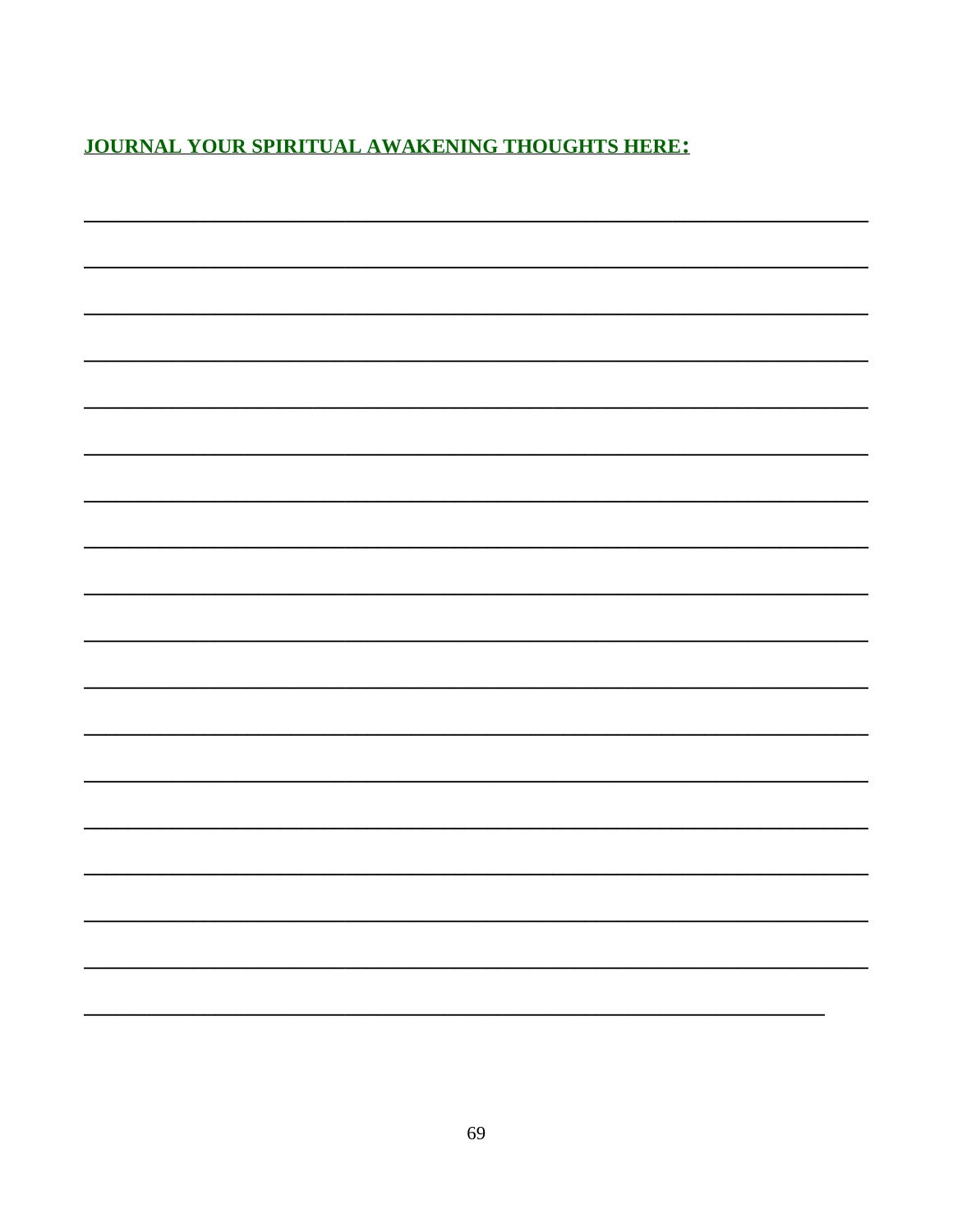# **JOURNAL YOUR SPIRITUAL AWAKENING THOUGHTS HERE:**

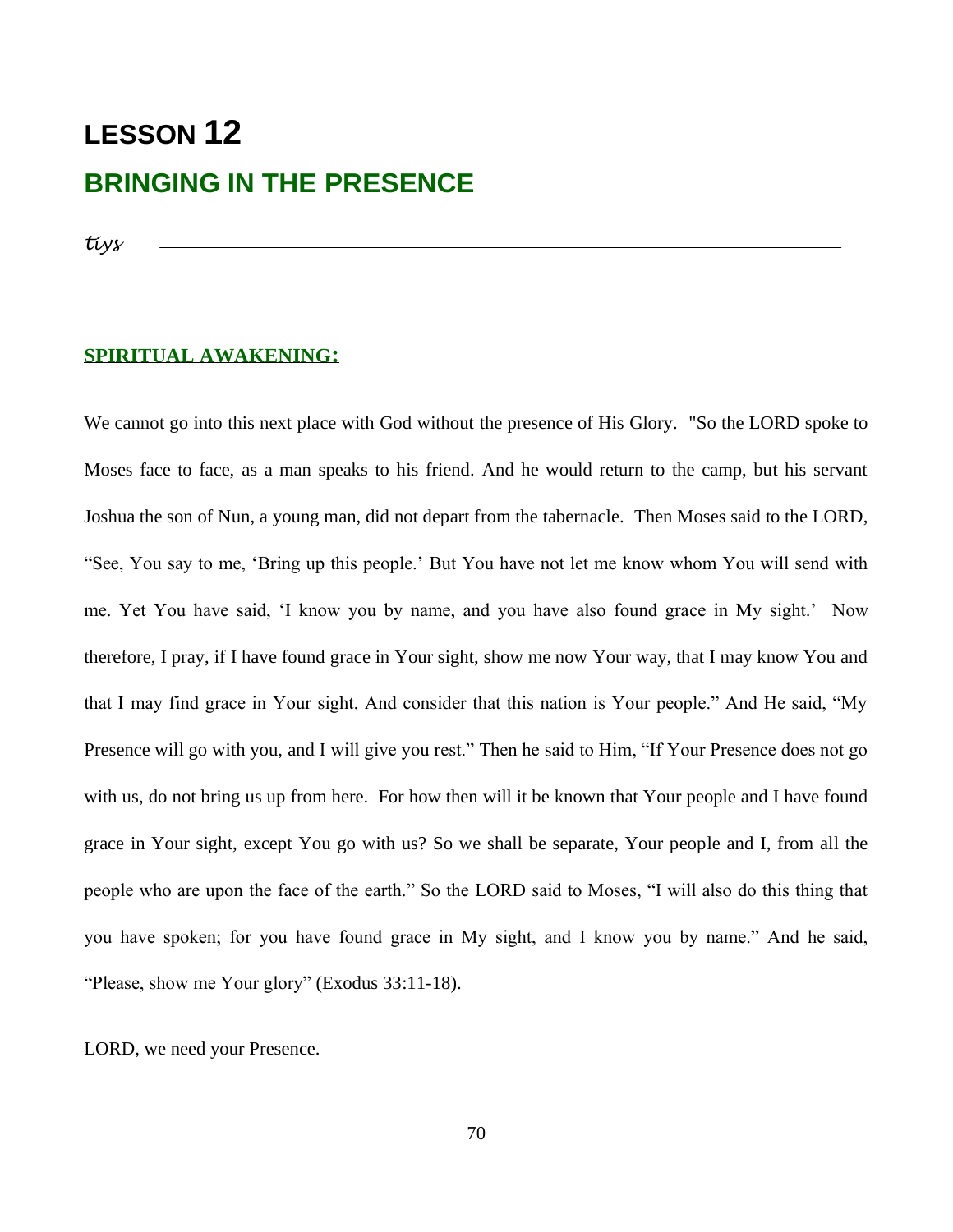# **LESSON 12 BRINGING IN THE PRESENCE**

*tiys*

#### **SPIRITUAL AWAKENING:**

We cannot go into this next place with God without the presence of His Glory. "So the LORD spoke to Moses face to face, as a man speaks to his friend. And he would return to the camp, but his servant Joshua the son of Nun, a young man, did not depart from the tabernacle. Then Moses said to the LORD, "See, You say to me, 'Bring up this people.' But You have not let me know whom You will send with me. Yet You have said, 'I know you by name, and you have also found grace in My sight.' Now therefore, I pray, if I have found grace in Your sight, show me now Your way, that I may know You and that I may find grace in Your sight. And consider that this nation is Your people." And He said, "My Presence will go with you, and I will give you rest." Then he said to Him, "If Your Presence does not go with us, do not bring us up from here. For how then will it be known that Your people and I have found grace in Your sight, except You go with us? So we shall be separate, Your people and I, from all the people who are upon the face of the earth." So the LORD said to Moses, "I will also do this thing that you have spoken; for you have found grace in My sight, and I know you by name." And he said, "Please, show me Your glory" (Exodus 33:11-18).

LORD, we need your Presence.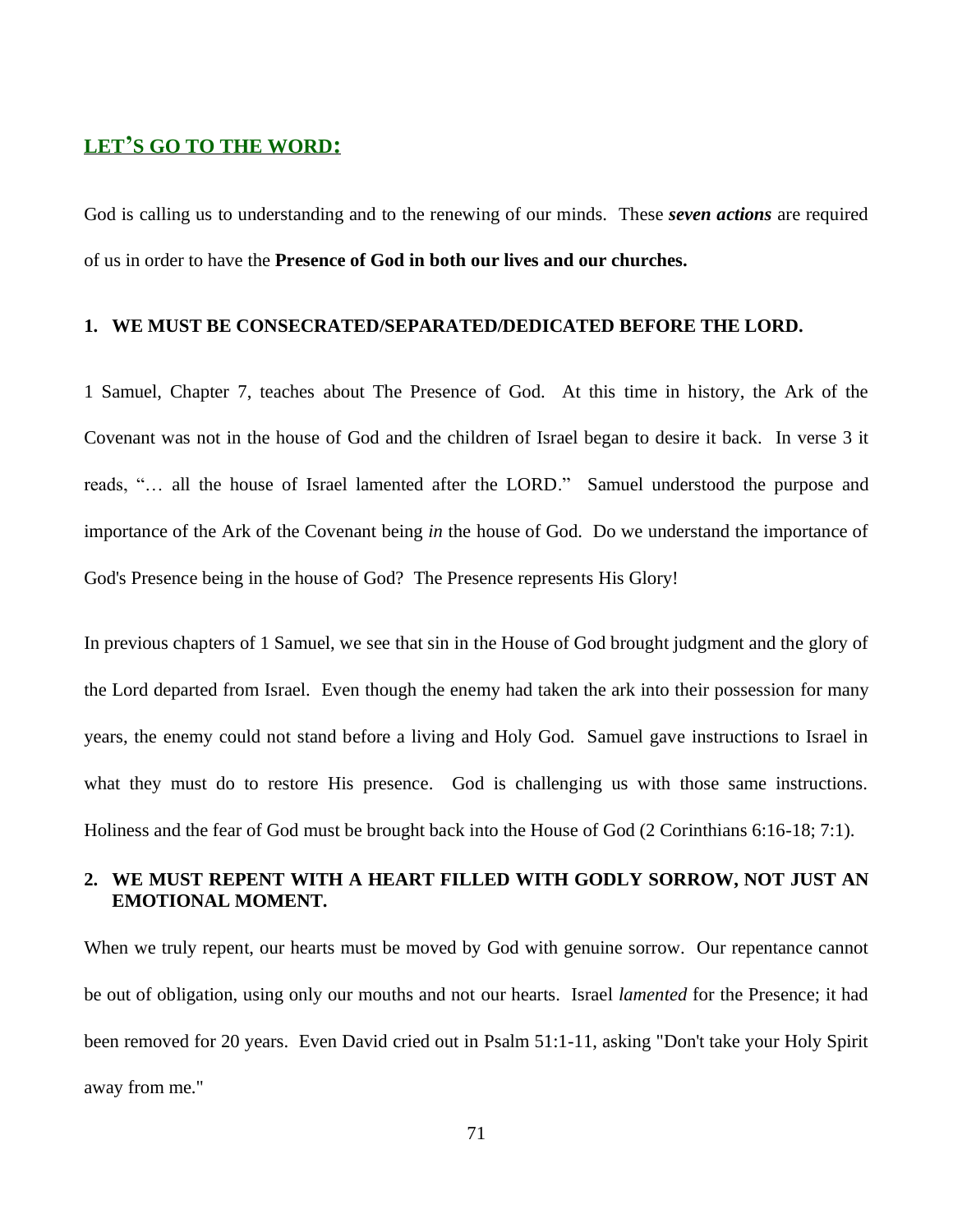## **LET'S GO TO THE WORD:**

God is calling us to understanding and to the renewing of our minds. These *seven actions* are required of us in order to have the **Presence of God in both our lives and our churches.**

### **1. WE MUST BE CONSECRATED/SEPARATED/DEDICATED BEFORE THE LORD.**

1 Samuel, Chapter 7, teaches about The Presence of God. At this time in history, the Ark of the Covenant was not in the house of God and the children of Israel began to desire it back. In verse 3 it reads, "… all the house of Israel lamented after the LORD." Samuel understood the purpose and importance of the Ark of the Covenant being *in* the house of God. Do we understand the importance of God's Presence being in the house of God? The Presence represents His Glory!

In previous chapters of 1 Samuel, we see that sin in the House of God brought judgment and the glory of the Lord departed from Israel. Even though the enemy had taken the ark into their possession for many years, the enemy could not stand before a living and Holy God. Samuel gave instructions to Israel in what they must do to restore His presence. God is challenging us with those same instructions. Holiness and the fear of God must be brought back into the House of God (2 Corinthians 6:16-18; 7:1).

### **2. WE MUST REPENT WITH A HEART FILLED WITH GODLY SORROW, NOT JUST AN EMOTIONAL MOMENT.**

When we truly repent, our hearts must be moved by God with genuine sorrow. Our repentance cannot be out of obligation, using only our mouths and not our hearts. Israel *lamented* for the Presence; it had been removed for 20 years. Even David cried out in Psalm 51:1-11, asking "Don't take your Holy Spirit away from me."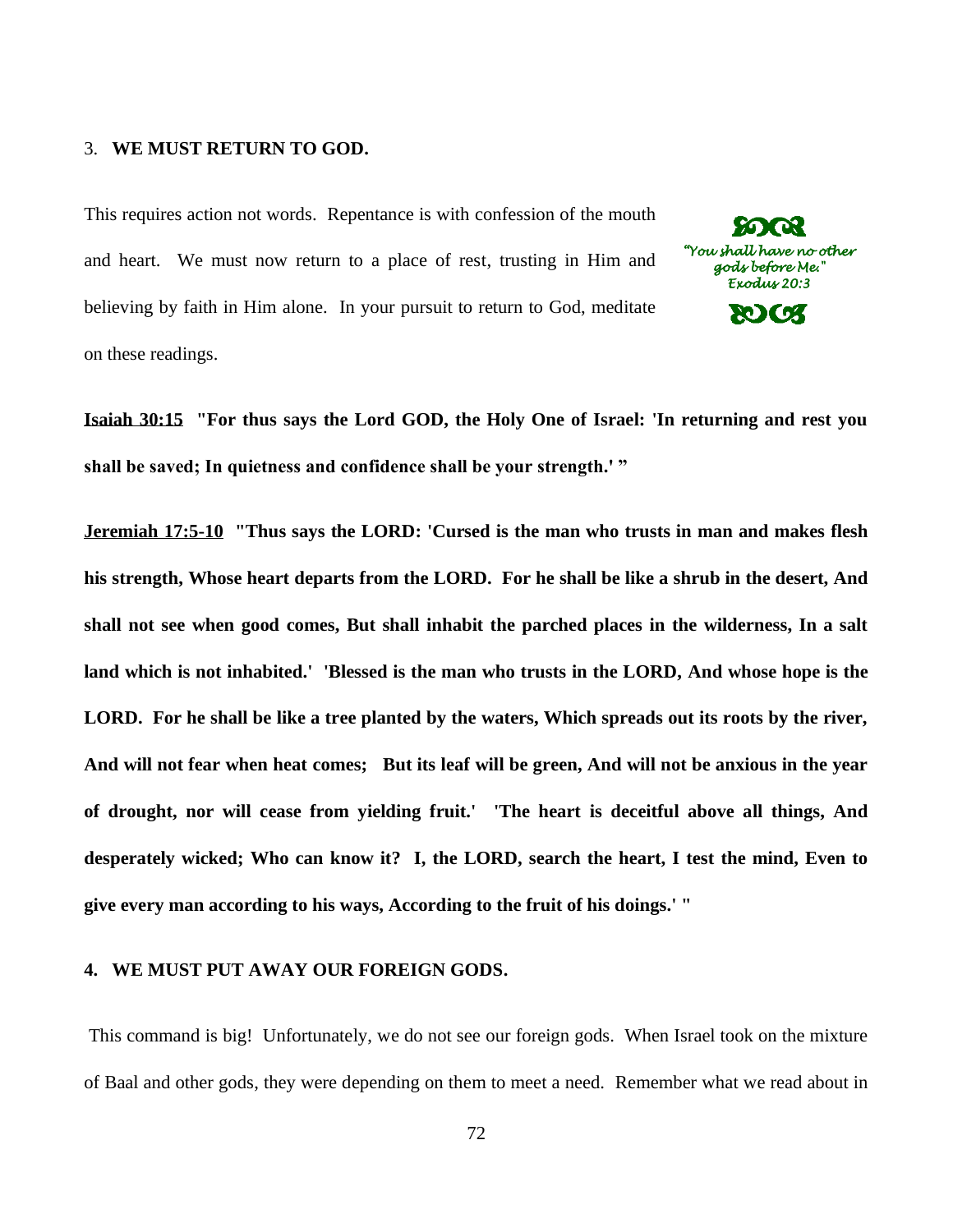#### 3. **WE MUST RETURN TO GOD.**

This requires action not words. Repentance is with confession of the mouth and heart. We must now return to a place of rest, trusting in Him and believing by faith in Him alone. In your pursuit to return to God, meditate on these readings.



**Isaiah 30:15 "For thus says the Lord GOD, the Holy One of Israel: 'In returning and rest you shall be saved; In quietness and confidence shall be your strength.' "**

**Jeremiah 17:5-10 "Thus says the LORD: 'Cursed is the man who trusts in man and makes flesh his strength, Whose heart departs from the LORD. For he shall be like a shrub in the desert, And shall not see when good comes, But shall inhabit the parched places in the wilderness, In a salt land which is not inhabited.' 'Blessed is the man who trusts in the LORD, And whose hope is the LORD. For he shall be like a tree planted by the waters, Which spreads out its roots by the river, And will not fear when heat comes; But its leaf will be green, And will not be anxious in the year of drought, nor will cease from yielding fruit.' 'The heart is deceitful above all things, And desperately wicked; Who can know it? I, the LORD, search the heart, I test the mind, Even to give every man according to his ways, According to the fruit of his doings.' "**

### **4. WE MUST PUT AWAY OUR FOREIGN GODS.**

This command is big! Unfortunately, we do not see our foreign gods. When Israel took on the mixture of Baal and other gods, they were depending on them to meet a need. Remember what we read about in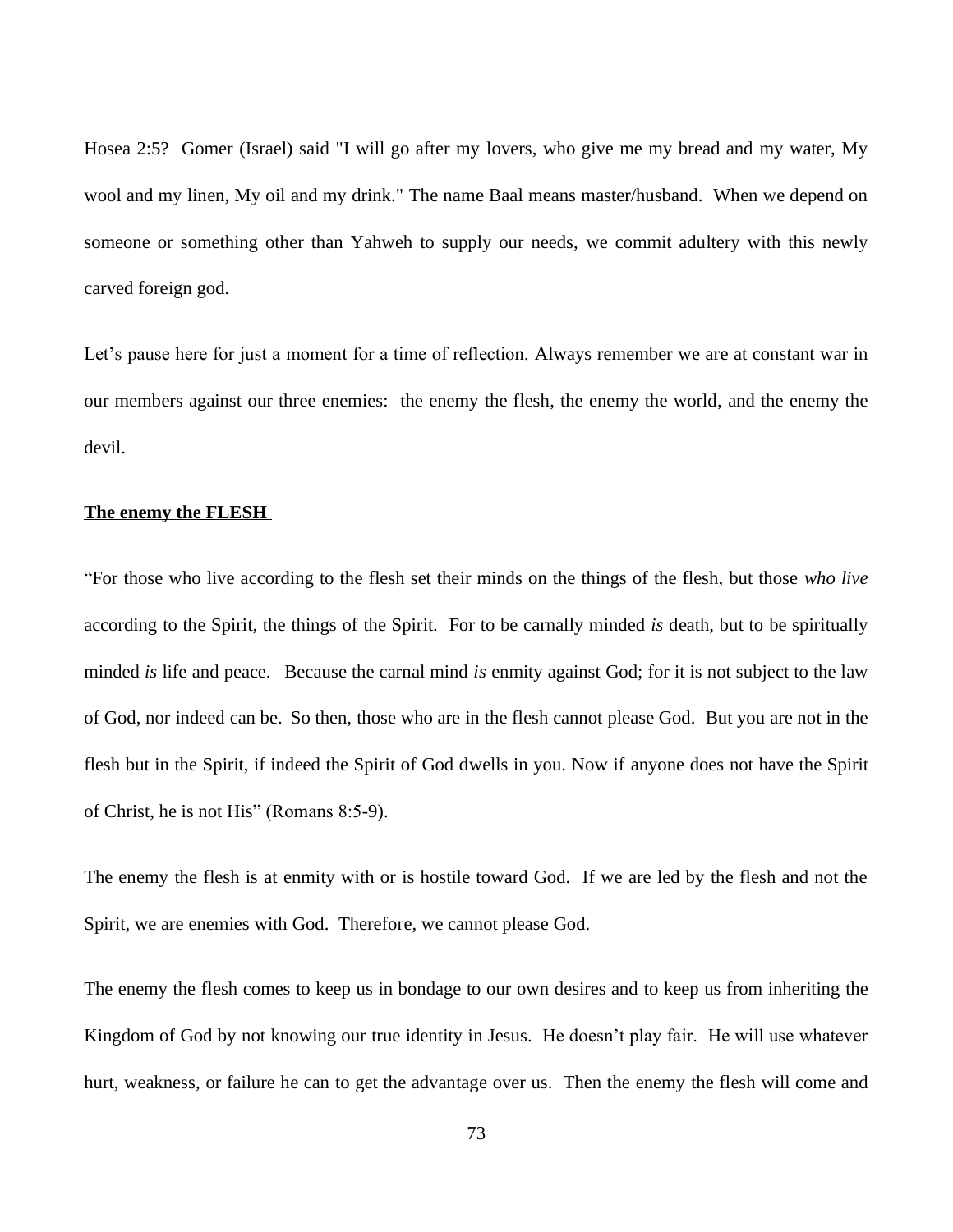Hosea 2:5? Gomer (Israel) said "I will go after my lovers, who give me my bread and my water, My wool and my linen, My oil and my drink." The name Baal means master/husband. When we depend on someone or something other than Yahweh to supply our needs, we commit adultery with this newly carved foreign god.

Let's pause here for just a moment for a time of reflection. Always remember we are at constant war in our members against our three enemies: the enemy the flesh, the enemy the world, and the enemy the devil.

## **The enemy the FLESH**

"For those who live according to the flesh set their minds on the things of the flesh, but those *who live* according to the Spirit, the things of the Spirit. For to be carnally minded *is* death, but to be spiritually minded *is* life and peace. Because the carnal mind *is* enmity against God; for it is not subject to the law of God, nor indeed can be. So then, those who are in the flesh cannot please God. But you are not in the flesh but in the Spirit, if indeed the Spirit of God dwells in you. Now if anyone does not have the Spirit of Christ, he is not His" (Romans 8:5-9).

The enemy the flesh is at enmity with or is hostile toward God. If we are led by the flesh and not the Spirit, we are enemies with God. Therefore, we cannot please God.

The enemy the flesh comes to keep us in bondage to our own desires and to keep us from inheriting the Kingdom of God by not knowing our true identity in Jesus. He doesn't play fair. He will use whatever hurt, weakness, or failure he can to get the advantage over us. Then the enemy the flesh will come and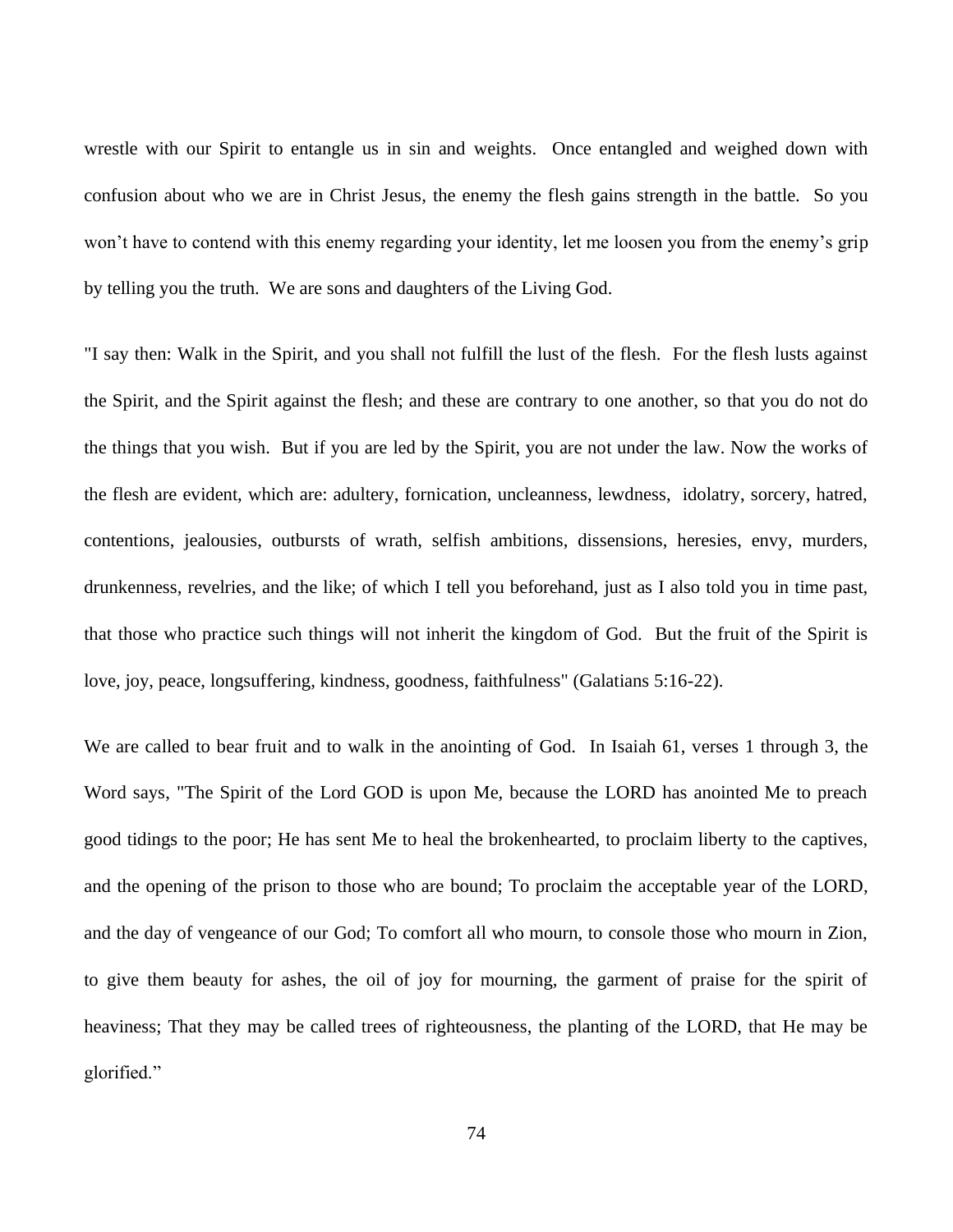wrestle with our Spirit to entangle us in sin and weights. Once entangled and weighed down with confusion about who we are in Christ Jesus, the enemy the flesh gains strength in the battle. So you won't have to contend with this enemy regarding your identity, let me loosen you from the enemy's grip by telling you the truth. We are sons and daughters of the Living God.

"I say then: Walk in the Spirit, and you shall not fulfill the lust of the flesh. For the flesh lusts against the Spirit, and the Spirit against the flesh; and these are contrary to one another, so that you do not do the things that you wish. But if you are led by the Spirit, you are not under the law. Now the works of the flesh are evident, which are: adultery, fornication, uncleanness, lewdness, idolatry, sorcery, hatred, contentions, jealousies, outbursts of wrath, selfish ambitions, dissensions, heresies, envy, murders, drunkenness, revelries, and the like; of which I tell you beforehand, just as I also told you in time past, that those who practice such things will not inherit the kingdom of God. But the fruit of the Spirit is love, joy, peace, longsuffering, kindness, goodness, faithfulness" (Galatians 5:16-22).

We are called to bear fruit and to walk in the anointing of God. In Isaiah 61, verses 1 through 3, the Word says, "The Spirit of the Lord GOD is upon Me, because the LORD has anointed Me to preach good tidings to the poor; He has sent Me to heal the brokenhearted, to proclaim liberty to the captives, and the opening of the prison to those who are bound; To proclaim the acceptable year of the LORD, and the day of vengeance of our God; To comfort all who mourn, to console those who mourn in Zion, to give them beauty for ashes, the oil of joy for mourning, the garment of praise for the spirit of heaviness; That they may be called trees of righteousness, the planting of the LORD, that He may be glorified."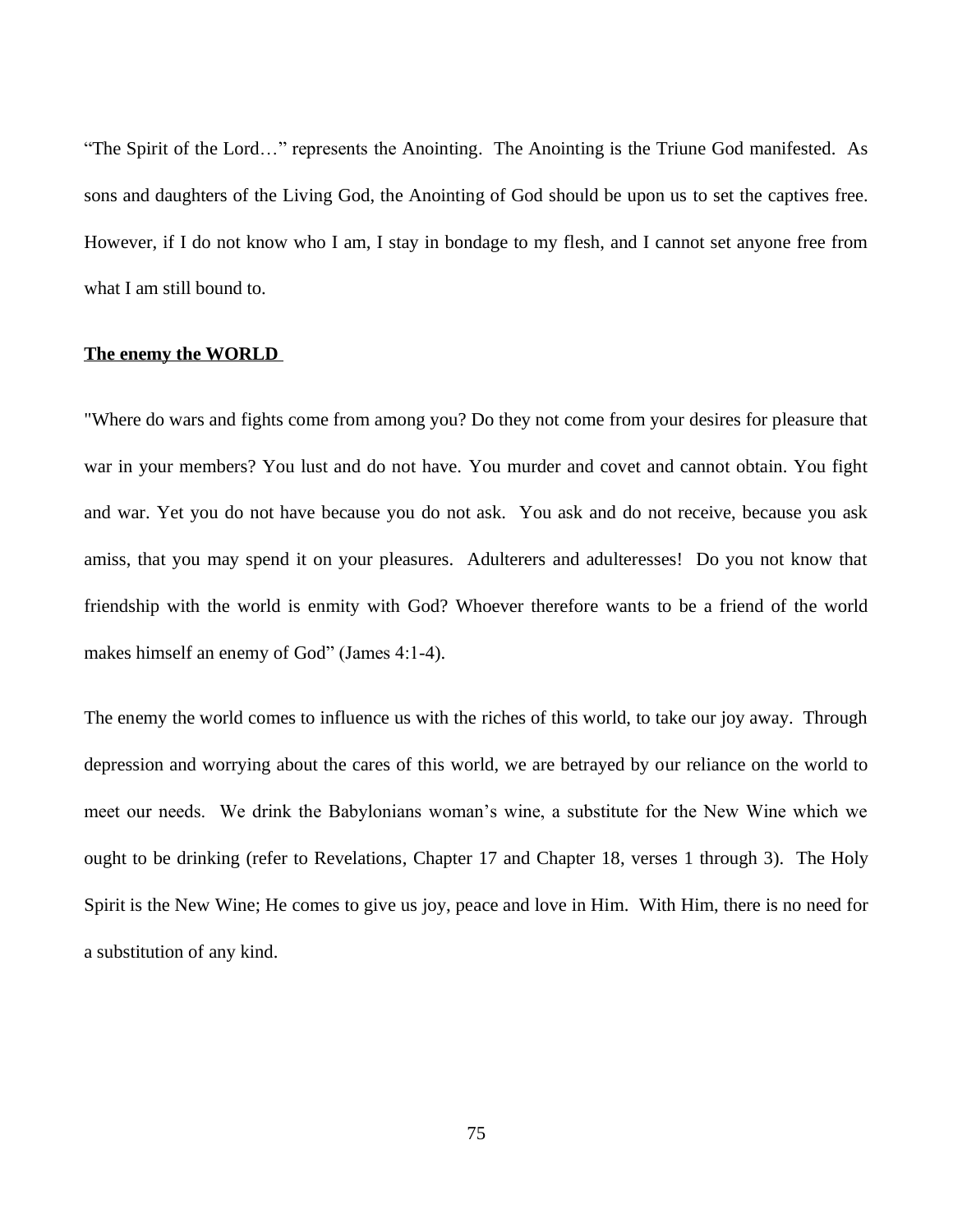"The Spirit of the Lord…" represents the Anointing. The Anointing is the Triune God manifested. As sons and daughters of the Living God, the Anointing of God should be upon us to set the captives free. However, if I do not know who I am, I stay in bondage to my flesh, and I cannot set anyone free from what I am still bound to.

#### **The enemy the WORLD**

"Where do wars and fights come from among you? Do they not come from your desires for pleasure that war in your members? You lust and do not have. You murder and covet and cannot obtain. You fight and war. Yet you do not have because you do not ask. You ask and do not receive, because you ask amiss, that you may spend it on your pleasures. Adulterers and adulteresses! Do you not know that friendship with the world is enmity with God? Whoever therefore wants to be a friend of the world makes himself an enemy of God" (James 4:1-4).

The enemy the world comes to influence us with the riches of this world, to take our joy away. Through depression and worrying about the cares of this world, we are betrayed by our reliance on the world to meet our needs. We drink the Babylonians woman's wine, a substitute for the New Wine which we ought to be drinking (refer to Revelations, Chapter 17 and Chapter 18, verses 1 through 3). The Holy Spirit is the New Wine; He comes to give us joy, peace and love in Him. With Him, there is no need for a substitution of any kind.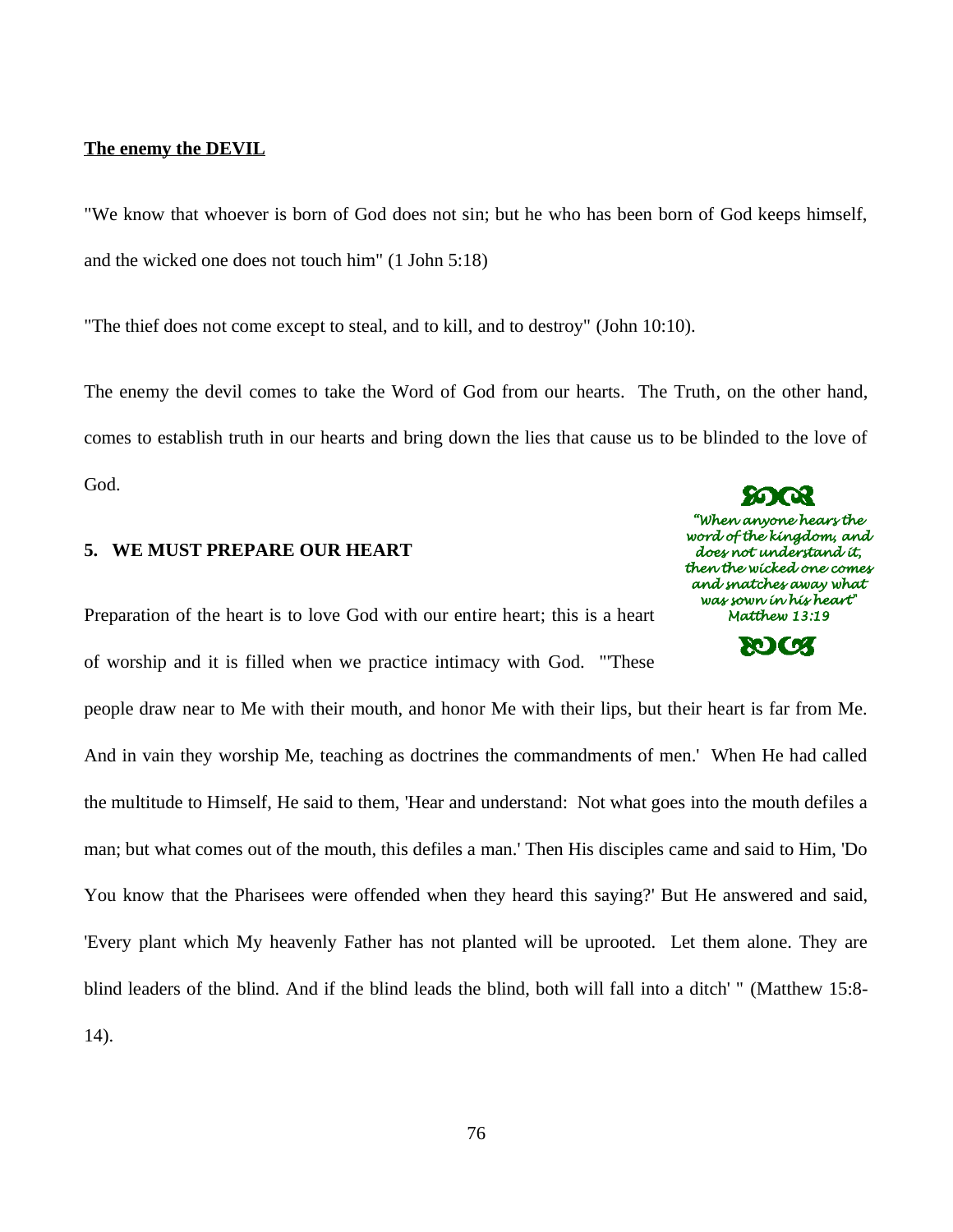#### **The enemy the DEVIL**

"We know that whoever is born of God does not sin; but he who has been born of God keeps himself, and the wicked one does not touch him" (1 John 5:18)

"The thief does not come except to steal, and to kill, and to destroy" (John 10:10).

The enemy the devil comes to take the Word of God from our hearts. The Truth, on the other hand, comes to establish truth in our hearts and bring down the lies that cause us to be blinded to the love of God. **BOICK** 

### **5. WE MUST PREPARE OUR HEART**

*"When anyone hears the word of the kingdom, and does not understand it, then the wicked one comes and snatches away what was sown in his heart" Matthew 13:19*

XDI 64

Preparation of the heart is to love God with our entire heart; this is a heart of worship and it is filled when we practice intimacy with God. "'These

people draw near to Me with their mouth, and honor Me with their lips, but their heart is far from Me. And in vain they worship Me, teaching as doctrines the commandments of men.' When He had called the multitude to Himself, He said to them, 'Hear and understand: Not what goes into the mouth defiles a man; but what comes out of the mouth, this defiles a man.' Then His disciples came and said to Him, 'Do You know that the Pharisees were offended when they heard this saying?' But He answered and said, 'Every plant which My heavenly Father has not planted will be uprooted. Let them alone. They are blind leaders of the blind. And if the blind leads the blind, both will fall into a ditch' " (Matthew 15:8- 14).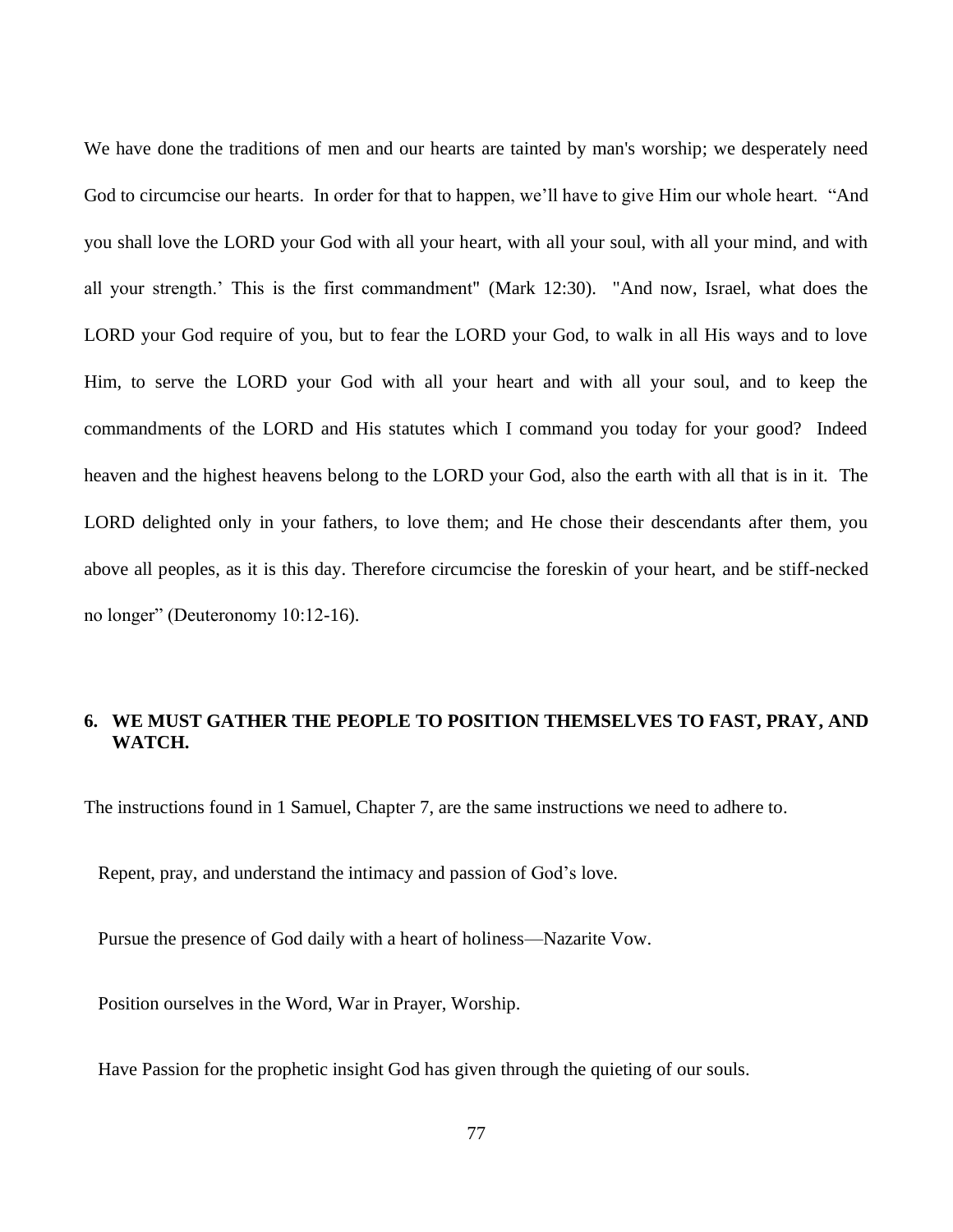We have done the traditions of men and our hearts are tainted by man's worship; we desperately need God to circumcise our hearts. In order for that to happen, we'll have to give Him our whole heart. "And you shall love the LORD your God with all your heart, with all your soul, with all your mind, and with all your strength.' This is the first commandment" (Mark 12:30). "And now, Israel, what does the LORD your God require of you, but to fear the LORD your God, to walk in all His ways and to love Him, to serve the LORD your God with all your heart and with all your soul, and to keep the commandments of the LORD and His statutes which I command you today for your good? Indeed heaven and the highest heavens belong to the LORD your God, also the earth with all that is in it. The LORD delighted only in your fathers, to love them; and He chose their descendants after them, you above all peoples, as it is this day. Therefore circumcise the foreskin of your heart, and be stiff-necked no longer" (Deuteronomy 10:12-16).

## **6. WE MUST GATHER THE PEOPLE TO POSITION THEMSELVES TO FAST, PRAY, AND WATCH.**

The instructions found in 1 Samuel, Chapter 7, are the same instructions we need to adhere to.

Repent, pray, and understand the intimacy and passion of God's love.

Pursue the presence of God daily with a heart of holiness—Nazarite Vow.

Position ourselves in the Word, War in Prayer, Worship.

Have Passion for the prophetic insight God has given through the quieting of our souls.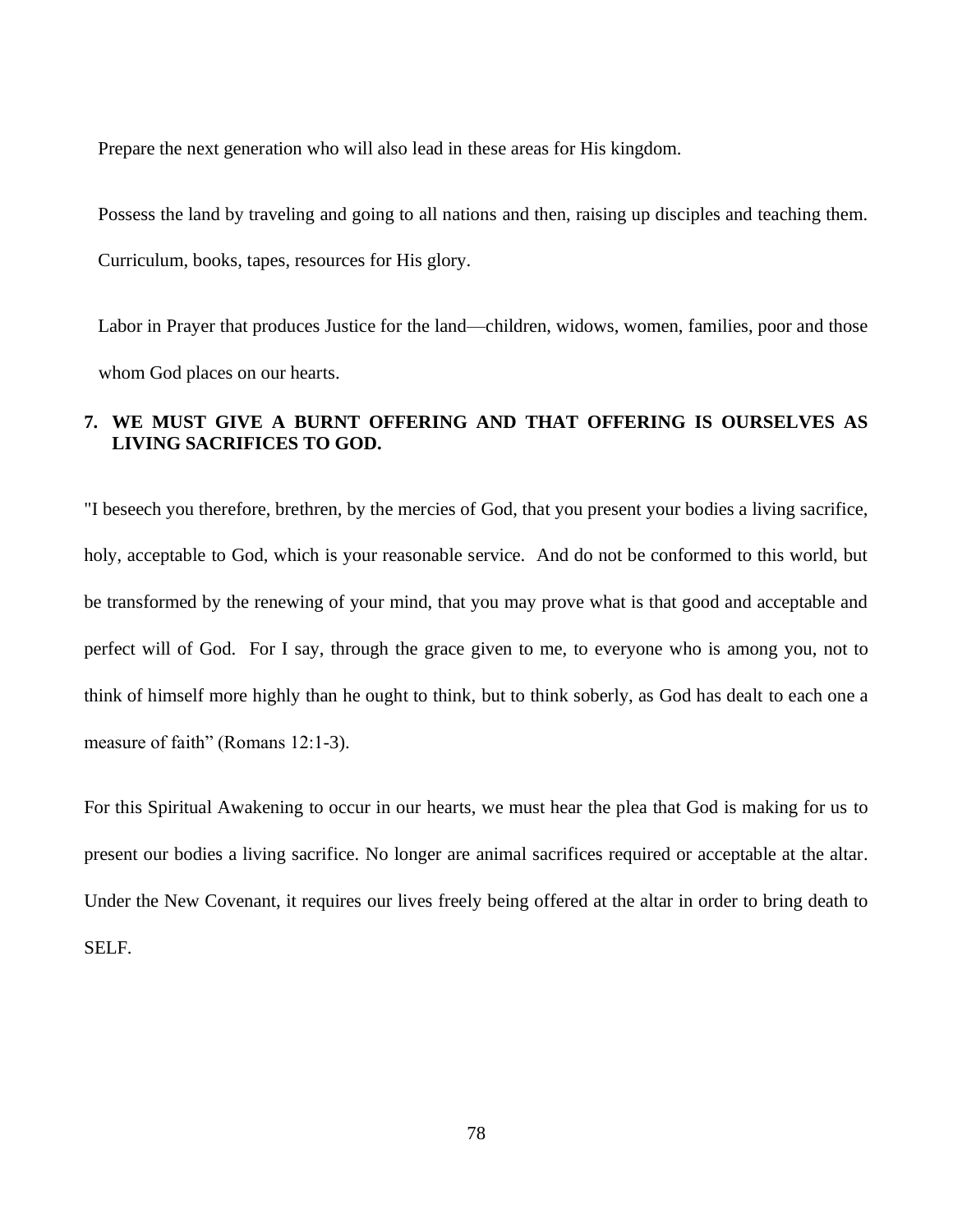Prepare the next generation who will also lead in these areas for His kingdom.

Possess the land by traveling and going to all nations and then, raising up disciples and teaching them. Curriculum, books, tapes, resources for His glory.

Labor in Prayer that produces Justice for the land—children, widows, women, families, poor and those whom God places on our hearts.

## **7. WE MUST GIVE A BURNT OFFERING AND THAT OFFERING IS OURSELVES AS LIVING SACRIFICES TO GOD.**

"I beseech you therefore, brethren, by the mercies of God, that you present your bodies a living sacrifice, holy, acceptable to God, which is your reasonable service. And do not be conformed to this world, but be transformed by the renewing of your mind, that you may prove what is that good and acceptable and perfect will of God. For I say, through the grace given to me, to everyone who is among you, not to think of himself more highly than he ought to think, but to think soberly, as God has dealt to each one a measure of faith" (Romans 12:1-3).

For this Spiritual Awakening to occur in our hearts, we must hear the plea that God is making for us to present our bodies a living sacrifice. No longer are animal sacrifices required or acceptable at the altar. Under the New Covenant, it requires our lives freely being offered at the altar in order to bring death to SELF.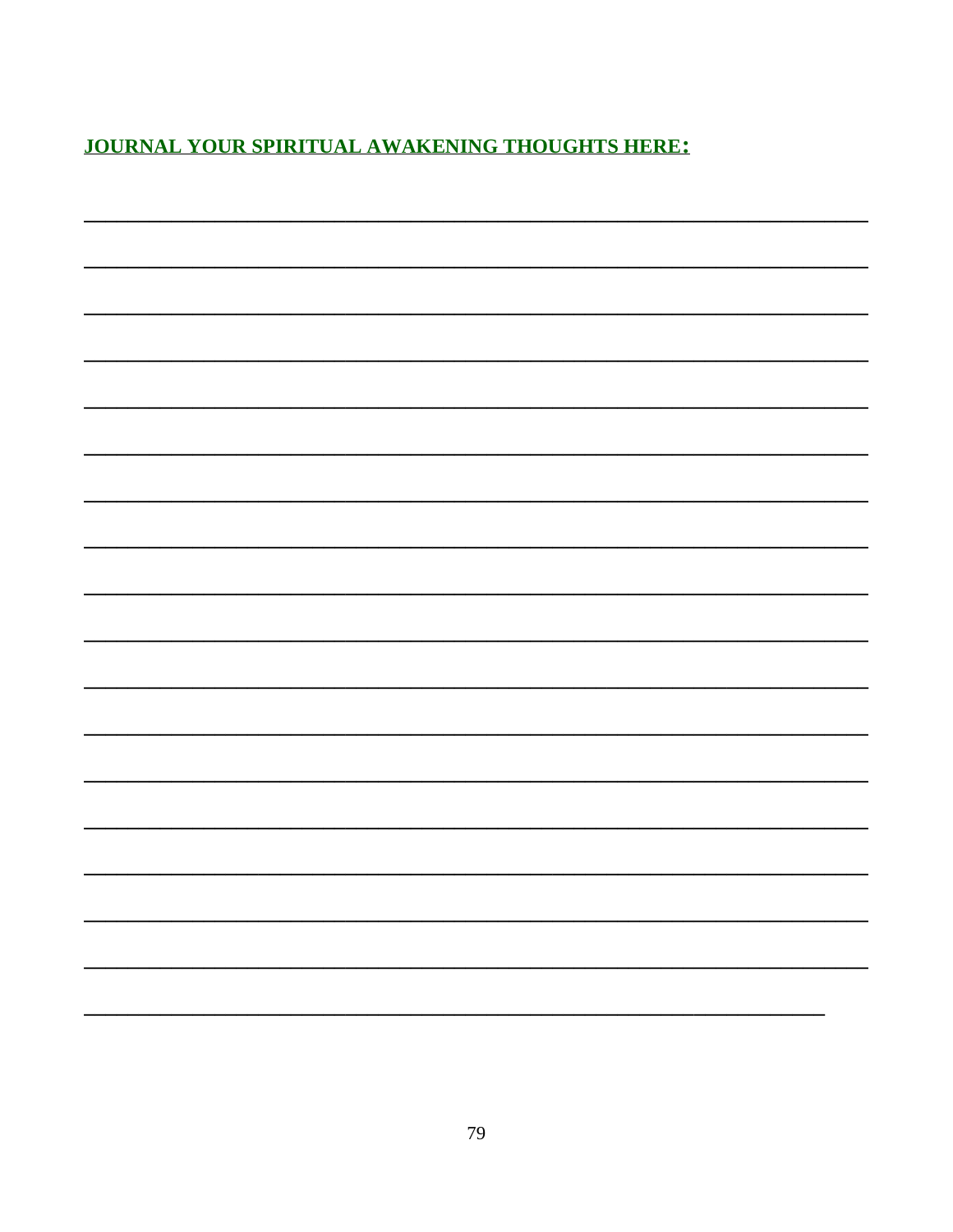## **JOURNAL YOUR SPIRITUAL AWAKENING THOUGHTS HERE:**